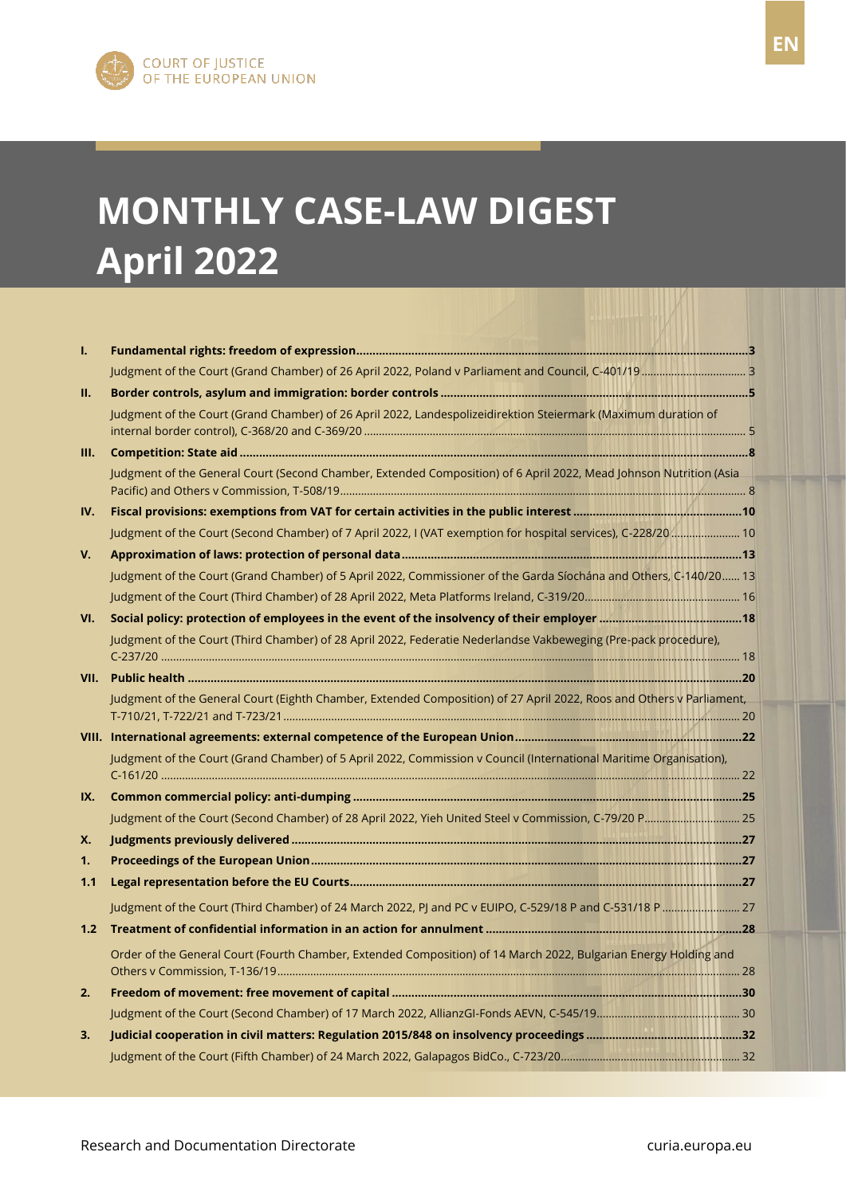# **MONTHLY CASE-LAW DIGEST April 2022**

| I.   |                                                                                                                      |  |
|------|----------------------------------------------------------------------------------------------------------------------|--|
|      |                                                                                                                      |  |
| н.   |                                                                                                                      |  |
|      | Judgment of the Court (Grand Chamber) of 26 April 2022, Landespolizeidirektion Steiermark (Maximum duration of       |  |
| III. |                                                                                                                      |  |
|      | Judgment of the General Court (Second Chamber, Extended Composition) of 6 April 2022, Mead Johnson Nutrition (Asia   |  |
| IV.  |                                                                                                                      |  |
|      | Judgment of the Court (Second Chamber) of 7 April 2022, I (VAT exemption for hospital services), C-228/20  10        |  |
| V.   |                                                                                                                      |  |
|      | Judgment of the Court (Grand Chamber) of 5 April 2022, Commissioner of the Garda Síochána and Others, C-140/20 13    |  |
|      |                                                                                                                      |  |
| VI.  |                                                                                                                      |  |
|      | Judgment of the Court (Third Chamber) of 28 April 2022, Federatie Nederlandse Vakbeweging (Pre-pack procedure),      |  |
|      |                                                                                                                      |  |
|      | Judgment of the General Court (Eighth Chamber, Extended Composition) of 27 April 2022, Roos and Others v Parliament, |  |
|      |                                                                                                                      |  |
|      | Judgment of the Court (Grand Chamber) of 5 April 2022, Commission v Council (International Maritime Organisation),   |  |
| IX.  |                                                                                                                      |  |
|      |                                                                                                                      |  |
| Χ.   |                                                                                                                      |  |
| 1.   |                                                                                                                      |  |
| 1.1  |                                                                                                                      |  |
|      | Judgment of the Court (Third Chamber) of 24 March 2022, PJ and PC v EUIPO, C-529/18 P and C-531/18 P                 |  |
| 1.2  |                                                                                                                      |  |
|      | Order of the General Court (Fourth Chamber, Extended Composition) of 14 March 2022, Bulgarian Energy Holding and     |  |
| 2.   |                                                                                                                      |  |
|      |                                                                                                                      |  |
| 3.   |                                                                                                                      |  |
|      |                                                                                                                      |  |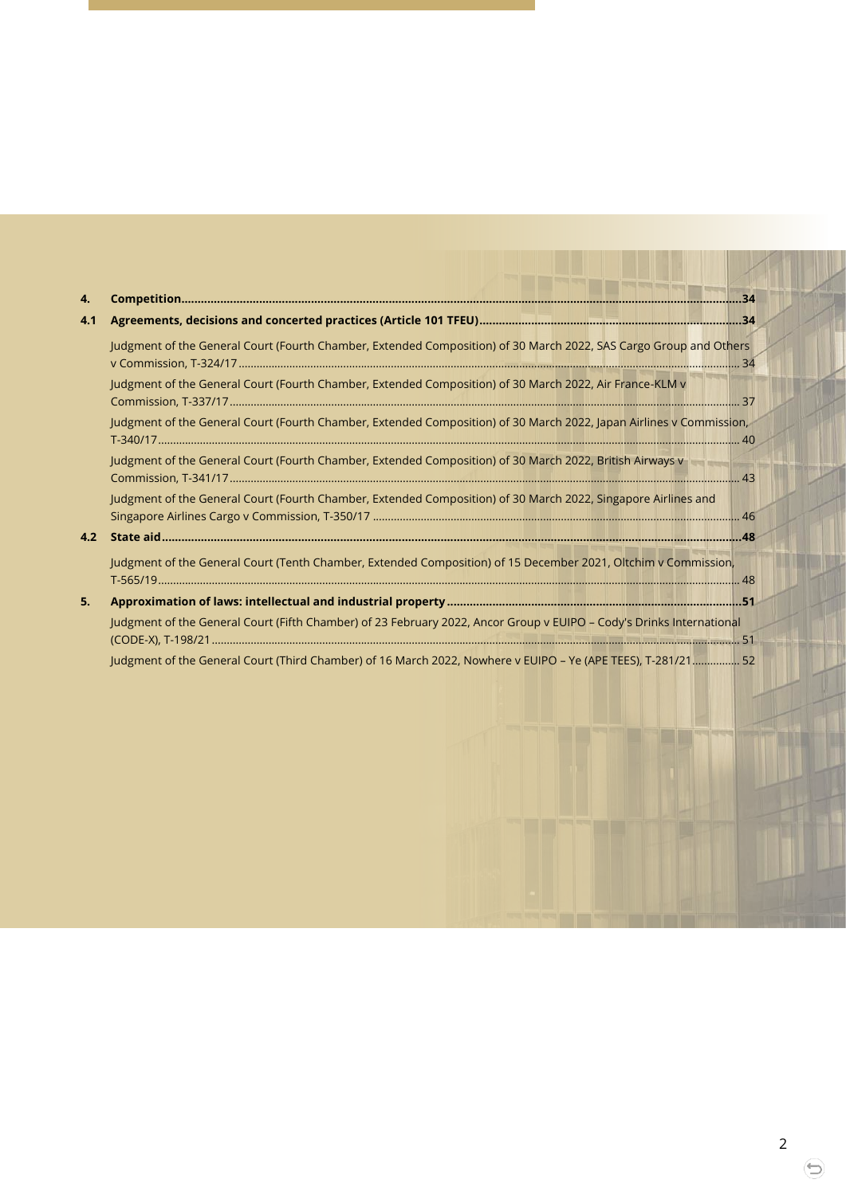| 4.  |                                                                                                                      |  |
|-----|----------------------------------------------------------------------------------------------------------------------|--|
| 4.1 |                                                                                                                      |  |
|     | Judgment of the General Court (Fourth Chamber, Extended Composition) of 30 March 2022, SAS Cargo Group and Others    |  |
|     | Judgment of the General Court (Fourth Chamber, Extended Composition) of 30 March 2022, Air France-KLM v              |  |
|     | Judgment of the General Court (Fourth Chamber, Extended Composition) of 30 March 2022, Japan Airlines v Commission,  |  |
|     | Judgment of the General Court (Fourth Chamber, Extended Composition) of 30 March 2022, British Airways v             |  |
|     | Judgment of the General Court (Fourth Chamber, Extended Composition) of 30 March 2022, Singapore Airlines and        |  |
| 4.2 |                                                                                                                      |  |
|     | Judgment of the General Court (Tenth Chamber, Extended Composition) of 15 December 2021, Oltchim v Commission,       |  |
| 5.  |                                                                                                                      |  |
|     | Judgment of the General Court (Fifth Chamber) of 23 February 2022, Ancor Group v EUIPO - Cody's Drinks International |  |
|     | Judgment of the General Court (Third Chamber) of 16 March 2022, Nowhere v EUIPO - Ye (APE TEES), T-281/21 52         |  |

⊜

**DETECTS** 

EN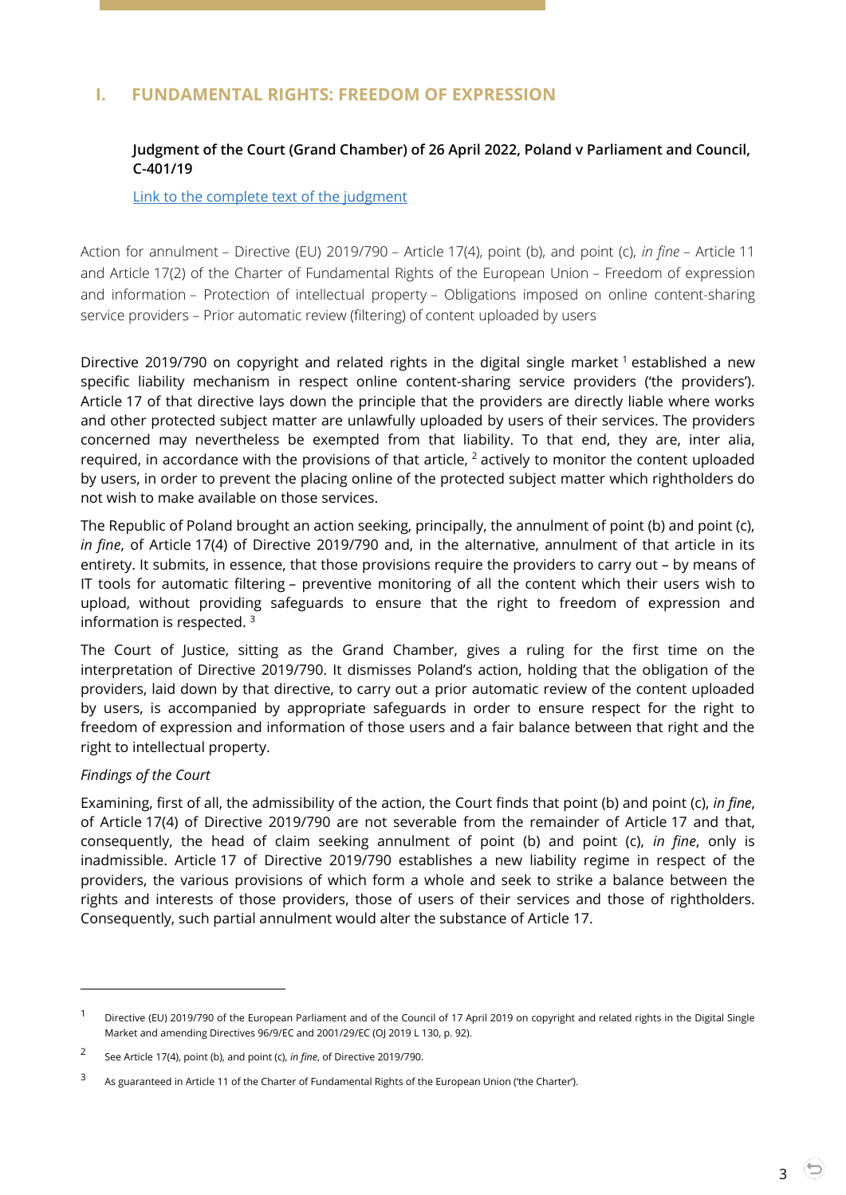## <span id="page-2-1"></span><span id="page-2-0"></span>**I. FUNDAMENTAL RIGHTS: FREEDOM OF EXPRESSION**

#### **Judgment of the Court (Grand Chamber) of 26 April 2022, Poland v Parliament and Council, C-401/19**

[Link to the complete text of the judgment](https://curia.europa.eu/juris/document/document.jsf?text=&docid=258261&pageIndex=0&doclang=en&mode=lst&dir=&occ=first&part=1&cid=4691266)

Action for annulment – Directive (EU) 2019/790 – Article 17(4), point (b), and point (c), *in fine* – Article 11 and Article 17(2) of the Charter of Fundamental Rights of the European Union – Freedom of expression and information – Protection of intellectual property – Obligations imposed on online content-sharing service providers – Prior automatic review (filtering) of content uploaded by users

Directive 2019/790 on copyright and related rights in the digital single market <sup>1</sup> established a new specific liability mechanism in respect online content-sharing service providers ('the providers'). Article 17 of that directive lays down the principle that the providers are directly liable where works and other protected subject matter are unlawfully uploaded by users of their services. The providers concerned may nevertheless be exempted from that liability. To that end, they are, inter alia, required, in accordance with the provisions of that article, <sup>2</sup> actively to monitor the content uploaded by users, in order to prevent the placing online of the protected subject matter which rightholders do not wish to make available on those services.

The Republic of Poland brought an action seeking, principally, the annulment of point (b) and point (c), *in fine*, of Article 17(4) of Directive 2019/790 and, in the alternative, annulment of that article in its entirety. It submits, in essence, that those provisions require the providers to carry out – by means of IT tools for automatic filtering – preventive monitoring of all the content which their users wish to upload, without providing safeguards to ensure that the right to freedom of expression and information is respected.  $3$ 

The Court of Justice, sitting as the Grand Chamber, gives a ruling for the first time on the interpretation of Directive 2019/790. It dismisses Poland's action, holding that the obligation of the providers, laid down by that directive, to carry out a prior automatic review of the content uploaded by users, is accompanied by appropriate safeguards in order to ensure respect for the right to freedom of expression and information of those users and a fair balance between that right and the right to intellectual property.

#### *Findings of the Court*

l

Examining, first of all, the admissibility of the action, the Court finds that point (b) and point (c), *in fine*, of Article 17(4) of Directive 2019/790 are not severable from the remainder of Article 17 and that, consequently, the head of claim seeking annulment of point (b) and point (c), *in fine*, only is inadmissible. Article 17 of Directive 2019/790 establishes a new liability regime in respect of the providers, the various provisions of which form a whole and seek to strike a balance between the rights and interests of those providers, those of users of their services and those of rightholders. Consequently, such partial annulment would alter the substance of Article 17.

<sup>&</sup>lt;sup>1</sup> Directive (EU) 2019/790 of the European Parliament and of the Council of 17 April 2019 on copyright and related rights in the Digital Single Market and amending Directives 96/9/EC and 2001/29/EC (OJ 2019 L 130, p. 92).

<sup>2</sup> See Article 17(4), point (b), and point (c), *in fine*, of Directive 2019/790.

<sup>3</sup> As guaranteed in Article 11 of the Charter of Fundamental Rights of the European Union ('the Charter').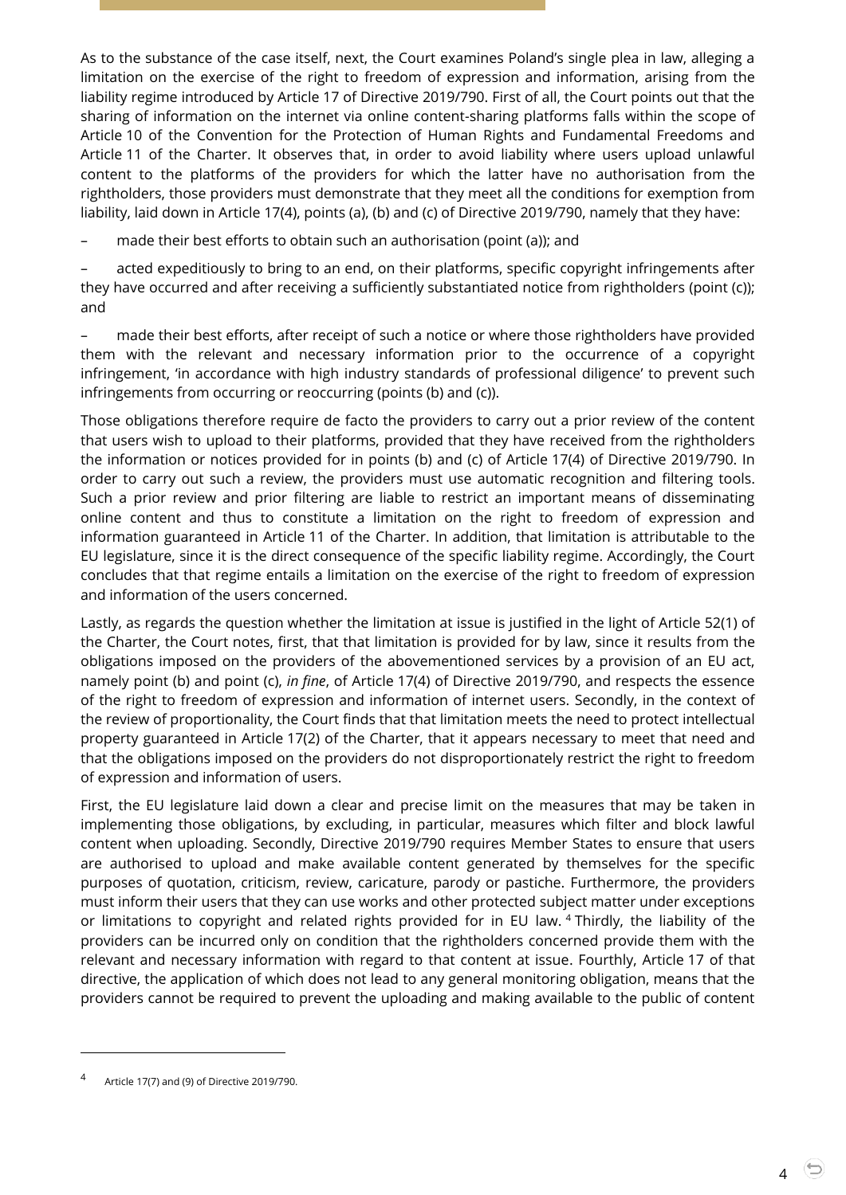As to the substance of the case itself, next, the Court examines Poland's single plea in law, alleging a limitation on the exercise of the right to freedom of expression and information, arising from the liability regime introduced by Article 17 of Directive 2019/790. First of all, the Court points out that the sharing of information on the internet via online content-sharing platforms falls within the scope of Article 10 of the Convention for the Protection of Human Rights and Fundamental Freedoms and Article 11 of the Charter. It observes that, in order to avoid liability where users upload unlawful content to the platforms of the providers for which the latter have no authorisation from the rightholders, those providers must demonstrate that they meet all the conditions for exemption from liability, laid down in Article 17(4), points (a), (b) and (c) of Directive 2019/790, namely that they have:

– made their best efforts to obtain such an authorisation (point (a)); and

– acted expeditiously to bring to an end, on their platforms, specific copyright infringements after they have occurred and after receiving a sufficiently substantiated notice from rightholders (point (c)); and

– made their best efforts, after receipt of such a notice or where those rightholders have provided them with the relevant and necessary information prior to the occurrence of a copyright infringement, 'in accordance with high industry standards of professional diligence' to prevent such infringements from occurring or reoccurring (points (b) and (c)).

Those obligations therefore require de facto the providers to carry out a prior review of the content that users wish to upload to their platforms, provided that they have received from the rightholders the information or notices provided for in points (b) and (c) of Article 17(4) of Directive 2019/790. In order to carry out such a review, the providers must use automatic recognition and filtering tools. Such a prior review and prior filtering are liable to restrict an important means of disseminating online content and thus to constitute a limitation on the right to freedom of expression and information guaranteed in Article 11 of the Charter. In addition, that limitation is attributable to the EU legislature, since it is the direct consequence of the specific liability regime. Accordingly, the Court concludes that that regime entails a limitation on the exercise of the right to freedom of expression and information of the users concerned.

Lastly, as regards the question whether the limitation at issue is justified in the light of Article 52(1) of the Charter, the Court notes, first, that that limitation is provided for by law, since it results from the obligations imposed on the providers of the abovementioned services by a provision of an EU act, namely point (b) and point (c), *in fine*, of Article 17(4) of Directive 2019/790, and respects the essence of the right to freedom of expression and information of internet users. Secondly, in the context of the review of proportionality, the Court finds that that limitation meets the need to protect intellectual property guaranteed in Article 17(2) of the Charter, that it appears necessary to meet that need and that the obligations imposed on the providers do not disproportionately restrict the right to freedom of expression and information of users.

First, the EU legislature laid down a clear and precise limit on the measures that may be taken in implementing those obligations, by excluding, in particular, measures which filter and block lawful content when uploading. Secondly, Directive 2019/790 requires Member States to ensure that users are authorised to upload and make available content generated by themselves for the specific purposes of quotation, criticism, review, caricature, parody or pastiche. Furthermore, the providers must inform their users that they can use works and other protected subject matter under exceptions or limitations to copyright and related rights provided for in EU law. <sup>4</sup> Thirdly, the liability of the providers can be incurred only on condition that the rightholders concerned provide them with the relevant and necessary information with regard to that content at issue. Fourthly, Article 17 of that directive, the application of which does not lead to any general monitoring obligation, means that the providers cannot be required to prevent the uploading and making available to the public of content

4

<sup>4</sup> Article 17(7) and (9) of Directive 2019/790.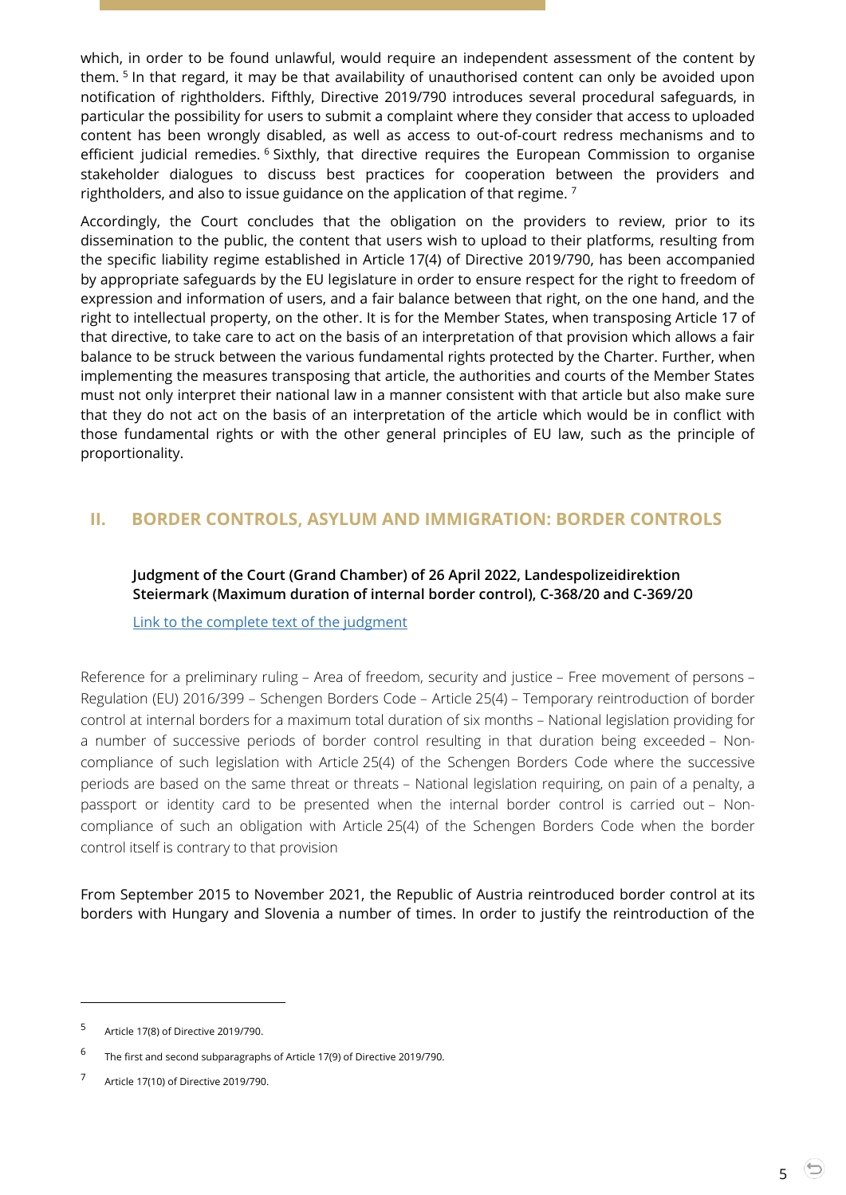which, in order to be found unlawful, would require an independent assessment of the content by them. <sup>5</sup> In that regard, it may be that availability of unauthorised content can only be avoided upon notification of rightholders. Fifthly, Directive 2019/790 introduces several procedural safeguards, in particular the possibility for users to submit a complaint where they consider that access to uploaded content has been wrongly disabled, as well as access to out-of-court redress mechanisms and to efficient judicial remedies. <sup>6</sup> Sixthly, that directive requires the European Commission to organise stakeholder dialogues to discuss best practices for cooperation between the providers and rightholders, and also to issue guidance on the application of that regime.  $7$ 

Accordingly, the Court concludes that the obligation on the providers to review, prior to its dissemination to the public, the content that users wish to upload to their platforms, resulting from the specific liability regime established in Article 17(4) of Directive 2019/790, has been accompanied by appropriate safeguards by the EU legislature in order to ensure respect for the right to freedom of expression and information of users, and a fair balance between that right, on the one hand, and the right to intellectual property, on the other. It is for the Member States, when transposing Article 17 of that directive, to take care to act on the basis of an interpretation of that provision which allows a fair balance to be struck between the various fundamental rights protected by the Charter. Further, when implementing the measures transposing that article, the authorities and courts of the Member States must not only interpret their national law in a manner consistent with that article but also make sure that they do not act on the basis of an interpretation of the article which would be in conflict with those fundamental rights or with the other general principles of EU law, such as the principle of proportionality.

## <span id="page-4-1"></span><span id="page-4-0"></span>**II. BORDER CONTROLS, ASYLUM AND IMMIGRATION: BORDER CONTROLS**

#### **Judgment of the Court (Grand Chamber) of 26 April 2022, Landespolizeidirektion Steiermark (Maximum duration of internal border control), C-368/20 and C-369/20**

[Link to the complete text of the judgment](https://curia.europa.eu/juris/document/document.jsf?text=&docid=258262&pageIndex=0&doclang=EN&mode=lst&dir=&occ=first&part=1&cid=4690843)

Reference for a preliminary ruling – Area of freedom, security and justice – Free movement of persons – Regulation (EU) 2016/399 – Schengen Borders Code – Article 25(4) – Temporary reintroduction of border control at internal borders for a maximum total duration of six months – National legislation providing for a number of successive periods of border control resulting in that duration being exceeded – Noncompliance of such legislation with Article 25(4) of the Schengen Borders Code where the successive periods are based on the same threat or threats – National legislation requiring, on pain of a penalty, a passport or identity card to be presented when the internal border control is carried out – Noncompliance of such an obligation with Article 25(4) of the Schengen Borders Code when the border control itself is contrary to that provision

From September 2015 to November 2021, the Republic of Austria reintroduced border control at its borders with Hungary and Slovenia a number of times. In order to justify the reintroduction of the

<sup>5</sup> Article 17(8) of Directive 2019/790.

<sup>6</sup> The first and second subparagraphs of Article 17(9) of Directive 2019/790.

<sup>7</sup> Article 17(10) of Directive 2019/790.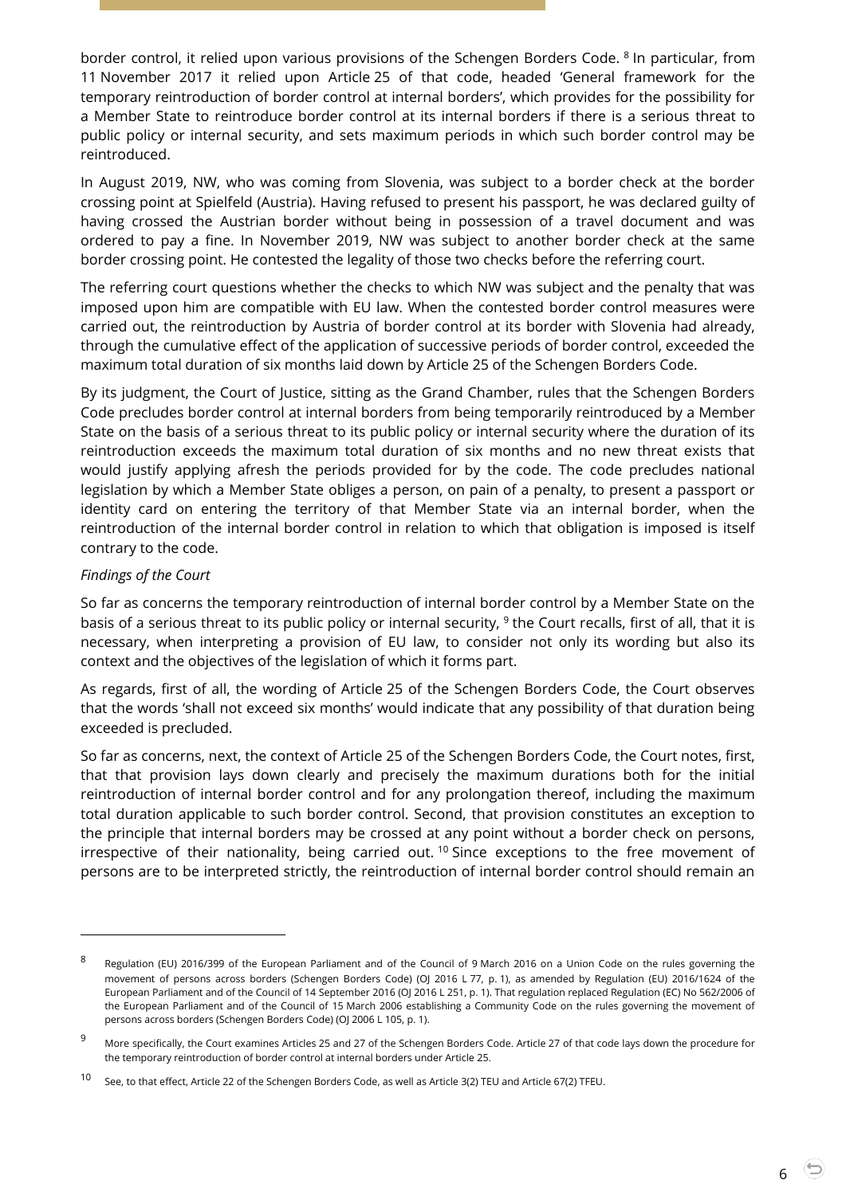border control, it relied upon various provisions of the Schengen Borders Code. <sup>8</sup> In particular, from 11 November 2017 it relied upon Article 25 of that code, headed 'General framework for the temporary reintroduction of border control at internal borders', which provides for the possibility for a Member State to reintroduce border control at its internal borders if there is a serious threat to public policy or internal security, and sets maximum periods in which such border control may be reintroduced.

In August 2019, NW, who was coming from Slovenia, was subject to a border check at the border crossing point at Spielfeld (Austria). Having refused to present his passport, he was declared guilty of having crossed the Austrian border without being in possession of a travel document and was ordered to pay a fine. In November 2019, NW was subject to another border check at the same border crossing point. He contested the legality of those two checks before the referring court.

The referring court questions whether the checks to which NW was subject and the penalty that was imposed upon him are compatible with EU law. When the contested border control measures were carried out, the reintroduction by Austria of border control at its border with Slovenia had already, through the cumulative effect of the application of successive periods of border control, exceeded the maximum total duration of six months laid down by Article 25 of the Schengen Borders Code.

By its judgment, the Court of Justice, sitting as the Grand Chamber, rules that the Schengen Borders Code precludes border control at internal borders from being temporarily reintroduced by a Member State on the basis of a serious threat to its public policy or internal security where the duration of its reintroduction exceeds the maximum total duration of six months and no new threat exists that would justify applying afresh the periods provided for by the code. The code precludes national legislation by which a Member State obliges a person, on pain of a penalty, to present a passport or identity card on entering the territory of that Member State via an internal border, when the reintroduction of the internal border control in relation to which that obligation is imposed is itself contrary to the code.

#### *Findings of the Court*

l

So far as concerns the temporary reintroduction of internal border control by a Member State on the basis of a serious threat to its public policy or internal security, <sup>9</sup> the Court recalls, first of all, that it is necessary, when interpreting a provision of EU law, to consider not only its wording but also its context and the objectives of the legislation of which it forms part.

As regards, first of all, the wording of Article 25 of the Schengen Borders Code, the Court observes that the words 'shall not exceed six months' would indicate that any possibility of that duration being exceeded is precluded.

So far as concerns, next, the context of Article 25 of the Schengen Borders Code, the Court notes, first, that that provision lays down clearly and precisely the maximum durations both for the initial reintroduction of internal border control and for any prolongation thereof, including the maximum total duration applicable to such border control. Second, that provision constitutes an exception to the principle that internal borders may be crossed at any point without a border check on persons, irrespective of their nationality, being carried out.<sup>10</sup> Since exceptions to the free movement of persons are to be interpreted strictly, the reintroduction of internal border control should remain an

<sup>8</sup> Regulation (EU) 2016/399 of the European Parliament and of the Council of 9 March 2016 on a Union Code on the rules governing the movement of persons across borders (Schengen Borders Code) (OJ 2016 L 77, p. 1), as amended by Regulation (EU) 2016/1624 of the European Parliament and of the Council of 14 September 2016 (OJ 2016 L 251, p. 1). That regulation replaced Regulation (EC) No 562/2006 of the European Parliament and of the Council of 15 March 2006 establishing a Community Code on the rules governing the movement of persons across borders (Schengen Borders Code) (OJ 2006 L 105, p. 1).

<sup>&</sup>lt;sup>9</sup> More specifically, the Court examines Articles 25 and 27 of the Schengen Borders Code. Article 27 of that code lays down the procedure for the temporary reintroduction of border control at internal borders under Article 25.

<sup>10</sup> See, to that effect, Article 22 of the Schengen Borders Code, as well as Article 3(2) TEU and Article 67(2) TFEU.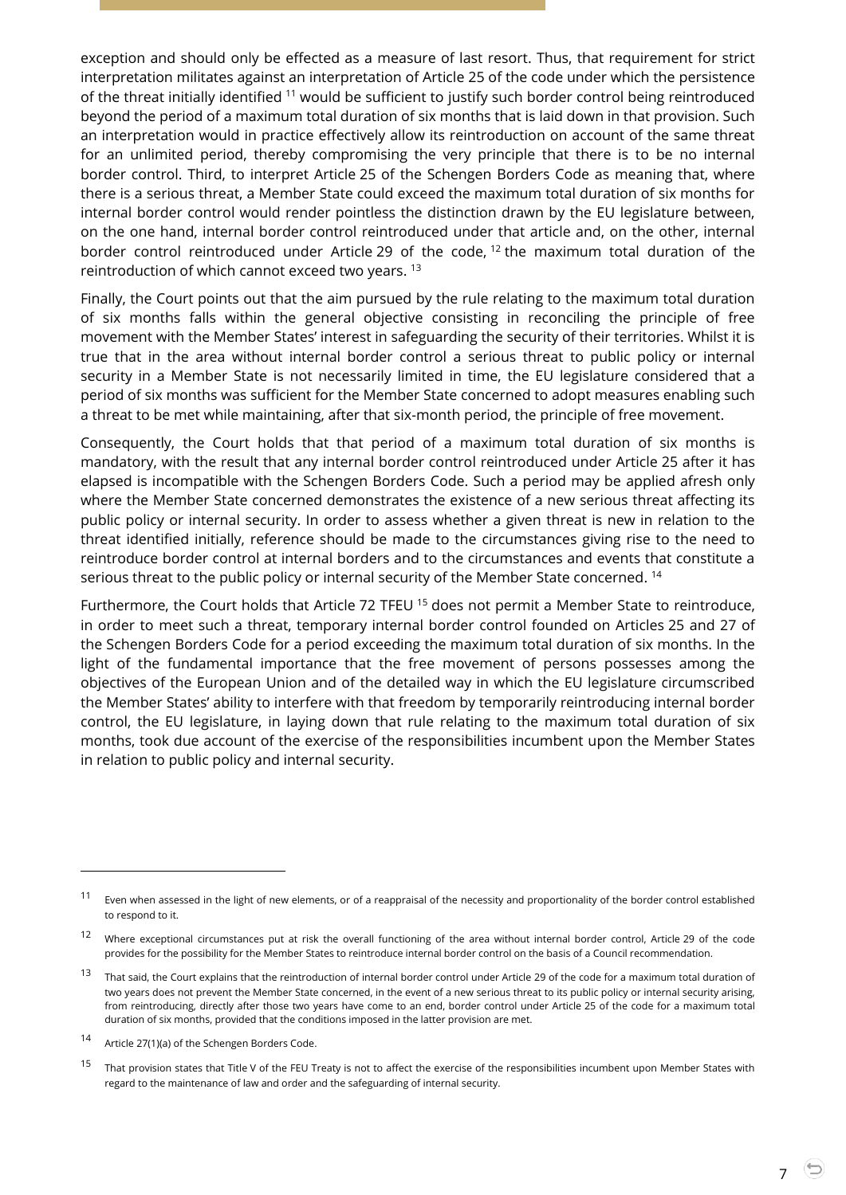exception and should only be effected as a measure of last resort. Thus, that requirement for strict interpretation militates against an interpretation of Article 25 of the code under which the persistence of the threat initially identified <sup>11</sup> would be sufficient to justify such border control being reintroduced beyond the period of a maximum total duration of six months that is laid down in that provision. Such an interpretation would in practice effectively allow its reintroduction on account of the same threat for an unlimited period, thereby compromising the very principle that there is to be no internal border control. Third, to interpret Article 25 of the Schengen Borders Code as meaning that, where there is a serious threat, a Member State could exceed the maximum total duration of six months for internal border control would render pointless the distinction drawn by the EU legislature between, on the one hand, internal border control reintroduced under that article and, on the other, internal border control reintroduced under Article 29 of the code, <sup>12</sup> the maximum total duration of the reintroduction of which cannot exceed two years. <sup>13</sup>

Finally, the Court points out that the aim pursued by the rule relating to the maximum total duration of six months falls within the general objective consisting in reconciling the principle of free movement with the Member States' interest in safeguarding the security of their territories. Whilst it is true that in the area without internal border control a serious threat to public policy or internal security in a Member State is not necessarily limited in time, the EU legislature considered that a period of six months was sufficient for the Member State concerned to adopt measures enabling such a threat to be met while maintaining, after that six-month period, the principle of free movement.

Consequently, the Court holds that that period of a maximum total duration of six months is mandatory, with the result that any internal border control reintroduced under Article 25 after it has elapsed is incompatible with the Schengen Borders Code. Such a period may be applied afresh only where the Member State concerned demonstrates the existence of a new serious threat affecting its public policy or internal security. In order to assess whether a given threat is new in relation to the threat identified initially, reference should be made to the circumstances giving rise to the need to reintroduce border control at internal borders and to the circumstances and events that constitute a serious threat to the public policy or internal security of the Member State concerned.  $^\mathrm{14}$ 

Furthermore, the Court holds that Article 72 TFEU <sup>15</sup> does not permit a Member State to reintroduce, in order to meet such a threat, temporary internal border control founded on Articles 25 and 27 of the Schengen Borders Code for a period exceeding the maximum total duration of six months. In the light of the fundamental importance that the free movement of persons possesses among the objectives of the European Union and of the detailed way in which the EU legislature circumscribed the Member States' ability to interfere with that freedom by temporarily reintroducing internal border control, the EU legislature, in laying down that rule relating to the maximum total duration of six months, took due account of the exercise of the responsibilities incumbent upon the Member States in relation to public policy and internal security.

<sup>&</sup>lt;sup>11</sup> Even when assessed in the light of new elements, or of a reappraisal of the necessity and proportionality of the border control established to respond to it.

 $12$  Where exceptional circumstances put at risk the overall functioning of the area without internal border control, Article 29 of the code provides for the possibility for the Member States to reintroduce internal border control on the basis of a Council recommendation.

<sup>&</sup>lt;sup>13</sup> That said, the Court explains that the reintroduction of internal border control under Article 29 of the code for a maximum total duration of two years does not prevent the Member State concerned, in the event of a new serious threat to its public policy or internal security arising, from reintroducing, directly after those two years have come to an end, border control under Article 25 of the code for a maximum total duration of six months, provided that the conditions imposed in the latter provision are met.

<sup>14</sup> Article 27(1)(a) of the Schengen Borders Code.

<sup>&</sup>lt;sup>15</sup> That provision states that Title V of the FEU Treaty is not to affect the exercise of the responsibilities incumbent upon Member States with regard to the maintenance of law and order and the safeguarding of internal security.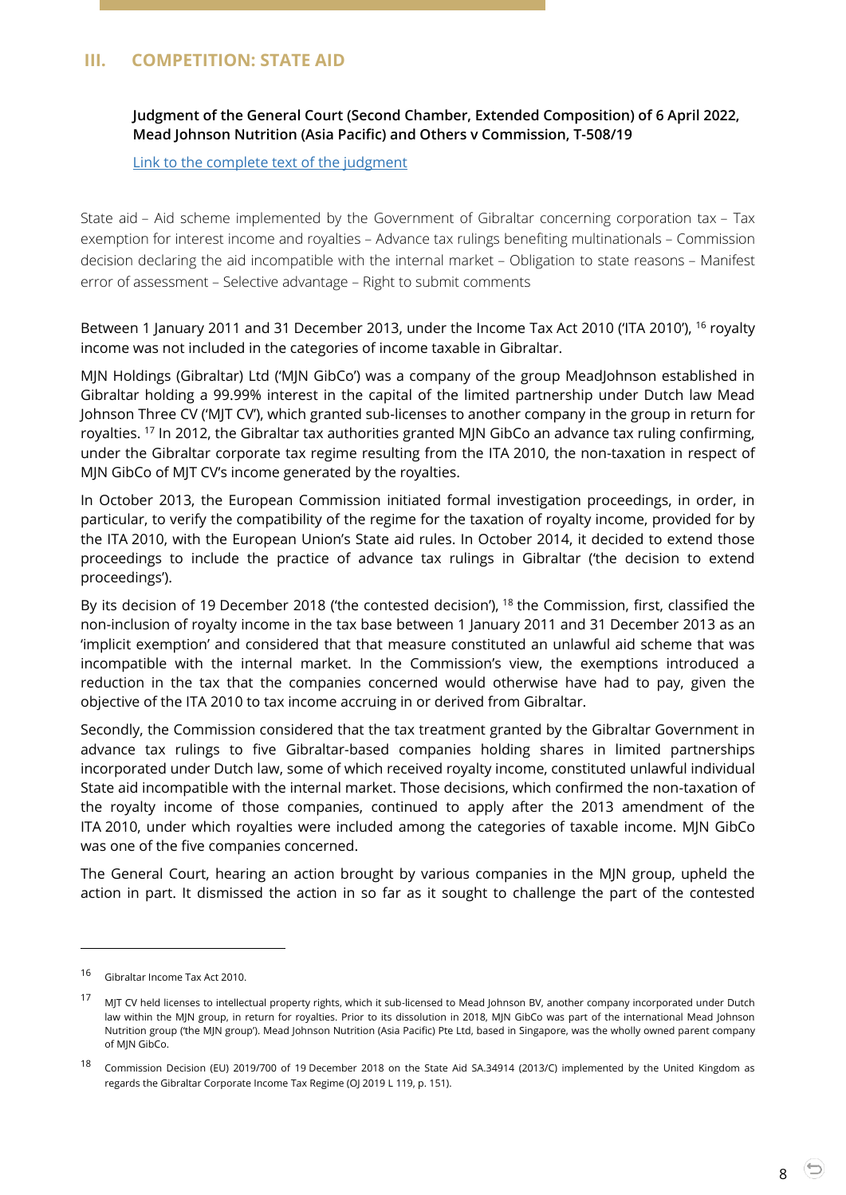### <span id="page-7-1"></span><span id="page-7-0"></span>**III. COMPETITION: STATE AID**

**Judgment of the General Court (Second Chamber, Extended Composition) of 6 April 2022, Mead Johnson Nutrition (Asia Pacific) and Others v Commission, T-508/19**

[Link to the complete text of the judgment](https://curia.europa.eu/juris/document/document.jsf?text=&docid=257441&pageIndex=0&doclang=EN&mode=lst&dir=&occ=first&part=1&cid=4690985)

State aid – Aid scheme implemented by the Government of Gibraltar concerning corporation tax – Tax exemption for interest income and royalties – Advance tax rulings benefiting multinationals – Commission decision declaring the aid incompatible with the internal market – Obligation to state reasons – Manifest error of assessment – Selective advantage – Right to submit comments

Between 1 January 2011 and 31 December 2013, under the Income Tax Act 2010 ('ITA 2010'), <sup>16</sup> royalty income was not included in the categories of income taxable in Gibraltar.

MJN Holdings (Gibraltar) Ltd ('MJN GibCo') was a company of the group MeadJohnson established in Gibraltar holding a 99.99% interest in the capital of the limited partnership under Dutch law Mead Johnson Three CV ('MJT CV'), which granted sub-licenses to another company in the group in return for royalties. <sup>17</sup> In 2012, the Gibraltar tax authorities granted MJN GibCo an advance tax ruling confirming, under the Gibraltar corporate tax regime resulting from the ITA 2010, the non-taxation in respect of MJN GibCo of MJT CV's income generated by the royalties.

In October 2013, the European Commission initiated formal investigation proceedings, in order, in particular, to verify the compatibility of the regime for the taxation of royalty income, provided for by the ITA 2010, with the European Union's State aid rules. In October 2014, it decided to extend those proceedings to include the practice of advance tax rulings in Gibraltar ('the decision to extend proceedings').

By its decision of 19 December 2018 ('the contested decision'), <sup>18</sup> the Commission, first, classified the non-inclusion of royalty income in the tax base between 1 January 2011 and 31 December 2013 as an 'implicit exemption' and considered that that measure constituted an unlawful aid scheme that was incompatible with the internal market. In the Commission's view, the exemptions introduced a reduction in the tax that the companies concerned would otherwise have had to pay, given the objective of the ITA 2010 to tax income accruing in or derived from Gibraltar.

Secondly, the Commission considered that the tax treatment granted by the Gibraltar Government in advance tax rulings to five Gibraltar-based companies holding shares in limited partnerships incorporated under Dutch law, some of which received royalty income, constituted unlawful individual State aid incompatible with the internal market. Those decisions, which confirmed the non-taxation of the royalty income of those companies, continued to apply after the 2013 amendment of the ITA 2010, under which royalties were included among the categories of taxable income. MJN GibCo was one of the five companies concerned.

The General Court, hearing an action brought by various companies in the MJN group, upheld the action in part. It dismissed the action in so far as it sought to challenge the part of the contested

<sup>16</sup> Gibraltar Income Tax Act 2010.

<sup>&</sup>lt;sup>17</sup> MJT CV held licenses to intellectual property rights, which it sub-licensed to Mead Johnson BV, another company incorporated under Dutch law within the MJN group, in return for royalties. Prior to its dissolution in 2018, MJN GibCo was part of the international Mead Johnson Nutrition group ('the MJN group'). Mead Johnson Nutrition (Asia Pacific) Pte Ltd, based in Singapore, was the wholly owned parent company of MJN GibCo.

<sup>&</sup>lt;sup>18</sup> Commission Decision (EU) 2019/700 of 19 December 2018 on the State Aid SA.34914 (2013/C) implemented by the United Kingdom as regards the Gibraltar Corporate Income Tax Regime (OJ 2019 L 119, p. 151).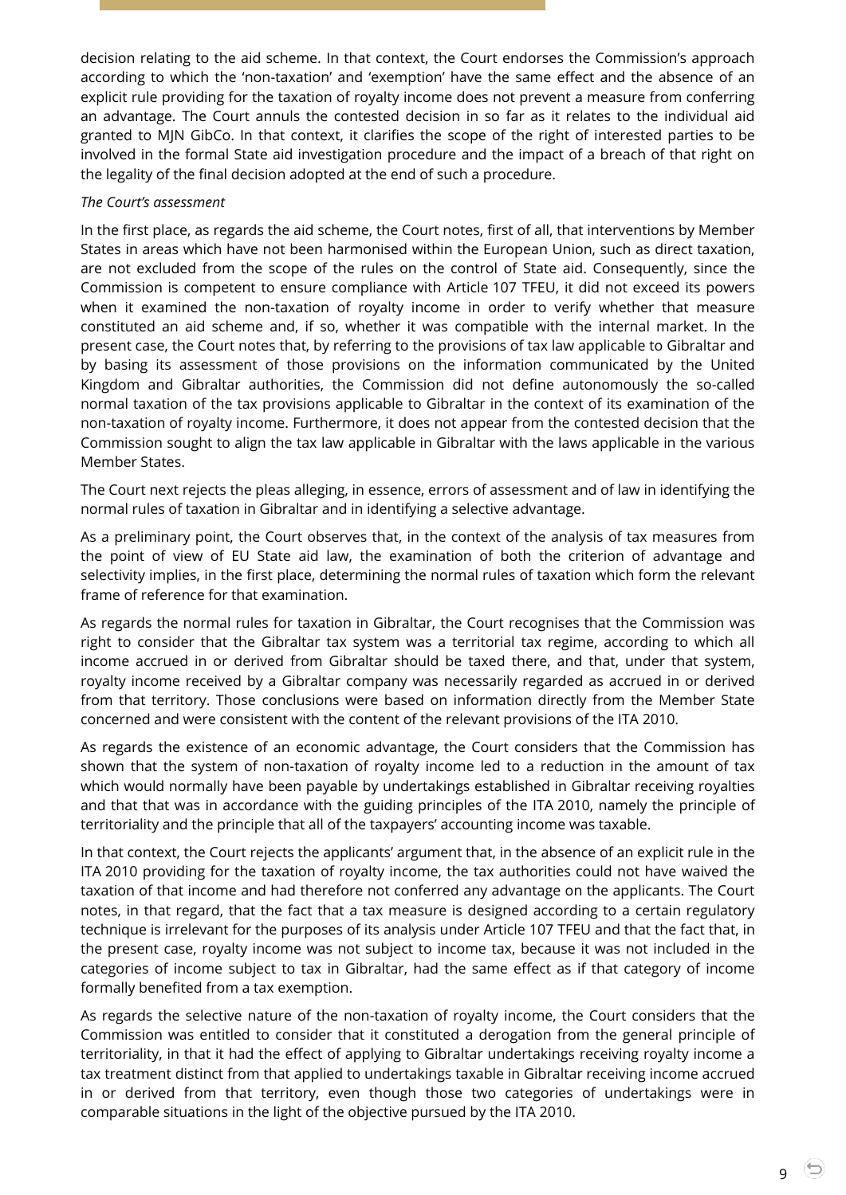decision relating to the aid scheme. In that context, the Court endorses the Commission's approach according to which the 'non-taxation' and 'exemption' have the same effect and the absence of an explicit rule providing for the taxation of royalty income does not prevent a measure from conferring an advantage. The Court annuls the contested decision in so far as it relates to the individual aid granted to MJN GibCo. In that context, it clarifies the scope of the right of interested parties to be involved in the formal State aid investigation procedure and the impact of a breach of that right on the legality of the final decision adopted at the end of such a procedure.

#### *The Court's assessment*

In the first place, as regards the aid scheme, the Court notes, first of all, that interventions by Member States in areas which have not been harmonised within the European Union, such as direct taxation, are not excluded from the scope of the rules on the control of State aid. Consequently, since the Commission is competent to ensure compliance with Article 107 TFEU, it did not exceed its powers when it examined the non-taxation of royalty income in order to verify whether that measure constituted an aid scheme and, if so, whether it was compatible with the internal market. In the present case, the Court notes that, by referring to the provisions of tax law applicable to Gibraltar and by basing its assessment of those provisions on the information communicated by the United Kingdom and Gibraltar authorities, the Commission did not define autonomously the so-called normal taxation of the tax provisions applicable to Gibraltar in the context of its examination of the non-taxation of royalty income. Furthermore, it does not appear from the contested decision that the Commission sought to align the tax law applicable in Gibraltar with the laws applicable in the various Member States.

The Court next rejects the pleas alleging, in essence, errors of assessment and of law in identifying the normal rules of taxation in Gibraltar and in identifying a selective advantage.

As a preliminary point, the Court observes that, in the context of the analysis of tax measures from the point of view of EU State aid law, the examination of both the criterion of advantage and selectivity implies, in the first place, determining the normal rules of taxation which form the relevant frame of reference for that examination.

As regards the normal rules for taxation in Gibraltar, the Court recognises that the Commission was right to consider that the Gibraltar tax system was a territorial tax regime, according to which all income accrued in or derived from Gibraltar should be taxed there, and that, under that system, royalty income received by a Gibraltar company was necessarily regarded as accrued in or derived from that territory. Those conclusions were based on information directly from the Member State concerned and were consistent with the content of the relevant provisions of the ITA 2010.

As regards the existence of an economic advantage, the Court considers that the Commission has shown that the system of non-taxation of royalty income led to a reduction in the amount of tax which would normally have been payable by undertakings established in Gibraltar receiving royalties and that that was in accordance with the guiding principles of the ITA 2010, namely the principle of territoriality and the principle that all of the taxpayers' accounting income was taxable.

In that context, the Court rejects the applicants' argument that, in the absence of an explicit rule in the ITA 2010 providing for the taxation of royalty income, the tax authorities could not have waived the taxation of that income and had therefore not conferred any advantage on the applicants. The Court notes, in that regard, that the fact that a tax measure is designed according to a certain regulatory technique is irrelevant for the purposes of its analysis under Article 107 TFEU and that the fact that, in the present case, royalty income was not subject to income tax, because it was not included in the categories of income subject to tax in Gibraltar, had the same effect as if that category of income formally benefited from a tax exemption.

As regards the selective nature of the non-taxation of royalty income, the Court considers that the Commission was entitled to consider that it constituted a derogation from the general principle of territoriality, in that it had the effect of applying to Gibraltar undertakings receiving royalty income a tax treatment distinct from that applied to undertakings taxable in Gibraltar receiving income accrued in or derived from that territory, even though those two categories of undertakings were in comparable situations in the light of the objective pursued by the ITA 2010.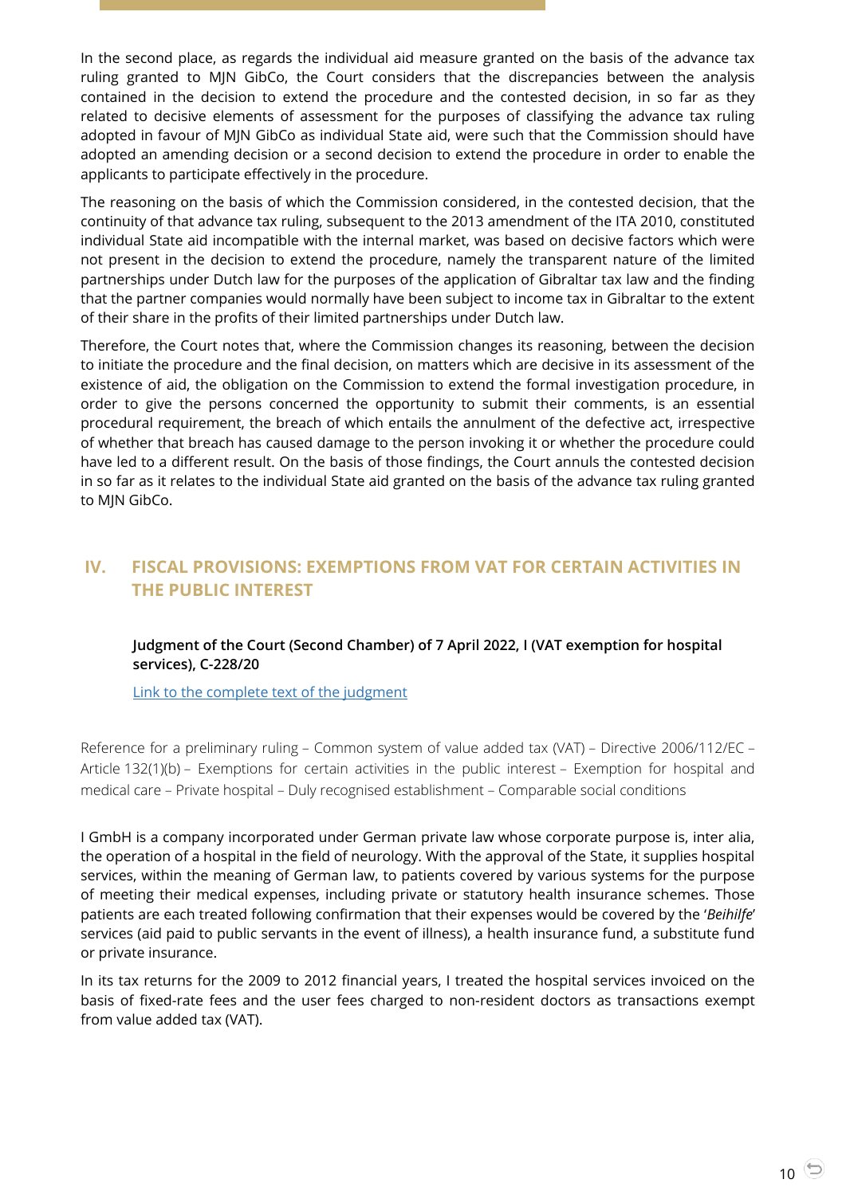In the second place, as regards the individual aid measure granted on the basis of the advance tax ruling granted to MJN GibCo, the Court considers that the discrepancies between the analysis contained in the decision to extend the procedure and the contested decision, in so far as they related to decisive elements of assessment for the purposes of classifying the advance tax ruling adopted in favour of MJN GibCo as individual State aid, were such that the Commission should have adopted an amending decision or a second decision to extend the procedure in order to enable the applicants to participate effectively in the procedure.

The reasoning on the basis of which the Commission considered, in the contested decision, that the continuity of that advance tax ruling, subsequent to the 2013 amendment of the ITA 2010, constituted individual State aid incompatible with the internal market, was based on decisive factors which were not present in the decision to extend the procedure, namely the transparent nature of the limited partnerships under Dutch law for the purposes of the application of Gibraltar tax law and the finding that the partner companies would normally have been subject to income tax in Gibraltar to the extent of their share in the profits of their limited partnerships under Dutch law.

Therefore, the Court notes that, where the Commission changes its reasoning, between the decision to initiate the procedure and the final decision, on matters which are decisive in its assessment of the existence of aid, the obligation on the Commission to extend the formal investigation procedure, in order to give the persons concerned the opportunity to submit their comments, is an essential procedural requirement, the breach of which entails the annulment of the defective act, irrespective of whether that breach has caused damage to the person invoking it or whether the procedure could have led to a different result. On the basis of those findings, the Court annuls the contested decision in so far as it relates to the individual State aid granted on the basis of the advance tax ruling granted to MJN GibCo.

## <span id="page-9-1"></span><span id="page-9-0"></span>**IV. FISCAL PROVISIONS: EXEMPTIONS FROM VAT FOR CERTAIN ACTIVITIES IN THE PUBLIC INTEREST**

#### **Judgment of the Court (Second Chamber) of 7 April 2022, I (VAT exemption for hospital services), C-228/20**

[Link to the complete text of the judgment](https://curia.europa.eu/juris/document/document.jsf?text=&docid=257483&pageIndex=0&doclang=en&mode=lst&dir=&occ=first&part=1&cid=4691105)

Reference for a preliminary ruling – Common system of value added tax (VAT) – Directive 2006/112/EC – Article 132(1)(b) – Exemptions for certain activities in the public interest – Exemption for hospital and medical care – Private hospital – Duly recognised establishment – Comparable social conditions

I GmbH is a company incorporated under German private law whose corporate purpose is, inter alia, the operation of a hospital in the field of neurology. With the approval of the State, it supplies hospital services, within the meaning of German law, to patients covered by various systems for the purpose of meeting their medical expenses, including private or statutory health insurance schemes. Those patients are each treated following confirmation that their expenses would be covered by the '*Beihilfe*' services (aid paid to public servants in the event of illness), a health insurance fund, a substitute fund or private insurance.

In its tax returns for the 2009 to 2012 financial years, I treated the hospital services invoiced on the basis of fixed-rate fees and the user fees charged to non-resident doctors as transactions exempt from value added tax (VAT).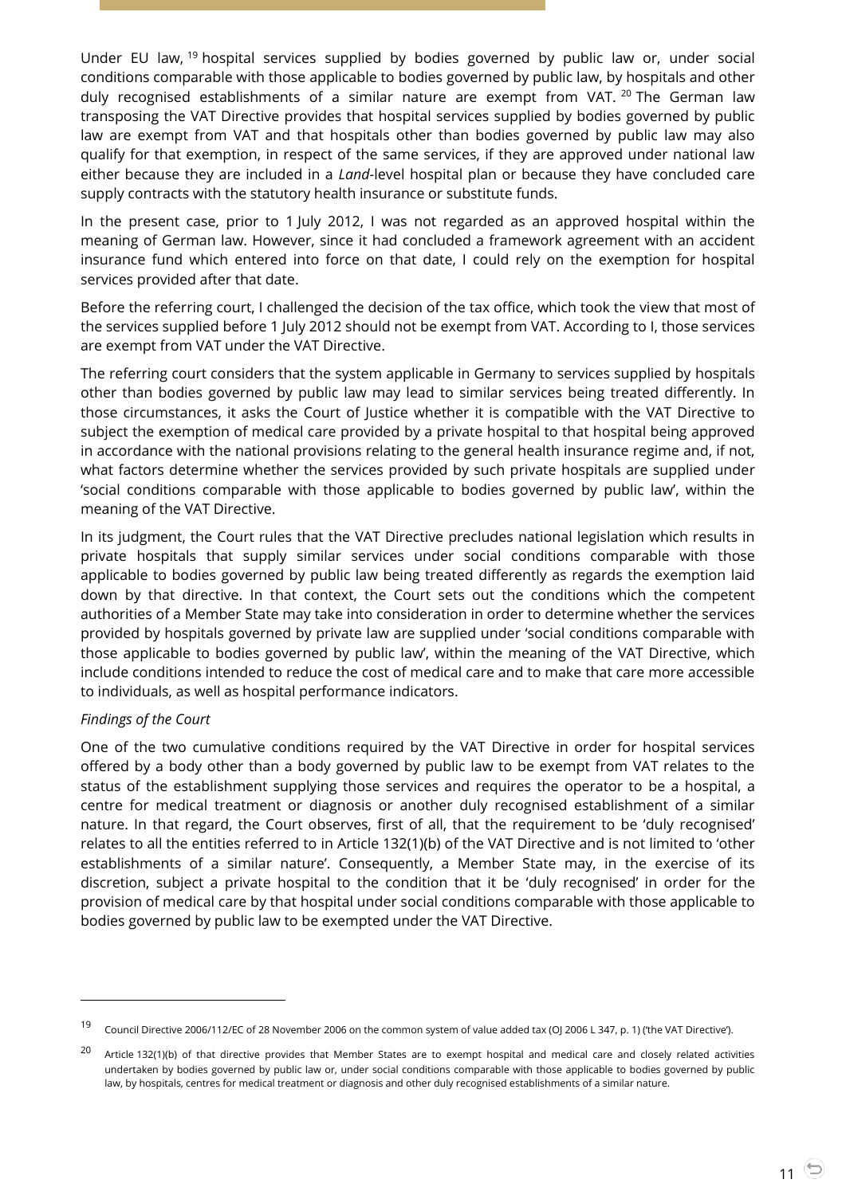Under EU law, <sup>19</sup> hospital services supplied by bodies governed by public law or, under social conditions comparable with those applicable to bodies governed by public law, by hospitals and other duly recognised establishments of a similar nature are exempt from VAT. <sup>20</sup> The German law transposing the VAT Directive provides that hospital services supplied by bodies governed by public law are exempt from VAT and that hospitals other than bodies governed by public law may also qualify for that exemption, in respect of the same services, if they are approved under national law either because they are included in a *Land*-level hospital plan or because they have concluded care supply contracts with the statutory health insurance or substitute funds.

In the present case, prior to 1 July 2012, I was not regarded as an approved hospital within the meaning of German law. However, since it had concluded a framework agreement with an accident insurance fund which entered into force on that date, I could rely on the exemption for hospital services provided after that date.

Before the referring court, I challenged the decision of the tax office, which took the view that most of the services supplied before 1 July 2012 should not be exempt from VAT. According to I, those services are exempt from VAT under the VAT Directive.

The referring court considers that the system applicable in Germany to services supplied by hospitals other than bodies governed by public law may lead to similar services being treated differently. In those circumstances, it asks the Court of Justice whether it is compatible with the VAT Directive to subject the exemption of medical care provided by a private hospital to that hospital being approved in accordance with the national provisions relating to the general health insurance regime and, if not, what factors determine whether the services provided by such private hospitals are supplied under 'social conditions comparable with those applicable to bodies governed by public law', within the meaning of the VAT Directive.

In its judgment, the Court rules that the VAT Directive precludes national legislation which results in private hospitals that supply similar services under social conditions comparable with those applicable to bodies governed by public law being treated differently as regards the exemption laid down by that directive. In that context, the Court sets out the conditions which the competent authorities of a Member State may take into consideration in order to determine whether the services provided by hospitals governed by private law are supplied under 'social conditions comparable with those applicable to bodies governed by public law', within the meaning of the VAT Directive, which include conditions intended to reduce the cost of medical care and to make that care more accessible to individuals, as well as hospital performance indicators.

#### *Findings of the Court*

l

One of the two cumulative conditions required by the VAT Directive in order for hospital services offered by a body other than a body governed by public law to be exempt from VAT relates to the status of the establishment supplying those services and requires the operator to be a hospital, a centre for medical treatment or diagnosis or another duly recognised establishment of a similar nature. In that regard, the Court observes, first of all, that the requirement to be 'duly recognised' relates to all the entities referred to in Article 132(1)(b) of the VAT Directive and is not limited to 'other establishments of a similar nature'. Consequently, a Member State may, in the exercise of its discretion, subject a private hospital to the condition that it be 'duly recognised' in order for the provision of medical care by that hospital under social conditions comparable with those applicable to bodies governed by public law to be exempted under the VAT Directive.

<sup>19</sup> Council Directive 2006/112/EC of 28 November 2006 on the common system of value added tax (OJ 2006 L 347, p. <sup>1</sup>) ('the VAT Directive').

 $20$  Article 132(1)(b) of that directive provides that Member States are to exempt hospital and medical care and closely related activities undertaken by bodies governed by public law or, under social conditions comparable with those applicable to bodies governed by public law, by hospitals, centres for medical treatment or diagnosis and other duly recognised establishments of a similar nature.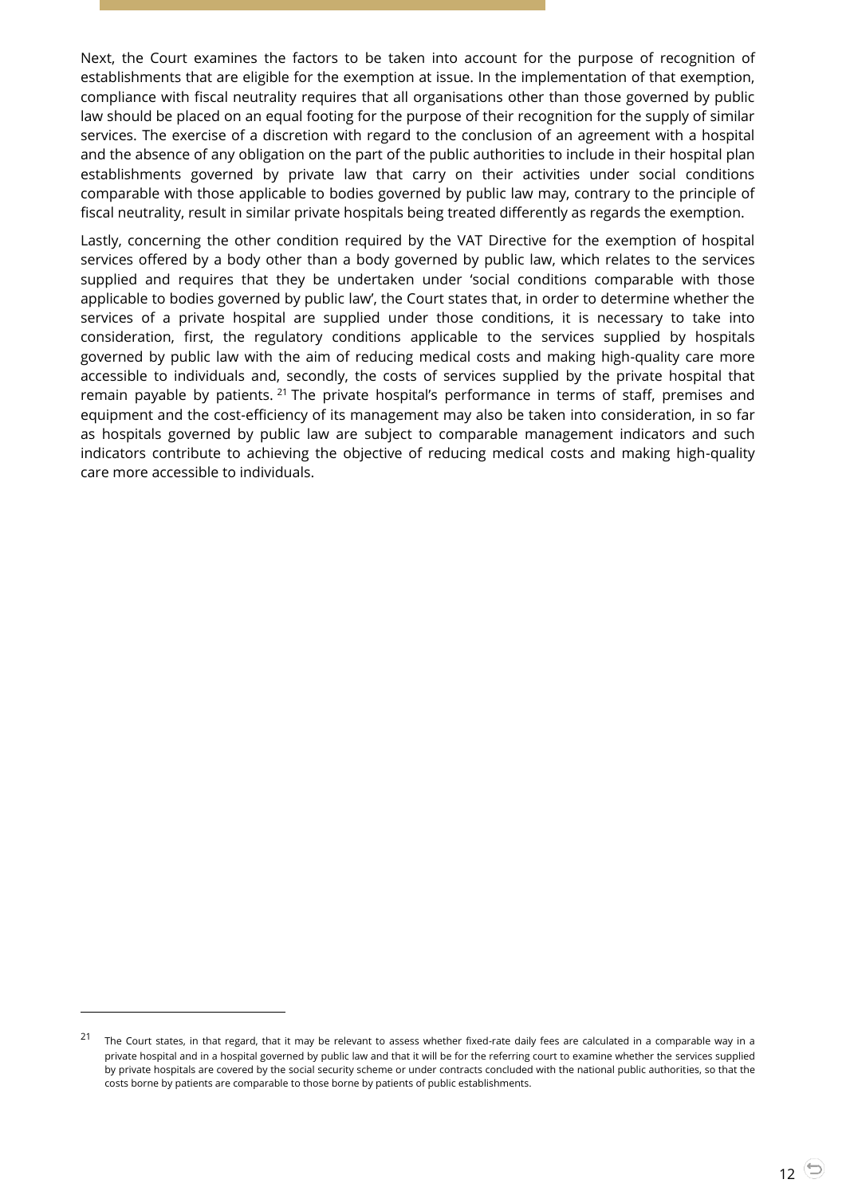Next, the Court examines the factors to be taken into account for the purpose of recognition of establishments that are eligible for the exemption at issue. In the implementation of that exemption, compliance with fiscal neutrality requires that all organisations other than those governed by public law should be placed on an equal footing for the purpose of their recognition for the supply of similar services. The exercise of a discretion with regard to the conclusion of an agreement with a hospital and the absence of any obligation on the part of the public authorities to include in their hospital plan establishments governed by private law that carry on their activities under social conditions comparable with those applicable to bodies governed by public law may, contrary to the principle of fiscal neutrality, result in similar private hospitals being treated differently as regards the exemption.

Lastly, concerning the other condition required by the VAT Directive for the exemption of hospital services offered by a body other than a body governed by public law, which relates to the services supplied and requires that they be undertaken under 'social conditions comparable with those applicable to bodies governed by public law', the Court states that, in order to determine whether the services of a private hospital are supplied under those conditions, it is necessary to take into consideration, first, the regulatory conditions applicable to the services supplied by hospitals governed by public law with the aim of reducing medical costs and making high-quality care more accessible to individuals and, secondly, the costs of services supplied by the private hospital that remain payable by patients. <sup>21</sup> The private hospital's performance in terms of staff, premises and equipment and the cost-efficiency of its management may also be taken into consideration, in so far as hospitals governed by public law are subject to comparable management indicators and such indicators contribute to achieving the objective of reducing medical costs and making high-quality care more accessible to individuals.

 $21$  The Court states, in that regard, that it may be relevant to assess whether fixed-rate daily fees are calculated in a comparable way in a private hospital and in a hospital governed by public law and that it will be for the referring court to examine whether the services supplied by private hospitals are covered by the social security scheme or under contracts concluded with the national public authorities, so that the costs borne by patients are comparable to those borne by patients of public establishments.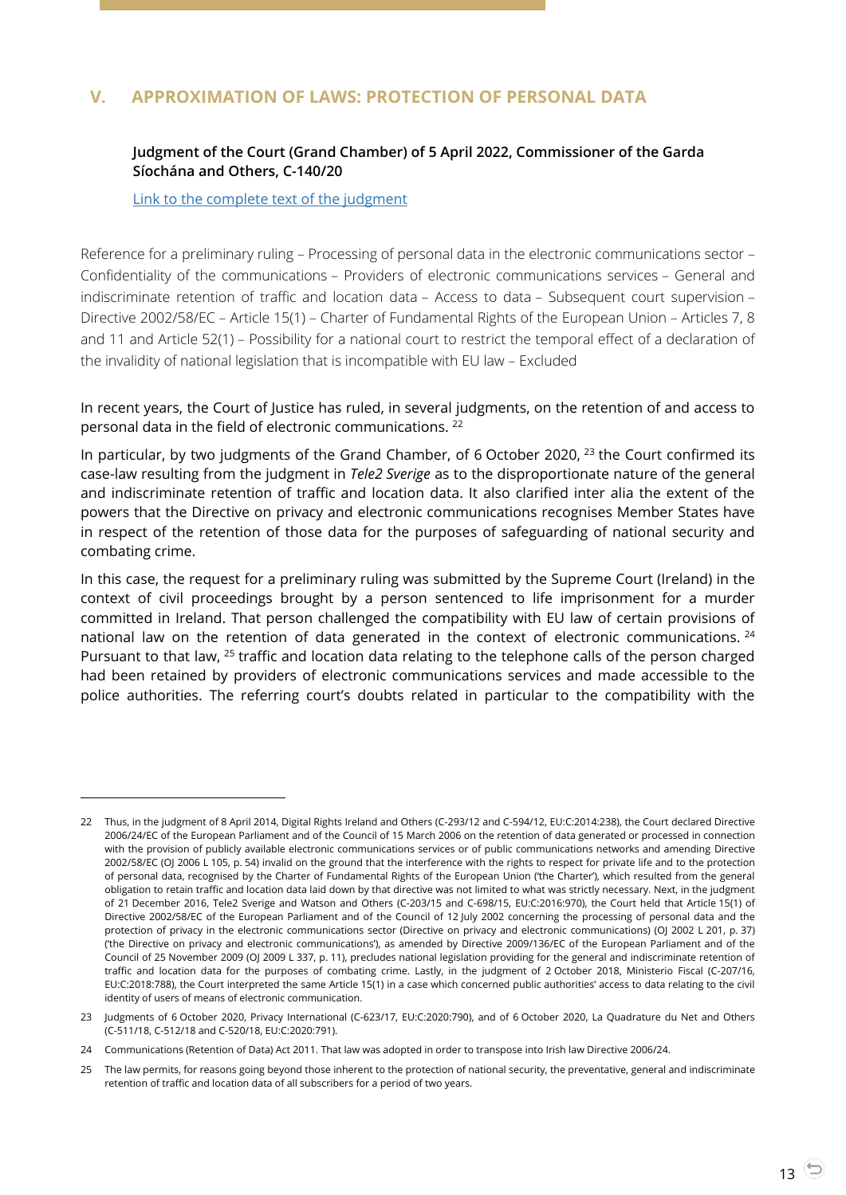## <span id="page-12-1"></span><span id="page-12-0"></span>**V. APPROXIMATION OF LAWS: PROTECTION OF PERSONAL DATA**

#### **Judgment of the Court (Grand Chamber) of 5 April 2022, Commissioner of the Garda Síochána and Others, C-140/20**

[Link to the complete text of the judgment](https://curia.europa.eu/juris/document/document.jsf?text=&docid=257242&pageIndex=0&doclang=en&mode=lst&dir=&occ=first&part=1&cid=423)

l

Reference for a preliminary ruling – Processing of personal data in the electronic communications sector – Confidentiality of the communications – Providers of electronic communications services – General and indiscriminate retention of traffic and location data – Access to data – Subsequent court supervision – Directive 2002/58/EC – Article 15(1) – Charter of Fundamental Rights of the European Union – Articles 7, 8 and 11 and Article 52(1) – Possibility for a national court to restrict the temporal effect of a declaration of the invalidity of national legislation that is incompatible with EU law – Excluded

In recent years, the Court of Justice has ruled, in several judgments, on the retention of and access to personal data in the field of electronic communications. <sup>22</sup>

In particular, by two judgments of the Grand Chamber, of 6 October 2020, <sup>23</sup> the Court confirmed its case-law resulting from the judgment in *Tele2 Sverige* as to the disproportionate nature of the general and indiscriminate retention of traffic and location data. It also clarified inter alia the extent of the powers that the Directive on privacy and electronic communications recognises Member States have in respect of the retention of those data for the purposes of safeguarding of national security and combating crime.

In this case, the request for a preliminary ruling was submitted by the Supreme Court (Ireland) in the context of civil proceedings brought by a person sentenced to life imprisonment for a murder committed in Ireland. That person challenged the compatibility with EU law of certain provisions of national law on the retention of data generated in the context of electronic communications. <sup>24</sup> Pursuant to that law, <sup>25</sup> traffic and location data relating to the telephone calls of the person charged had been retained by providers of electronic communications services and made accessible to the police authorities. The referring court's doubts related in particular to the compatibility with the

<sup>22</sup> Thus, in the judgment of 8 April 2014, Digital Rights Ireland and Others (C-293/12 and C-594/12, EU:C:2014:238), the Court declared Directive 2006/24/EC of the European Parliament and of the Council of 15 March 2006 on the retention of data generated or processed in connection with the provision of publicly available electronic communications services or of public communications networks and amending Directive 2002/58/EC (OJ 2006 L 105, p. 54) invalid on the ground that the interference with the rights to respect for private life and to the protection of personal data, recognised by the Charter of Fundamental Rights of the European Union ('the Charter'), which resulted from the general obligation to retain traffic and location data laid down by that directive was not limited to what was strictly necessary. Next, in the judgment of 21 December 2016, Tele2 Sverige and Watson and Others (C-203/15 and C-698/15, EU:C:2016:970), the Court held that Article 15(1) of Directive 2002/58/EC of the European Parliament and of the Council of 12 July 2002 concerning the processing of personal data and the protection of privacy in the electronic communications sector (Directive on privacy and electronic communications) (OJ 2002 L 201, p. 37) ('the Directive on privacy and electronic communications'), as amended by Directive 2009/136/EC of the European Parliament and of the Council of 25 November 2009 (OJ 2009 L 337, p. 11), precludes national legislation providing for the general and indiscriminate retention of traffic and location data for the purposes of combating crime. Lastly, in the judgment of 2 October 2018, Ministerio Fiscal (C-207/16, EU:C:2018:788), the Court interpreted the same Article 15(1) in a case which concerned public authorities' access to data relating to the civil identity of users of means of electronic communication.

<sup>23</sup> Judgments of 6 October 2020, Privacy International (C-623/17, EU:C:2020:790), and of 6 October 2020, La Quadrature du Net and Others (C-511/18, C-512/18 and C-520/18, EU:C:2020:791).

<sup>24</sup> Communications (Retention of Data) Act 2011. That law was adopted in order to transpose into Irish law Directive 2006/24.

<sup>25</sup> The law permits, for reasons going beyond those inherent to the protection of national security, the preventative, general and indiscriminate retention of traffic and location data of all subscribers for a period of two years.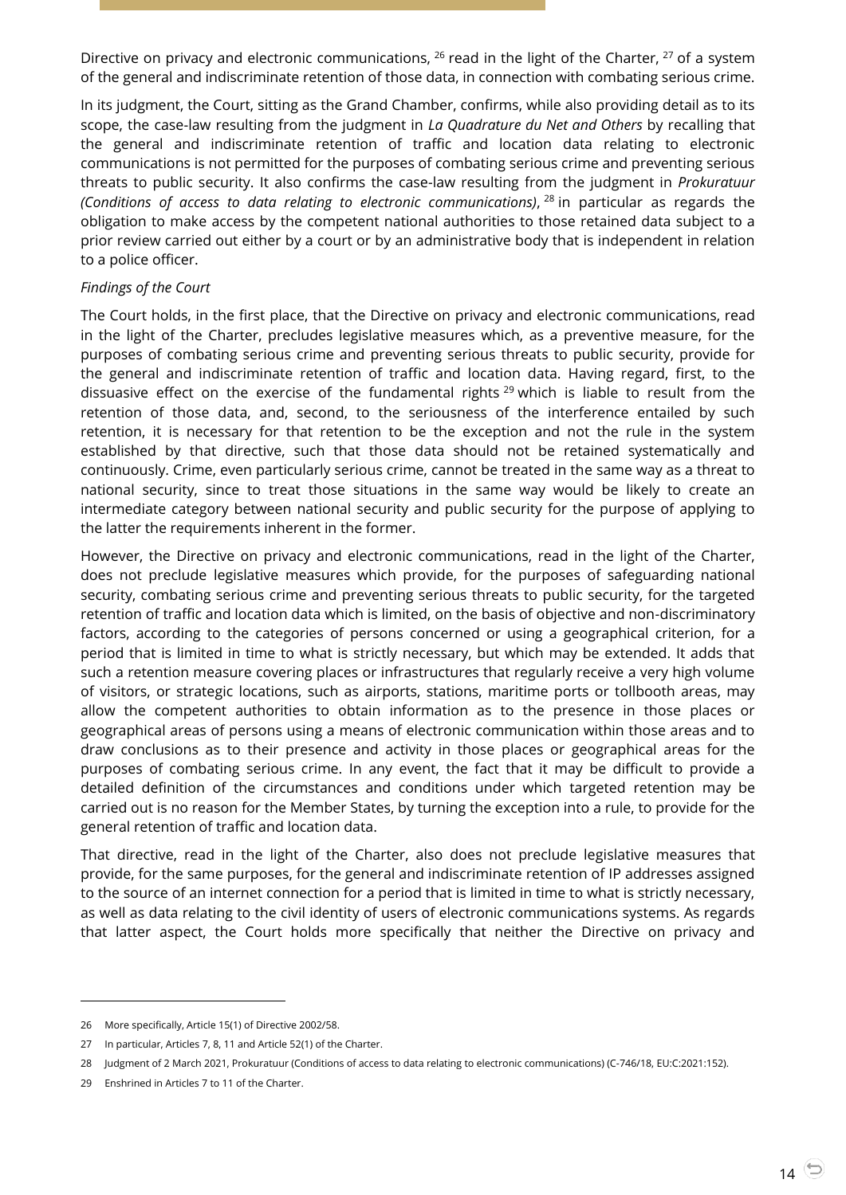Directive on privacy and electronic communications, <sup>26</sup> read in the light of the Charter, <sup>27</sup> of a system of the general and indiscriminate retention of those data, in connection with combating serious crime.

In its judgment, the Court, sitting as the Grand Chamber, confirms, while also providing detail as to its scope, the case-law resulting from the judgment in *La Quadrature du Net and Others* by recalling that the general and indiscriminate retention of traffic and location data relating to electronic communications is not permitted for the purposes of combating serious crime and preventing serious threats to public security. It also confirms the case-law resulting from the judgment in *Prokuratuur (Conditions of access to data relating to electronic communications)*, <sup>28</sup> in particular as regards the obligation to make access by the competent national authorities to those retained data subject to a prior review carried out either by a court or by an administrative body that is independent in relation to a police officer.

#### *Findings of the Court*

The Court holds, in the first place, that the Directive on privacy and electronic communications, read in the light of the Charter, precludes legislative measures which, as a preventive measure, for the purposes of combating serious crime and preventing serious threats to public security, provide for the general and indiscriminate retention of traffic and location data. Having regard, first, to the dissuasive effect on the exercise of the fundamental rights  $^{29}$  which is liable to result from the retention of those data, and, second, to the seriousness of the interference entailed by such retention, it is necessary for that retention to be the exception and not the rule in the system established by that directive, such that those data should not be retained systematically and continuously. Crime, even particularly serious crime, cannot be treated in the same way as a threat to national security, since to treat those situations in the same way would be likely to create an intermediate category between national security and public security for the purpose of applying to the latter the requirements inherent in the former.

However, the Directive on privacy and electronic communications, read in the light of the Charter, does not preclude legislative measures which provide, for the purposes of safeguarding national security, combating serious crime and preventing serious threats to public security, for the targeted retention of traffic and location data which is limited, on the basis of objective and non-discriminatory factors, according to the categories of persons concerned or using a geographical criterion, for a period that is limited in time to what is strictly necessary, but which may be extended. It adds that such a retention measure covering places or infrastructures that regularly receive a very high volume of visitors, or strategic locations, such as airports, stations, maritime ports or tollbooth areas, may allow the competent authorities to obtain information as to the presence in those places or geographical areas of persons using a means of electronic communication within those areas and to draw conclusions as to their presence and activity in those places or geographical areas for the purposes of combating serious crime. In any event, the fact that it may be difficult to provide a detailed definition of the circumstances and conditions under which targeted retention may be carried out is no reason for the Member States, by turning the exception into a rule, to provide for the general retention of traffic and location data.

That directive, read in the light of the Charter, also does not preclude legislative measures that provide, for the same purposes, for the general and indiscriminate retention of IP addresses assigned to the source of an internet connection for a period that is limited in time to what is strictly necessary, as well as data relating to the civil identity of users of electronic communications systems. As regards that latter aspect, the Court holds more specifically that neither the Directive on privacy and

<sup>26</sup> More specifically, Article 15(1) of Directive 2002/58.

<sup>27</sup> In particular, Articles 7, 8, 11 and Article 52(1) of the Charter.

<sup>28</sup> Judgment of 2 March 2021, Prokuratuur (Conditions of access to data relating to electronic communications) (C-746/18, EU:C:2021:152).

<sup>29</sup> Enshrined in Articles 7 to 11 of the Charter.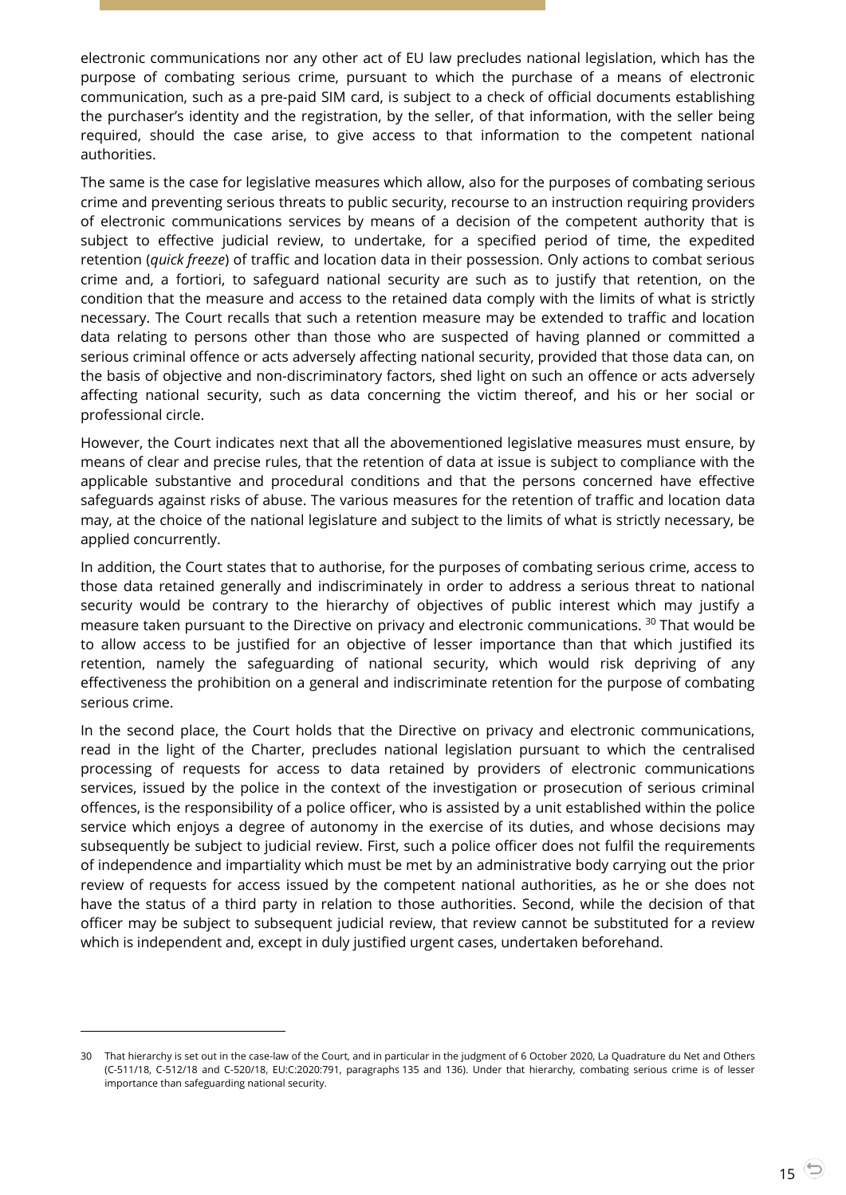electronic communications nor any other act of EU law precludes national legislation, which has the purpose of combating serious crime, pursuant to which the purchase of a means of electronic communication, such as a pre-paid SIM card, is subject to a check of official documents establishing the purchaser's identity and the registration, by the seller, of that information, with the seller being required, should the case arise, to give access to that information to the competent national authorities.

The same is the case for legislative measures which allow, also for the purposes of combating serious crime and preventing serious threats to public security, recourse to an instruction requiring providers of electronic communications services by means of a decision of the competent authority that is subject to effective judicial review, to undertake, for a specified period of time, the expedited retention (*quick freeze*) of traffic and location data in their possession. Only actions to combat serious crime and, a fortiori, to safeguard national security are such as to justify that retention, on the condition that the measure and access to the retained data comply with the limits of what is strictly necessary. The Court recalls that such a retention measure may be extended to traffic and location data relating to persons other than those who are suspected of having planned or committed a serious criminal offence or acts adversely affecting national security, provided that those data can, on the basis of objective and non-discriminatory factors, shed light on such an offence or acts adversely affecting national security, such as data concerning the victim thereof, and his or her social or professional circle.

However, the Court indicates next that all the abovementioned legislative measures must ensure, by means of clear and precise rules, that the retention of data at issue is subject to compliance with the applicable substantive and procedural conditions and that the persons concerned have effective safeguards against risks of abuse. The various measures for the retention of traffic and location data may, at the choice of the national legislature and subject to the limits of what is strictly necessary, be applied concurrently.

In addition, the Court states that to authorise, for the purposes of combating serious crime, access to those data retained generally and indiscriminately in order to address a serious threat to national security would be contrary to the hierarchy of objectives of public interest which may justify a measure taken pursuant to the Directive on privacy and electronic communications. <sup>30</sup> That would be to allow access to be justified for an objective of lesser importance than that which justified its retention, namely the safeguarding of national security, which would risk depriving of any effectiveness the prohibition on a general and indiscriminate retention for the purpose of combating serious crime.

In the second place, the Court holds that the Directive on privacy and electronic communications, read in the light of the Charter, precludes national legislation pursuant to which the centralised processing of requests for access to data retained by providers of electronic communications services, issued by the police in the context of the investigation or prosecution of serious criminal offences, is the responsibility of a police officer, who is assisted by a unit established within the police service which enjoys a degree of autonomy in the exercise of its duties, and whose decisions may subsequently be subject to judicial review. First, such a police officer does not fulfil the requirements of independence and impartiality which must be met by an administrative body carrying out the prior review of requests for access issued by the competent national authorities, as he or she does not have the status of a third party in relation to those authorities. Second, while the decision of that officer may be subject to subsequent judicial review, that review cannot be substituted for a review which is independent and, except in duly justified urgent cases, undertaken beforehand.

<sup>30</sup> That hierarchy is set out in the case-law of the Court, and in particular in the judgment of 6 October 2020, La Quadrature du Net and Others (C-511/18, C-512/18 and C-520/18, EU:C:2020:791, paragraphs 135 and 136). Under that hierarchy, combating serious crime is of lesser importance than safeguarding national security.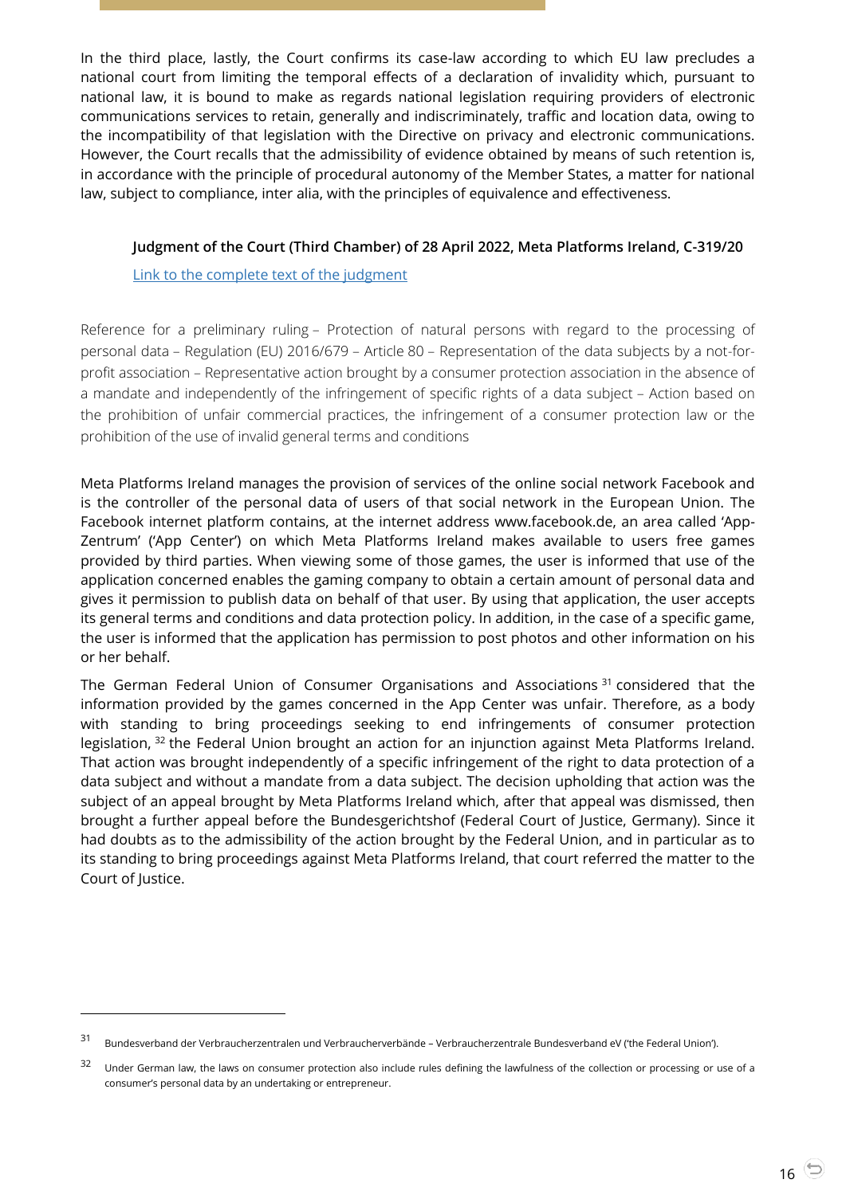In the third place, lastly, the Court confirms its case-law according to which EU law precludes a national court from limiting the temporal effects of a declaration of invalidity which, pursuant to national law, it is bound to make as regards national legislation requiring providers of electronic communications services to retain, generally and indiscriminately, traffic and location data, owing to the incompatibility of that legislation with the Directive on privacy and electronic communications. However, the Court recalls that the admissibility of evidence obtained by means of such retention is, in accordance with the principle of procedural autonomy of the Member States, a matter for national law, subject to compliance, inter alia, with the principles of equivalence and effectiveness.

#### <span id="page-15-0"></span>**Judgment of the Court (Third Chamber) of 28 April 2022, Meta Platforms Ireland, C-319/20**

[Link to the complete text of the judgment](https://curia.europa.eu/juris/document/document.jsf?text=&docid=258485&pageIndex=0&doclang=EN&mode=lst&dir=&occ=first&part=1&cid=4693454)

Reference for a preliminary ruling – Protection of natural persons with regard to the processing of personal data – Regulation (EU) 2016/679 – Article 80 – Representation of the data subjects by a not-forprofit association – Representative action brought by a consumer protection association in the absence of a mandate and independently of the infringement of specific rights of a data subject – Action based on the prohibition of unfair commercial practices, the infringement of a consumer protection law or the prohibition of the use of invalid general terms and conditions

Meta Platforms Ireland manages the provision of services of the online social network Facebook and is the controller of the personal data of users of that social network in the European Union. The Facebook internet platform contains, at the internet address www.facebook.de, an area called 'App-Zentrum' ('App Center') on which Meta Platforms Ireland makes available to users free games provided by third parties. When viewing some of those games, the user is informed that use of the application concerned enables the gaming company to obtain a certain amount of personal data and gives it permission to publish data on behalf of that user. By using that application, the user accepts its general terms and conditions and data protection policy. In addition, in the case of a specific game, the user is informed that the application has permission to post photos and other information on his or her behalf.

The German Federal Union of Consumer Organisations and Associations <sup>31</sup> considered that the information provided by the games concerned in the App Center was unfair. Therefore, as a body with standing to bring proceedings seeking to end infringements of consumer protection legislation, <sup>32</sup> the Federal Union brought an action for an injunction against Meta Platforms Ireland. That action was brought independently of a specific infringement of the right to data protection of a data subject and without a mandate from a data subject. The decision upholding that action was the subject of an appeal brought by Meta Platforms Ireland which, after that appeal was dismissed, then brought a further appeal before the Bundesgerichtshof (Federal Court of Justice, Germany). Since it had doubts as to the admissibility of the action brought by the Federal Union, and in particular as to its standing to bring proceedings against Meta Platforms Ireland, that court referred the matter to the Court of Justice.

<sup>31</sup> Bundesverband der Verbraucherzentralen und Verbraucherverbände – Verbraucherzentrale Bundesverband eV ('the Federal Union').

<sup>&</sup>lt;sup>32</sup> Under German law, the laws on consumer protection also include rules defining the lawfulness of the collection or processing or use of a consumer's personal data by an undertaking or entrepreneur.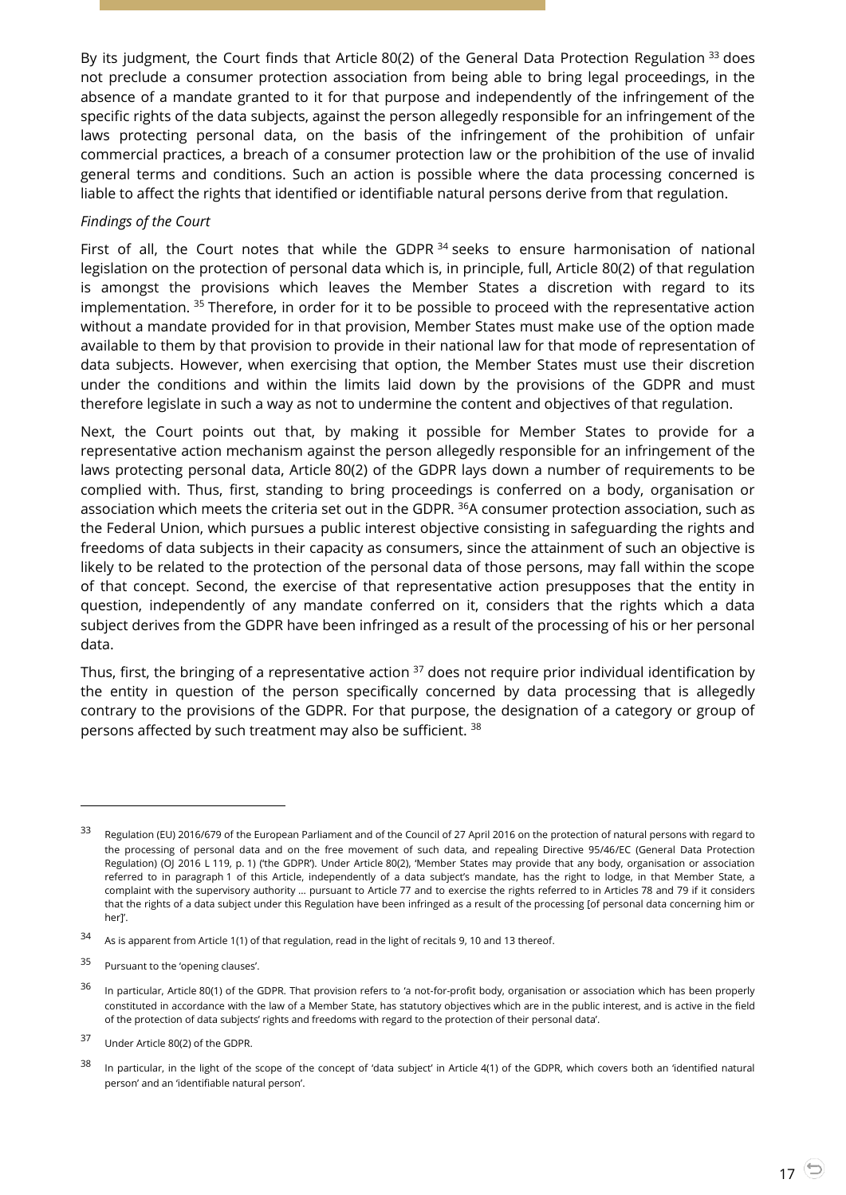By its judgment, the Court finds that Article 80(2) of the General Data Protection Regulation 33 does not preclude a consumer protection association from being able to bring legal proceedings, in the absence of a mandate granted to it for that purpose and independently of the infringement of the specific rights of the data subjects, against the person allegedly responsible for an infringement of the laws protecting personal data, on the basis of the infringement of the prohibition of unfair commercial practices, a breach of a consumer protection law or the prohibition of the use of invalid general terms and conditions. Such an action is possible where the data processing concerned is liable to affect the rights that identified or identifiable natural persons derive from that regulation.

#### *Findings of the Court*

First of all, the Court notes that while the GDPR  $34$  seeks to ensure harmonisation of national legislation on the protection of personal data which is, in principle, full, Article 80(2) of that regulation is amongst the provisions which leaves the Member States a discretion with regard to its implementation. <sup>35</sup> Therefore, in order for it to be possible to proceed with the representative action without a mandate provided for in that provision, Member States must make use of the option made available to them by that provision to provide in their national law for that mode of representation of data subjects. However, when exercising that option, the Member States must use their discretion under the conditions and within the limits laid down by the provisions of the GDPR and must therefore legislate in such a way as not to undermine the content and objectives of that regulation.

Next, the Court points out that, by making it possible for Member States to provide for a representative action mechanism against the person allegedly responsible for an infringement of the laws protecting personal data, Article 80(2) of the GDPR lays down a number of requirements to be complied with. Thus, first, standing to bring proceedings is conferred on a body, organisation or association which meets the criteria set out in the GDPR. <sup>36</sup>A consumer protection association, such as the Federal Union, which pursues a public interest objective consisting in safeguarding the rights and freedoms of data subjects in their capacity as consumers, since the attainment of such an objective is likely to be related to the protection of the personal data of those persons, may fall within the scope of that concept. Second, the exercise of that representative action presupposes that the entity in question, independently of any mandate conferred on it, considers that the rights which a data subject derives from the GDPR have been infringed as a result of the processing of his or her personal data.

Thus, first, the bringing of a representative action <sup>37</sup> does not require prior individual identification by the entity in question of the person specifically concerned by data processing that is allegedly contrary to the provisions of the GDPR. For that purpose, the designation of a category or group of persons affected by such treatment may also be sufficient. <sup>38</sup>

<sup>33</sup> Regulation (EU) 2016/679 of the European Parliament and of the Council of 27 April 2016 on the protection of natural persons with regard to the processing of personal data and on the free movement of such data, and repealing Directive 95/46/EC (General Data Protection Regulation) (OJ 2016 L 119, p. 1) ('the GDPR'). Under Article 80(2), 'Member States may provide that any body, organisation or association referred to in paragraph 1 of this Article, independently of a data subject's mandate, has the right to lodge, in that Member State, a complaint with the supervisory authority … pursuant to Article 77 and to exercise the rights referred to in Articles 78 and 79 if it considers that the rights of a data subject under this Regulation have been infringed as a result of the processing [of personal data concerning him or her]'.

<sup>34</sup> As is apparent from Article 1(1) of that regulation, read in the light of recitals 9, 10 and 13 thereof.

<sup>35</sup> Pursuant to the 'opening clauses'.

<sup>&</sup>lt;sup>36</sup> In particular, Article 80(1) of the GDPR. That provision refers to 'a not-for-profit body, organisation or association which has been properly constituted in accordance with the law of a Member State, has statutory objectives which are in the public interest, and is active in the field of the protection of data subjects' rights and freedoms with regard to the protection of their personal data'.

<sup>37</sup> Under Article 80(2) of the GDPR.

<sup>&</sup>lt;sup>38</sup> In particular, in the light of the scope of the concept of 'data subject' in Article 4(1) of the GDPR, which covers both an 'identified natural person' and an 'identifiable natural person'.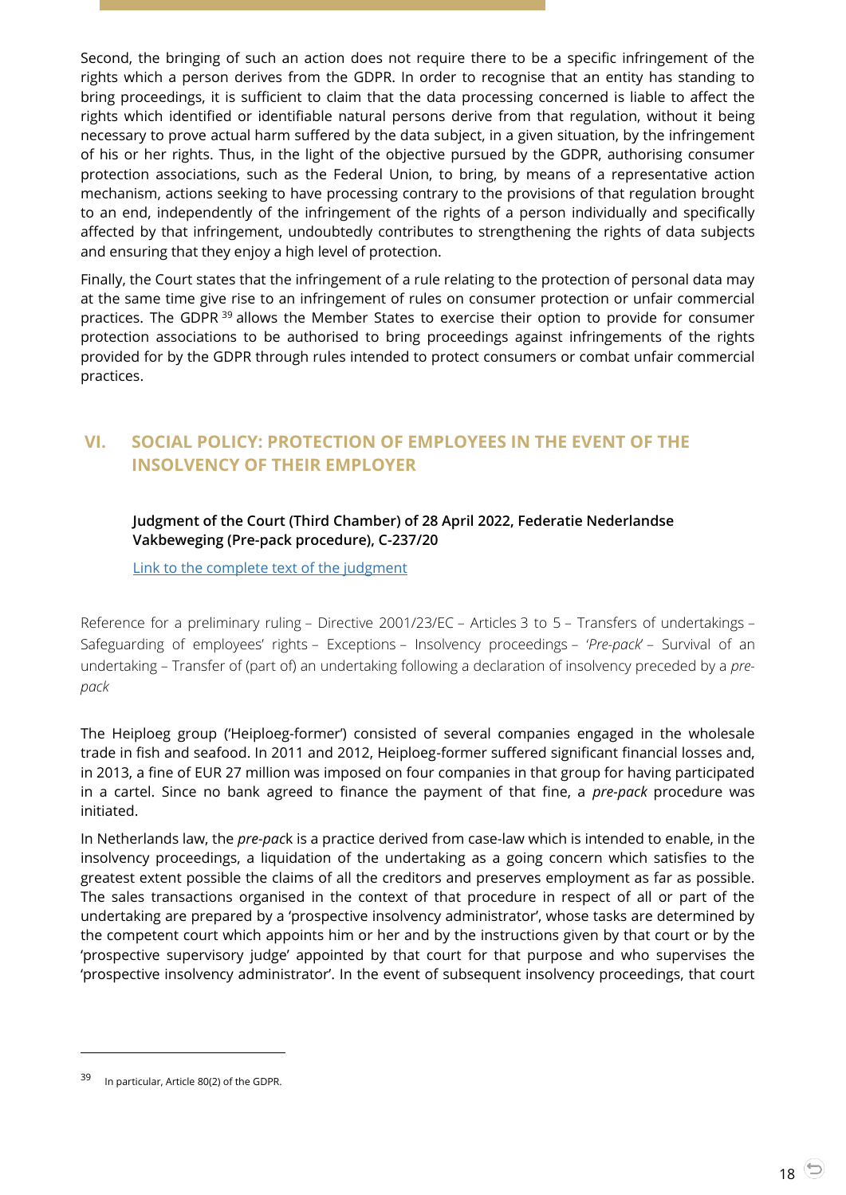Second, the bringing of such an action does not require there to be a specific infringement of the rights which a person derives from the GDPR. In order to recognise that an entity has standing to bring proceedings, it is sufficient to claim that the data processing concerned is liable to affect the rights which identified or identifiable natural persons derive from that regulation, without it being necessary to prove actual harm suffered by the data subject, in a given situation, by the infringement of his or her rights. Thus, in the light of the objective pursued by the GDPR, authorising consumer protection associations, such as the Federal Union, to bring, by means of a representative action mechanism, actions seeking to have processing contrary to the provisions of that regulation brought to an end, independently of the infringement of the rights of a person individually and specifically affected by that infringement, undoubtedly contributes to strengthening the rights of data subjects and ensuring that they enjoy a high level of protection.

Finally, the Court states that the infringement of a rule relating to the protection of personal data may at the same time give rise to an infringement of rules on consumer protection or unfair commercial practices. The GDPR<sup>39</sup> allows the Member States to exercise their option to provide for consumer protection associations to be authorised to bring proceedings against infringements of the rights provided for by the GDPR through rules intended to protect consumers or combat unfair commercial practices.

## <span id="page-17-1"></span><span id="page-17-0"></span>**VI. SOCIAL POLICY: PROTECTION OF EMPLOYEES IN THE EVENT OF THE INSOLVENCY OF THEIR EMPLOYER**

#### **Judgment of the Court (Third Chamber) of 28 April 2022, Federatie Nederlandse Vakbeweging (Pre-pack procedure), C-237/20**

[Link to the complete text of the judgment](https://curia.europa.eu/juris/document/document.jsf?text=&docid=258484&pageIndex=0&doclang=en&mode=lst&dir=&occ=first&part=1&cid=4691358)

Reference for a preliminary ruling – Directive 2001/23/EC – Articles 3 to 5 – Transfers of undertakings – Safeguarding of employees' rights – Exceptions – Insolvency proceedings – '*Pre-pack*' – Survival of an undertaking – Transfer of (part of) an undertaking following a declaration of insolvency preceded by a *prepack*

The Heiploeg group ('Heiploeg-former') consisted of several companies engaged in the wholesale trade in fish and seafood. In 2011 and 2012, Heiploeg-former suffered significant financial losses and, in 2013, a fine of EUR 27 million was imposed on four companies in that group for having participated in a cartel. Since no bank agreed to finance the payment of that fine, a *pre-pack* procedure was initiated.

In Netherlands law, the *pre-pac*k is a practice derived from case-law which is intended to enable, in the insolvency proceedings, a liquidation of the undertaking as a going concern which satisfies to the greatest extent possible the claims of all the creditors and preserves employment as far as possible. The sales transactions organised in the context of that procedure in respect of all or part of the undertaking are prepared by a 'prospective insolvency administrator', whose tasks are determined by the competent court which appoints him or her and by the instructions given by that court or by the 'prospective supervisory judge' appointed by that court for that purpose and who supervises the 'prospective insolvency administrator'. In the event of subsequent insolvency proceedings, that court

<sup>39</sup> In particular, Article 80(2) of the GDPR.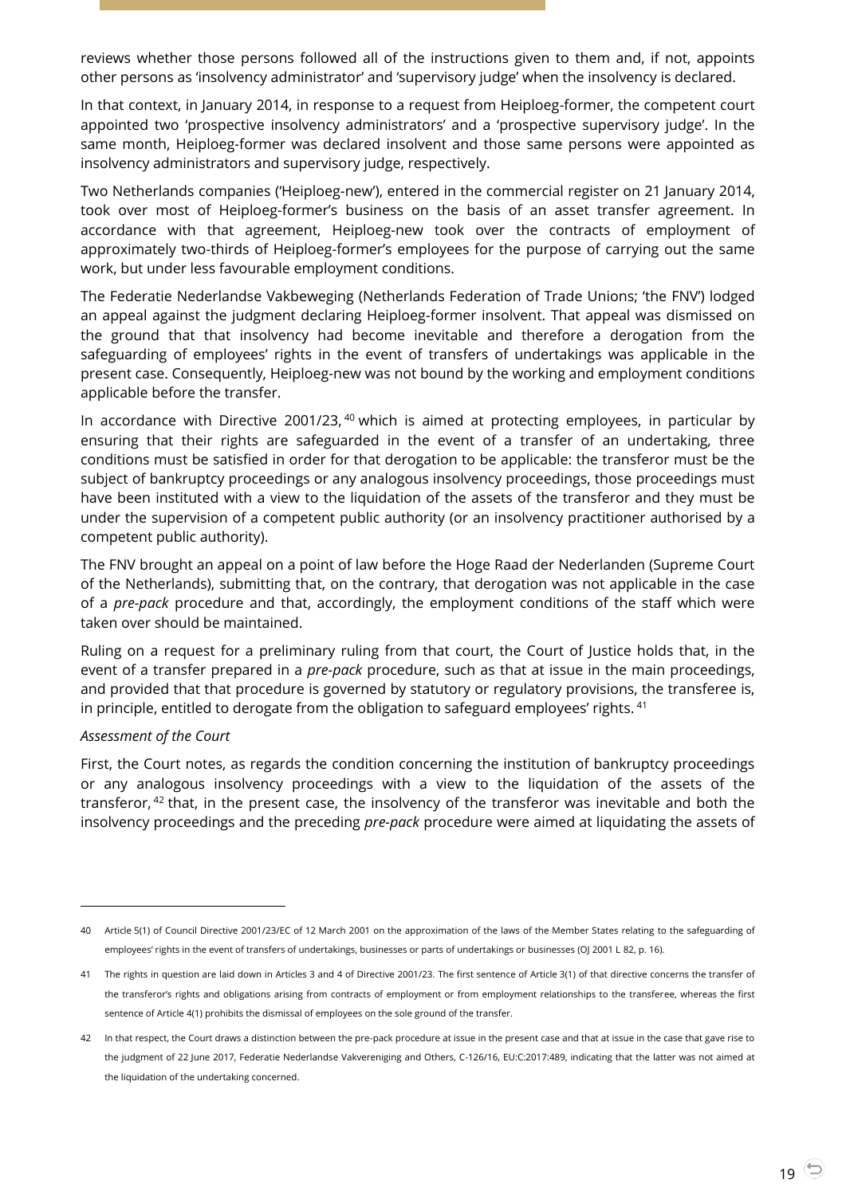reviews whether those persons followed all of the instructions given to them and, if not, appoints other persons as 'insolvency administrator' and 'supervisory judge' when the insolvency is declared.

In that context, in January 2014, in response to a request from Heiploeg-former, the competent court appointed two 'prospective insolvency administrators' and a 'prospective supervisory judge'. In the same month, Heiploeg-former was declared insolvent and those same persons were appointed as insolvency administrators and supervisory judge, respectively.

Two Netherlands companies ('Heiploeg-new'), entered in the commercial register on 21 January 2014, took over most of Heiploeg-former's business on the basis of an asset transfer agreement. In accordance with that agreement, Heiploeg-new took over the contracts of employment of approximately two-thirds of Heiploeg-former's employees for the purpose of carrying out the same work, but under less favourable employment conditions.

The Federatie Nederlandse Vakbeweging (Netherlands Federation of Trade Unions; 'the FNV') lodged an appeal against the judgment declaring Heiploeg-former insolvent. That appeal was dismissed on the ground that that insolvency had become inevitable and therefore a derogation from the safeguarding of employees' rights in the event of transfers of undertakings was applicable in the present case. Consequently, Heiploeg-new was not bound by the working and employment conditions applicable before the transfer.

In accordance with Directive 2001/23, <sup>40</sup> which is aimed at protecting employees, in particular by ensuring that their rights are safeguarded in the event of a transfer of an undertaking, three conditions must be satisfied in order for that derogation to be applicable: the transferor must be the subject of bankruptcy proceedings or any analogous insolvency proceedings, those proceedings must have been instituted with a view to the liquidation of the assets of the transferor and they must be under the supervision of a competent public authority (or an insolvency practitioner authorised by a competent public authority).

The FNV brought an appeal on a point of law before the Hoge Raad der Nederlanden (Supreme Court of the Netherlands), submitting that, on the contrary, that derogation was not applicable in the case of a *pre-pack* procedure and that, accordingly, the employment conditions of the staff which were taken over should be maintained.

Ruling on a request for a preliminary ruling from that court, the Court of Justice holds that, in the event of a transfer prepared in a *pre-pack* procedure, such as that at issue in the main proceedings, and provided that that procedure is governed by statutory or regulatory provisions, the transferee is, in principle, entitled to derogate from the obligation to safeguard employees' rights.  $41$ 

#### *Assessment of the Court*

l

First, the Court notes, as regards the condition concerning the institution of bankruptcy proceedings or any analogous insolvency proceedings with a view to the liquidation of the assets of the transferor, <sup>42</sup> that, in the present case, the insolvency of the transferor was inevitable and both the insolvency proceedings and the preceding *pre-pack* procedure were aimed at liquidating the assets of

<sup>40</sup> Article 5(1) of Council Directive 2001/23/EC of 12 March 2001 on the approximation of the laws of the Member States relating to the safeguarding of employees' rights in the event of transfers of undertakings, businesses or parts of undertakings or businesses (OJ 2001 L 82, p. 16).

<sup>41</sup> The rights in question are laid down in Articles 3 and 4 of Directive 2001/23. The first sentence of Article 3(1) of that directive concerns the transfer of the transferor's rights and obligations arising from contracts of employment or from employment relationships to the transferee, whereas the first sentence of Article 4(1) prohibits the dismissal of employees on the sole ground of the transfer.

<sup>42</sup> In that respect, the Court draws a distinction between the pre-pack procedure at issue in the present case and that at issue in the case that gave rise to the judgment of 22 June 2017, Federatie Nederlandse Vakvereniging and Others, C-126/16, EU:C:2017:489, indicating that the latter was not aimed at the liquidation of the undertaking concerned.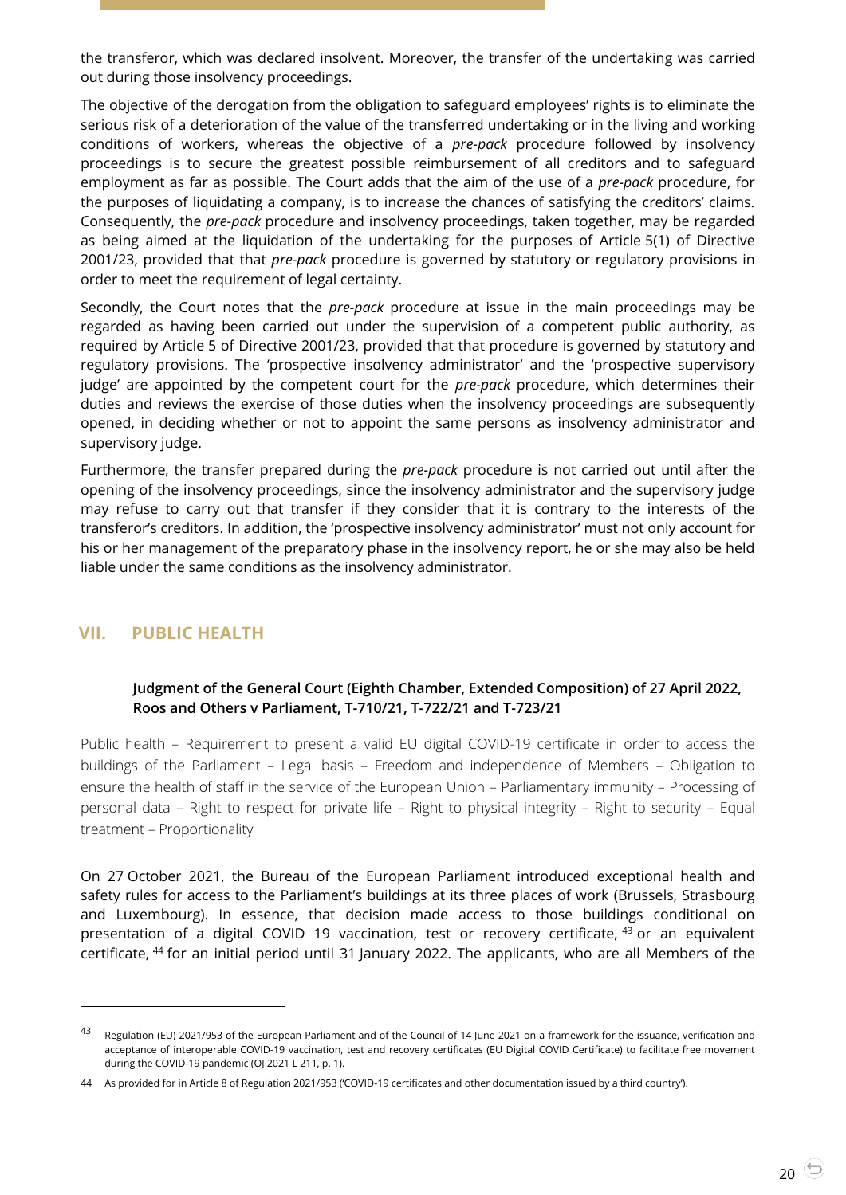the transferor, which was declared insolvent. Moreover, the transfer of the undertaking was carried out during those insolvency proceedings.

The objective of the derogation from the obligation to safeguard employees' rights is to eliminate the serious risk of a deterioration of the value of the transferred undertaking or in the living and working conditions of workers, whereas the objective of a *pre-pack* procedure followed by insolvency proceedings is to secure the greatest possible reimbursement of all creditors and to safeguard employment as far as possible. The Court adds that the aim of the use of a *pre-pack* procedure, for the purposes of liquidating a company, is to increase the chances of satisfying the creditors' claims. Consequently, the *pre-pack* procedure and insolvency proceedings, taken together, may be regarded as being aimed at the liquidation of the undertaking for the purposes of Article 5(1) of Directive 2001/23, provided that that *pre-pack* procedure is governed by statutory or regulatory provisions in order to meet the requirement of legal certainty.

Secondly, the Court notes that the *pre-pack* procedure at issue in the main proceedings may be regarded as having been carried out under the supervision of a competent public authority, as required by Article 5 of Directive 2001/23, provided that that procedure is governed by statutory and regulatory provisions. The 'prospective insolvency administrator' and the 'prospective supervisory judge' are appointed by the competent court for the *pre-pack* procedure, which determines their duties and reviews the exercise of those duties when the insolvency proceedings are subsequently opened, in deciding whether or not to appoint the same persons as insolvency administrator and supervisory judge.

Furthermore, the transfer prepared during the *pre-pack* procedure is not carried out until after the opening of the insolvency proceedings, since the insolvency administrator and the supervisory judge may refuse to carry out that transfer if they consider that it is contrary to the interests of the transferor's creditors. In addition, the 'prospective insolvency administrator' must not only account for his or her management of the preparatory phase in the insolvency report, he or she may also be held liable under the same conditions as the insolvency administrator.

#### <span id="page-19-1"></span><span id="page-19-0"></span>**VII. PUBLIC HEALTH**

l

#### **Judgment of the General Court (Eighth Chamber, Extended Composition) of 27 April 2022, Roos and Others v Parliament, T-710/21, T-722/21 and T-723/21**

Public health – Requirement to present a valid EU digital COVID-19 certificate in order to access the buildings of the Parliament – Legal basis – Freedom and independence of Members – Obligation to ensure the health of staff in the service of the European Union – Parliamentary immunity – Processing of personal data – Right to respect for private life – Right to physical integrity – Right to security – Equal treatment – Proportionality

On 27 October 2021, the Bureau of the European Parliament introduced exceptional health and safety rules for access to the Parliament's buildings at its three places of work (Brussels, Strasbourg and Luxembourg). In essence, that decision made access to those buildings conditional on presentation of a digital COVID 19 vaccination, test or recovery certificate, <sup>43</sup> or an equivalent certificate, <sup>44</sup> for an initial period until 31 January 2022. The applicants, who are all Members of the

<sup>43</sup> Regulation (EU) 2021/953 of the European Parliament and of the Council of 14 June 2021 on a framework for the issuance, verification and acceptance of interoperable COVID-19 vaccination, test and recovery certificates (EU Digital COVID Certificate) to facilitate free movement during the COVID-19 pandemic (OJ 2021 L 211, p. 1).

<sup>44</sup> As provided for in Article 8 of Regulation 2021/953 ('COVID-19 certificates and other documentation issued by a third country').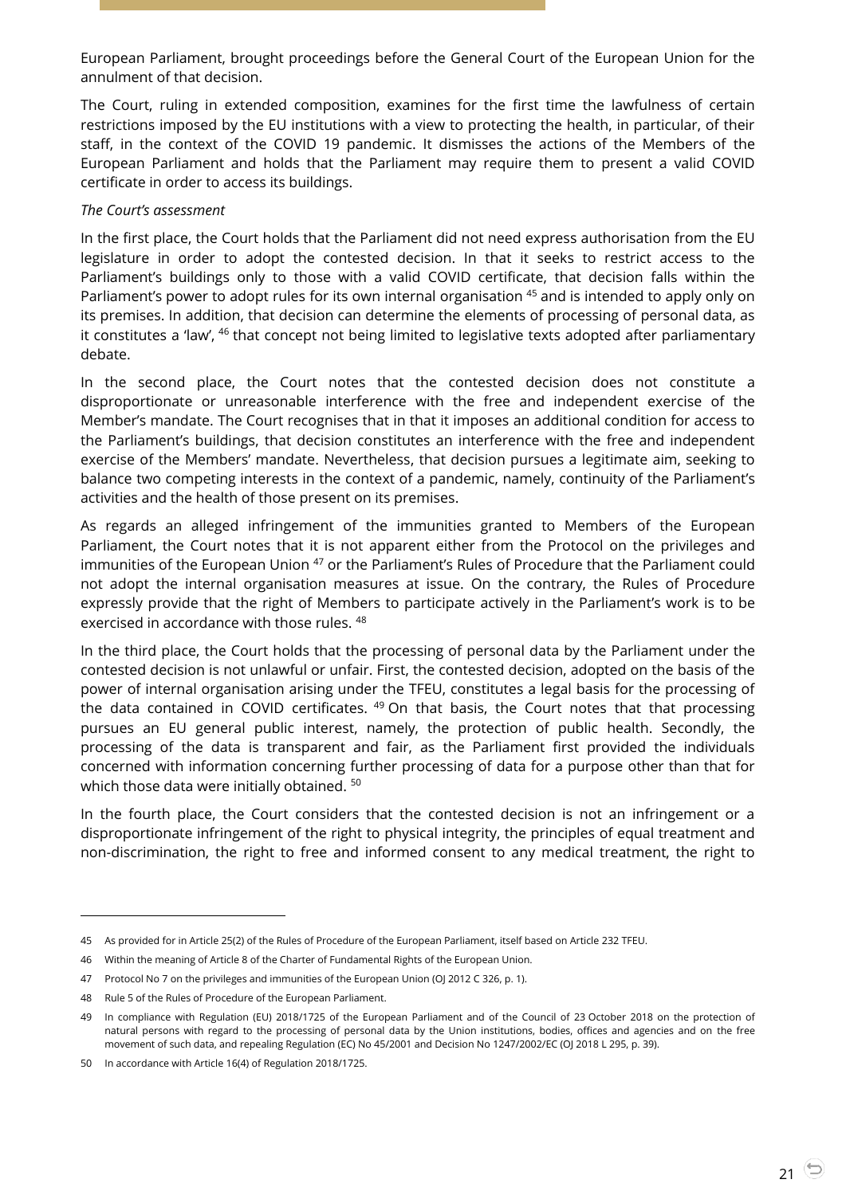European Parliament, brought proceedings before the General Court of the European Union for the annulment of that decision.

The Court, ruling in extended composition, examines for the first time the lawfulness of certain restrictions imposed by the EU institutions with a view to protecting the health, in particular, of their staff, in the context of the COVID 19 pandemic. It dismisses the actions of the Members of the European Parliament and holds that the Parliament may require them to present a valid COVID certificate in order to access its buildings.

#### *The Court's assessment*

In the first place, the Court holds that the Parliament did not need express authorisation from the EU legislature in order to adopt the contested decision. In that it seeks to restrict access to the Parliament's buildings only to those with a valid COVID certificate, that decision falls within the Parliament's power to adopt rules for its own internal organisation <sup>45</sup> and is intended to apply only on its premises. In addition, that decision can determine the elements of processing of personal data, as it constitutes a 'law', <sup>46</sup> that concept not being limited to legislative texts adopted after parliamentary debate.

In the second place, the Court notes that the contested decision does not constitute a disproportionate or unreasonable interference with the free and independent exercise of the Member's mandate. The Court recognises that in that it imposes an additional condition for access to the Parliament's buildings, that decision constitutes an interference with the free and independent exercise of the Members' mandate. Nevertheless, that decision pursues a legitimate aim, seeking to balance two competing interests in the context of a pandemic, namely, continuity of the Parliament's activities and the health of those present on its premises.

As regards an alleged infringement of the immunities granted to Members of the European Parliament, the Court notes that it is not apparent either from the Protocol on the privileges and immunities of the European Union <sup>47</sup> or the Parliament's Rules of Procedure that the Parliament could not adopt the internal organisation measures at issue. On the contrary, the Rules of Procedure expressly provide that the right of Members to participate actively in the Parliament's work is to be exercised in accordance with those rules. <sup>48</sup>

In the third place, the Court holds that the processing of personal data by the Parliament under the contested decision is not unlawful or unfair. First, the contested decision, adopted on the basis of the power of internal organisation arising under the TFEU, constitutes a legal basis for the processing of the data contained in COVID certificates.  $49$  On that basis, the Court notes that that processing pursues an EU general public interest, namely, the protection of public health. Secondly, the processing of the data is transparent and fair, as the Parliament first provided the individuals concerned with information concerning further processing of data for a purpose other than that for which those data were initially obtained.  $^{50}$ 

In the fourth place, the Court considers that the contested decision is not an infringement or a disproportionate infringement of the right to physical integrity, the principles of equal treatment and non-discrimination, the right to free and informed consent to any medical treatment, the right to

<sup>45</sup> As provided for in Article 25(2) of the Rules of Procedure of the European Parliament, itself based on Article 232 TFEU.

<sup>46</sup> Within the meaning of Article 8 of the Charter of Fundamental Rights of the European Union.

<sup>47</sup> Protocol No 7 on the privileges and immunities of the European Union (OJ 2012 C 326, p. 1).

<sup>48</sup> Rule 5 of the Rules of Procedure of the European Parliament.

<sup>49</sup> In compliance with Regulation (EU) 2018/1725 of the European Parliament and of the Council of 23 October 2018 on the protection of natural persons with regard to the processing of personal data by the Union institutions, bodies, offices and agencies and on the free movement of such data, and repealing Regulation (EC) No 45/2001 and Decision No 1247/2002/EC (OJ 2018 L 295, p. 39).

<sup>50</sup> In accordance with Article 16(4) of Regulation 2018/1725.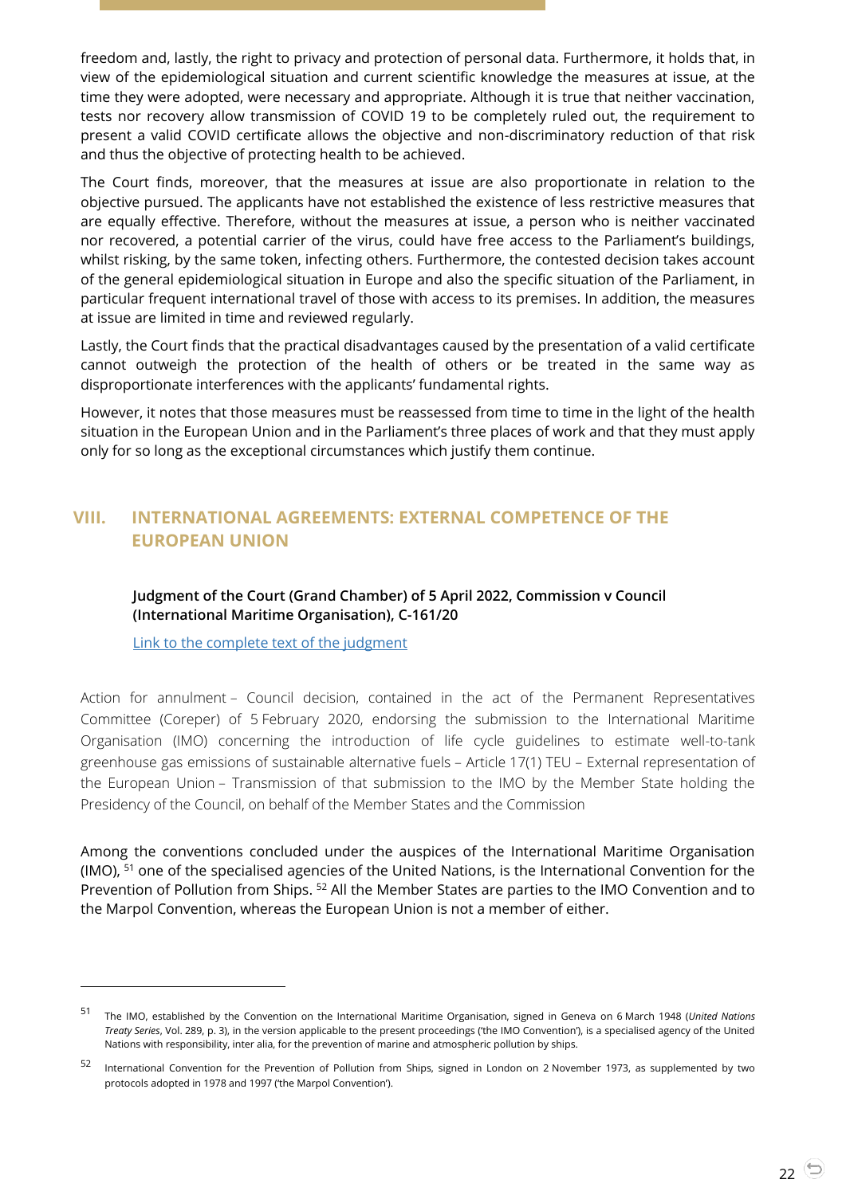freedom and, lastly, the right to privacy and protection of personal data. Furthermore, it holds that, in view of the epidemiological situation and current scientific knowledge the measures at issue, at the time they were adopted, were necessary and appropriate. Although it is true that neither vaccination, tests nor recovery allow transmission of COVID 19 to be completely ruled out, the requirement to present a valid COVID certificate allows the objective and non-discriminatory reduction of that risk and thus the objective of protecting health to be achieved.

The Court finds, moreover, that the measures at issue are also proportionate in relation to the objective pursued. The applicants have not established the existence of less restrictive measures that are equally effective. Therefore, without the measures at issue, a person who is neither vaccinated nor recovered, a potential carrier of the virus, could have free access to the Parliament's buildings, whilst risking, by the same token, infecting others. Furthermore, the contested decision takes account of the general epidemiological situation in Europe and also the specific situation of the Parliament, in particular frequent international travel of those with access to its premises. In addition, the measures at issue are limited in time and reviewed regularly.

Lastly, the Court finds that the practical disadvantages caused by the presentation of a valid certificate cannot outweigh the protection of the health of others or be treated in the same way as disproportionate interferences with the applicants' fundamental rights.

However, it notes that those measures must be reassessed from time to time in the light of the health situation in the European Union and in the Parliament's three places of work and that they must apply only for so long as the exceptional circumstances which justify them continue.

## <span id="page-21-1"></span><span id="page-21-0"></span>**VIII. INTERNATIONAL AGREEMENTS: EXTERNAL COMPETENCE OF THE EUROPEAN UNION**

#### **Judgment of the Court (Grand Chamber) of 5 April 2022, Commission v Council (International Maritime Organisation), C-161/20**

[Link to the complete text of the judgment](https://curia.europa.eu/juris/document/document.jsf?text=&docid=257243&pageIndex=0&doclang=en&mode=lst&dir=&occ=first&part=1&cid=4690708)

l

Action for annulment – Council decision, contained in the act of the Permanent Representatives Committee (Coreper) of 5 February 2020, endorsing the submission to the International Maritime Organisation (IMO) concerning the introduction of life cycle guidelines to estimate well-to-tank greenhouse gas emissions of sustainable alternative fuels – Article 17(1) TEU – External representation of the European Union – Transmission of that submission to the IMO by the Member State holding the Presidency of the Council, on behalf of the Member States and the Commission

Among the conventions concluded under the auspices of the International Maritime Organisation (IMO), <sup>51</sup> one of the specialised agencies of the United Nations, is the International Convention for the Prevention of Pollution from Ships. <sup>52</sup> All the Member States are parties to the IMO Convention and to the Marpol Convention, whereas the European Union is not a member of either.

<sup>51</sup> The IMO, established by the Convention on the International Maritime Organisation, signed in Geneva on 6 March 1948 (*United Nations Treaty Series*, Vol. 289, p. 3), in the version applicable to the present proceedings ('the IMO Convention'), is a specialised agency of the United Nations with responsibility, inter alia, for the prevention of marine and atmospheric pollution by ships.

<sup>52</sup> International Convention for the Prevention of Pollution from Ships, signed in London on 2 November 1973, as supplemented by two protocols adopted in 1978 and 1997 ('the Marpol Convention').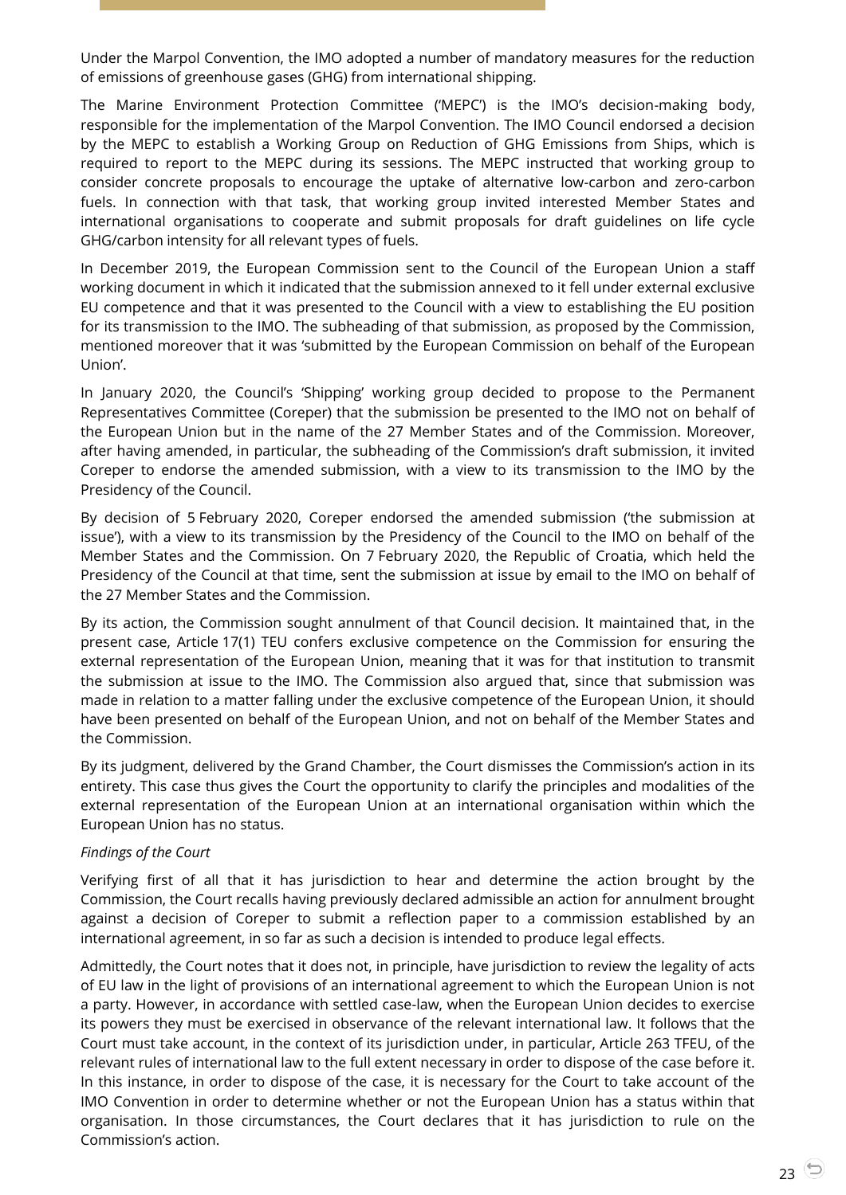Under the Marpol Convention, the IMO adopted a number of mandatory measures for the reduction of emissions of greenhouse gases (GHG) from international shipping.

The Marine Environment Protection Committee ('MEPC') is the IMO's decision-making body, responsible for the implementation of the Marpol Convention. The IMO Council endorsed a decision by the MEPC to establish a Working Group on Reduction of GHG Emissions from Ships, which is required to report to the MEPC during its sessions. The MEPC instructed that working group to consider concrete proposals to encourage the uptake of alternative low-carbon and zero-carbon fuels. In connection with that task, that working group invited interested Member States and international organisations to cooperate and submit proposals for draft guidelines on life cycle GHG/carbon intensity for all relevant types of fuels.

In December 2019, the European Commission sent to the Council of the European Union a staff working document in which it indicated that the submission annexed to it fell under external exclusive EU competence and that it was presented to the Council with a view to establishing the EU position for its transmission to the IMO. The subheading of that submission, as proposed by the Commission, mentioned moreover that it was 'submitted by the European Commission on behalf of the European Union'.

In January 2020, the Council's 'Shipping' working group decided to propose to the Permanent Representatives Committee (Coreper) that the submission be presented to the IMO not on behalf of the European Union but in the name of the 27 Member States and of the Commission. Moreover, after having amended, in particular, the subheading of the Commission's draft submission, it invited Coreper to endorse the amended submission, with a view to its transmission to the IMO by the Presidency of the Council.

By decision of 5 February 2020, Coreper endorsed the amended submission ('the submission at issue'), with a view to its transmission by the Presidency of the Council to the IMO on behalf of the Member States and the Commission. On 7 February 2020, the Republic of Croatia, which held the Presidency of the Council at that time, sent the submission at issue by email to the IMO on behalf of the 27 Member States and the Commission.

By its action, the Commission sought annulment of that Council decision. It maintained that, in the present case, Article 17(1) TEU confers exclusive competence on the Commission for ensuring the external representation of the European Union, meaning that it was for that institution to transmit the submission at issue to the IMO. The Commission also argued that, since that submission was made in relation to a matter falling under the exclusive competence of the European Union, it should have been presented on behalf of the European Union, and not on behalf of the Member States and the Commission.

By its judgment, delivered by the Grand Chamber, the Court dismisses the Commission's action in its entirety. This case thus gives the Court the opportunity to clarify the principles and modalities of the external representation of the European Union at an international organisation within which the European Union has no status.

#### *Findings of the Court*

Verifying first of all that it has jurisdiction to hear and determine the action brought by the Commission, the Court recalls having previously declared admissible an action for annulment brought against a decision of Coreper to submit a reflection paper to a commission established by an international agreement, in so far as such a decision is intended to produce legal effects.

Admittedly, the Court notes that it does not, in principle, have jurisdiction to review the legality of acts of EU law in the light of provisions of an international agreement to which the European Union is not a party. However, in accordance with settled case-law, when the European Union decides to exercise its powers they must be exercised in observance of the relevant international law. It follows that the Court must take account, in the context of its jurisdiction under, in particular, Article 263 TFEU, of the relevant rules of international law to the full extent necessary in order to dispose of the case before it. In this instance, in order to dispose of the case, it is necessary for the Court to take account of the IMO Convention in order to determine whether or not the European Union has a status within that organisation. In those circumstances, the Court declares that it has jurisdiction to rule on the Commission's action.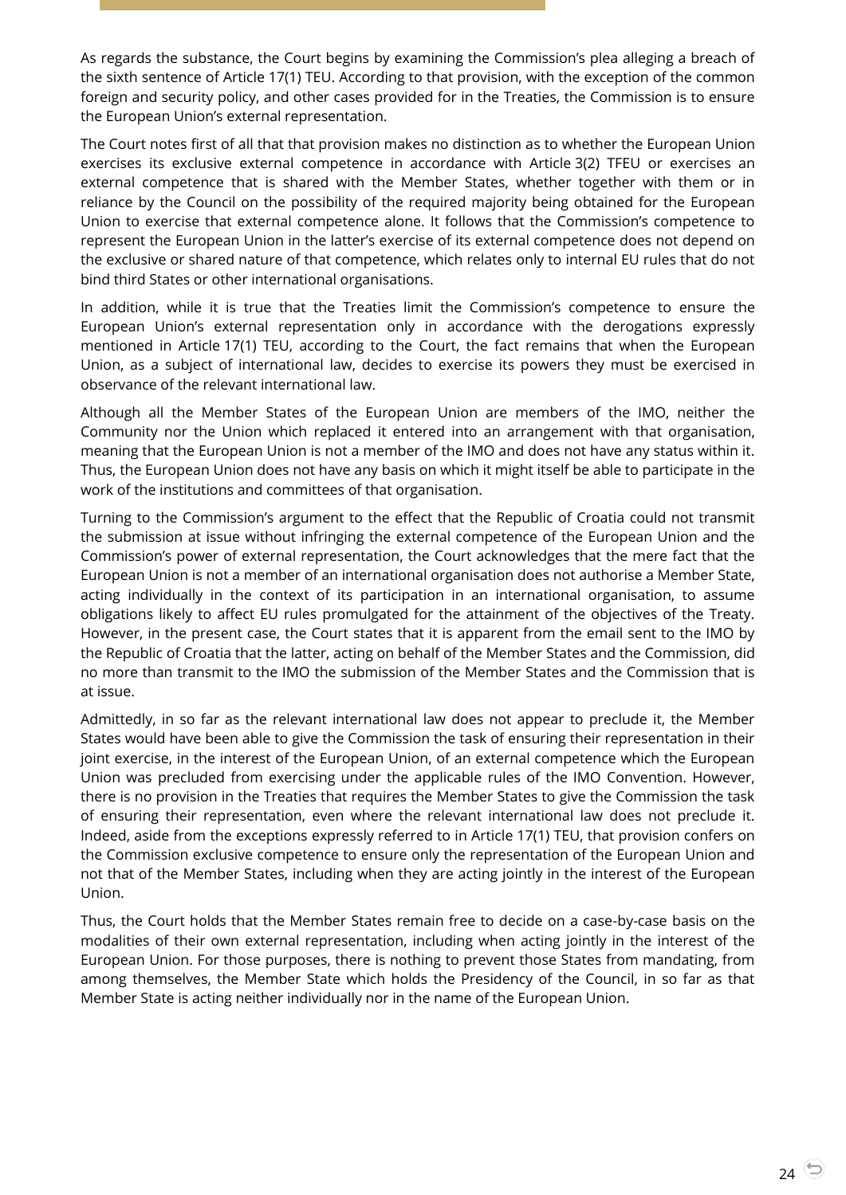As regards the substance, the Court begins by examining the Commission's plea alleging a breach of the sixth sentence of Article 17(1) TEU. According to that provision, with the exception of the common foreign and security policy, and other cases provided for in the Treaties, the Commission is to ensure the European Union's external representation.

The Court notes first of all that that provision makes no distinction as to whether the European Union exercises its exclusive external competence in accordance with Article 3(2) TFEU or exercises an external competence that is shared with the Member States, whether together with them or in reliance by the Council on the possibility of the required majority being obtained for the European Union to exercise that external competence alone. It follows that the Commission's competence to represent the European Union in the latter's exercise of its external competence does not depend on the exclusive or shared nature of that competence, which relates only to internal EU rules that do not bind third States or other international organisations.

In addition, while it is true that the Treaties limit the Commission's competence to ensure the European Union's external representation only in accordance with the derogations expressly mentioned in Article 17(1) TEU, according to the Court, the fact remains that when the European Union, as a subject of international law, decides to exercise its powers they must be exercised in observance of the relevant international law.

Although all the Member States of the European Union are members of the IMO, neither the Community nor the Union which replaced it entered into an arrangement with that organisation, meaning that the European Union is not a member of the IMO and does not have any status within it. Thus, the European Union does not have any basis on which it might itself be able to participate in the work of the institutions and committees of that organisation.

Turning to the Commission's argument to the effect that the Republic of Croatia could not transmit the submission at issue without infringing the external competence of the European Union and the Commission's power of external representation, the Court acknowledges that the mere fact that the European Union is not a member of an international organisation does not authorise a Member State, acting individually in the context of its participation in an international organisation, to assume obligations likely to affect EU rules promulgated for the attainment of the objectives of the Treaty. However, in the present case, the Court states that it is apparent from the email sent to the IMO by the Republic of Croatia that the latter, acting on behalf of the Member States and the Commission, did no more than transmit to the IMO the submission of the Member States and the Commission that is at issue.

Admittedly, in so far as the relevant international law does not appear to preclude it, the Member States would have been able to give the Commission the task of ensuring their representation in their joint exercise, in the interest of the European Union, of an external competence which the European Union was precluded from exercising under the applicable rules of the IMO Convention. However, there is no provision in the Treaties that requires the Member States to give the Commission the task of ensuring their representation, even where the relevant international law does not preclude it. Indeed, aside from the exceptions expressly referred to in Article 17(1) TEU, that provision confers on the Commission exclusive competence to ensure only the representation of the European Union and not that of the Member States, including when they are acting jointly in the interest of the European Union.

Thus, the Court holds that the Member States remain free to decide on a case-by-case basis on the modalities of their own external representation, including when acting jointly in the interest of the European Union. For those purposes, there is nothing to prevent those States from mandating, from among themselves, the Member State which holds the Presidency of the Council, in so far as that Member State is acting neither individually nor in the name of the European Union.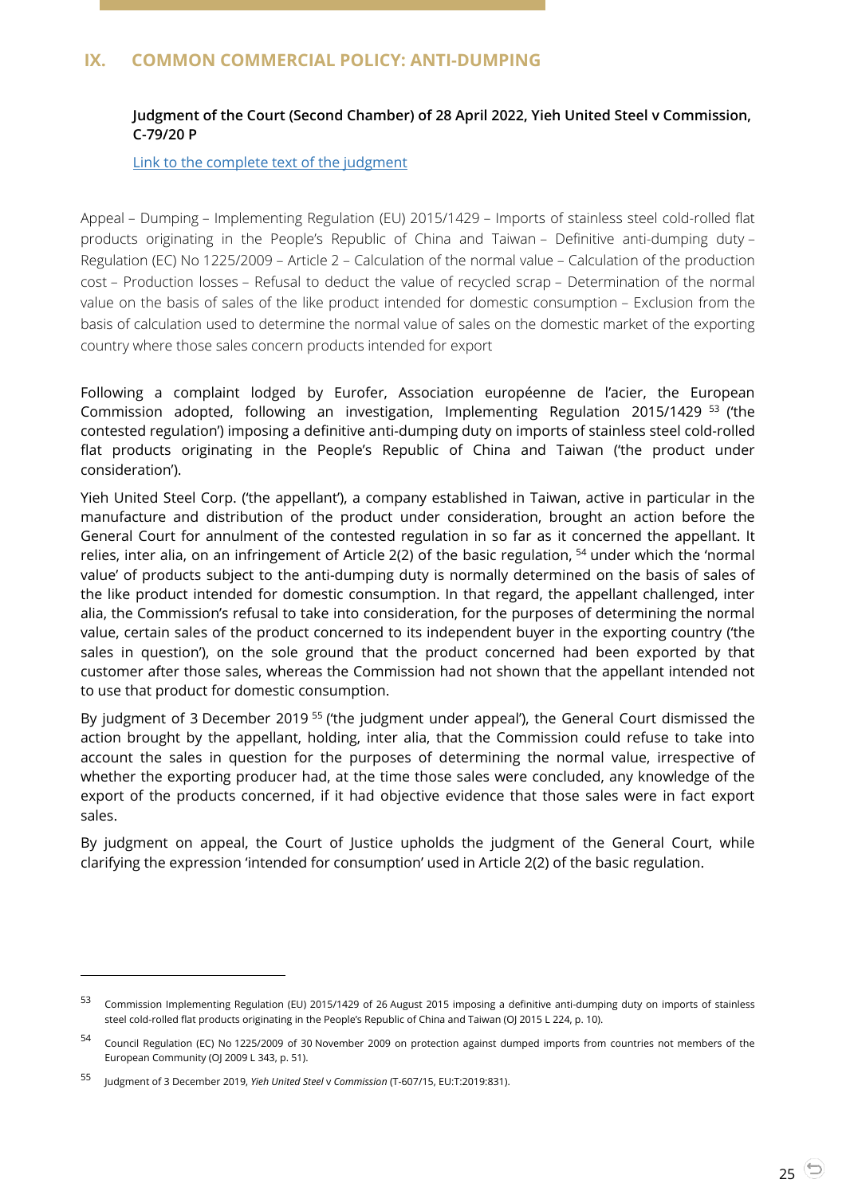## <span id="page-24-1"></span><span id="page-24-0"></span>**IX. COMMON COMMERCIAL POLICY: ANTI-DUMPING**

#### **Judgment of the Court (Second Chamber) of 28 April 2022, Yieh United Steel v Commission, C-79/20 P**

[Link to the complete text of the judgment](https://curia.europa.eu/juris/document/document.jsf?text=&docid=258482&pageIndex=0&doclang=EN&mode=lst&dir=&occ=first&part=1&cid=4691757)

Appeal – Dumping – Implementing Regulation (EU) 2015/1429 – Imports of stainless steel cold-rolled flat products originating in the People's Republic of China and Taiwan – Definitive anti-dumping duty – Regulation (EC) No 1225/2009 – Article 2 – Calculation of the normal value – Calculation of the production cost – Production losses – Refusal to deduct the value of recycled scrap – Determination of the normal value on the basis of sales of the like product intended for domestic consumption – Exclusion from the basis of calculation used to determine the normal value of sales on the domestic market of the exporting country where those sales concern products intended for export

Following a complaint lodged by Eurofer, Association européenne de l'acier, the European Commission adopted, following an investigation, Implementing Regulation 2015/1429 <sup>53</sup> ('the contested regulation') imposing a definitive anti-dumping duty on imports of stainless steel cold-rolled flat products originating in the People's Republic of China and Taiwan ('the product under consideration').

Yieh United Steel Corp. ('the appellant'), a company established in Taiwan, active in particular in the manufacture and distribution of the product under consideration, brought an action before the General Court for annulment of the contested regulation in so far as it concerned the appellant. It relies, inter alia, on an infringement of Article 2(2) of the basic regulation, <sup>54</sup> under which the 'normal value' of products subject to the anti-dumping duty is normally determined on the basis of sales of the like product intended for domestic consumption. In that regard, the appellant challenged, inter alia, the Commission's refusal to take into consideration, for the purposes of determining the normal value, certain sales of the product concerned to its independent buyer in the exporting country ('the sales in question'), on the sole ground that the product concerned had been exported by that customer after those sales, whereas the Commission had not shown that the appellant intended not to use that product for domestic consumption.

By judgment of 3 December 2019<sup>55</sup> ('the judgment under appeal'), the General Court dismissed the action brought by the appellant, holding, inter alia, that the Commission could refuse to take into account the sales in question for the purposes of determining the normal value, irrespective of whether the exporting producer had, at the time those sales were concluded, any knowledge of the export of the products concerned, if it had objective evidence that those sales were in fact export sales.

By judgment on appeal, the Court of Justice upholds the judgment of the General Court, while clarifying the expression 'intended for consumption' used in Article 2(2) of the basic regulation.

<sup>53</sup> Commission Implementing Regulation (EU) 2015/1429 of 26 August 2015 imposing a definitive anti-dumping duty on imports of stainless steel cold-rolled flat products originating in the People's Republic of China and Taiwan (OJ 2015 L 224, p. 10).

<sup>54</sup> Council Regulation (EC) No 1225/2009 of 30 November 2009 on protection against dumped imports from countries not members of the European Community (OJ 2009 L 343, p. 51).

<sup>55</sup> Judgment of 3 December 2019, *Yieh United Steel* <sup>v</sup>*Commission* (T-607/15, EU:T:2019:831).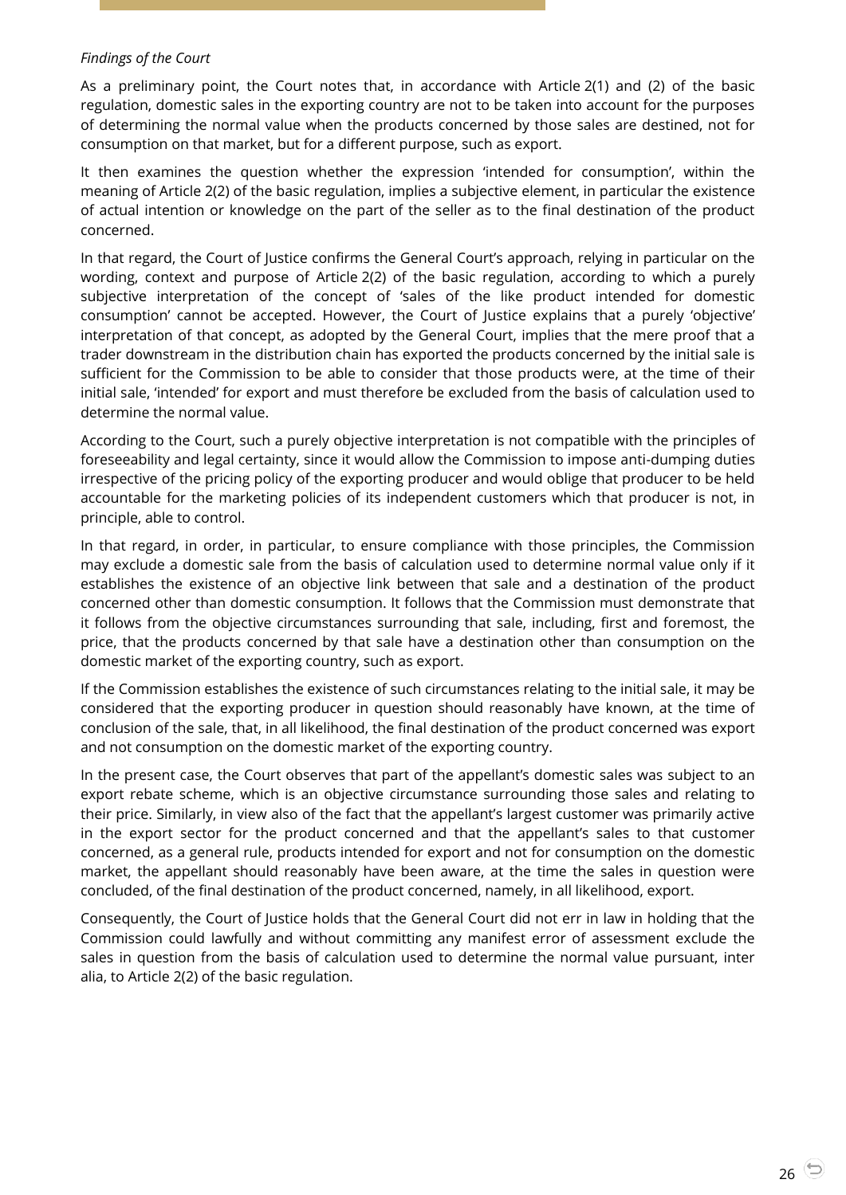#### *Findings of the Court*

As a preliminary point, the Court notes that, in accordance with Article 2(1) and (2) of the basic regulation, domestic sales in the exporting country are not to be taken into account for the purposes of determining the normal value when the products concerned by those sales are destined, not for consumption on that market, but for a different purpose, such as export.

It then examines the question whether the expression 'intended for consumption', within the meaning of Article 2(2) of the basic regulation, implies a subjective element, in particular the existence of actual intention or knowledge on the part of the seller as to the final destination of the product concerned.

In that regard, the Court of Justice confirms the General Court's approach, relying in particular on the wording, context and purpose of Article 2(2) of the basic regulation, according to which a purely subjective interpretation of the concept of 'sales of the like product intended for domestic consumption' cannot be accepted. However, the Court of Justice explains that a purely 'objective' interpretation of that concept, as adopted by the General Court, implies that the mere proof that a trader downstream in the distribution chain has exported the products concerned by the initial sale is sufficient for the Commission to be able to consider that those products were, at the time of their initial sale, 'intended' for export and must therefore be excluded from the basis of calculation used to determine the normal value.

According to the Court, such a purely objective interpretation is not compatible with the principles of foreseeability and legal certainty, since it would allow the Commission to impose anti-dumping duties irrespective of the pricing policy of the exporting producer and would oblige that producer to be held accountable for the marketing policies of its independent customers which that producer is not, in principle, able to control.

In that regard, in order, in particular, to ensure compliance with those principles, the Commission may exclude a domestic sale from the basis of calculation used to determine normal value only if it establishes the existence of an objective link between that sale and a destination of the product concerned other than domestic consumption. It follows that the Commission must demonstrate that it follows from the objective circumstances surrounding that sale, including, first and foremost, the price, that the products concerned by that sale have a destination other than consumption on the domestic market of the exporting country, such as export.

If the Commission establishes the existence of such circumstances relating to the initial sale, it may be considered that the exporting producer in question should reasonably have known, at the time of conclusion of the sale, that, in all likelihood, the final destination of the product concerned was export and not consumption on the domestic market of the exporting country.

In the present case, the Court observes that part of the appellant's domestic sales was subject to an export rebate scheme, which is an objective circumstance surrounding those sales and relating to their price. Similarly, in view also of the fact that the appellant's largest customer was primarily active in the export sector for the product concerned and that the appellant's sales to that customer concerned, as a general rule, products intended for export and not for consumption on the domestic market, the appellant should reasonably have been aware, at the time the sales in question were concluded, of the final destination of the product concerned, namely, in all likelihood, export.

Consequently, the Court of Justice holds that the General Court did not err in law in holding that the Commission could lawfully and without committing any manifest error of assessment exclude the sales in question from the basis of calculation used to determine the normal value pursuant, inter alia, to Article 2(2) of the basic regulation.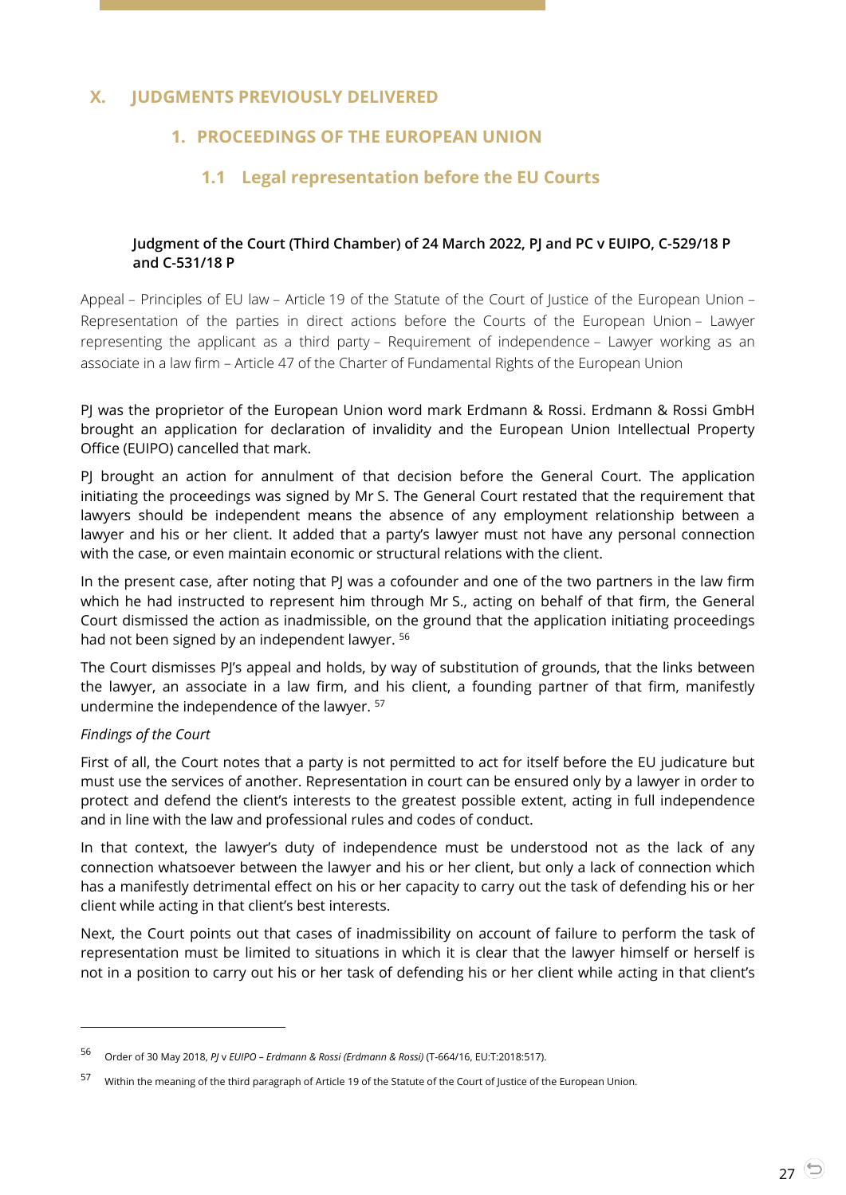## <span id="page-26-2"></span><span id="page-26-1"></span><span id="page-26-0"></span>**X. JUDGMENTS PREVIOUSLY DELIVERED**

## **1. PROCEEDINGS OF THE EUROPEAN UNION**

## **1.1 Legal representation before the EU Courts**

#### <span id="page-26-3"></span>**Judgment of the Court (Third Chamber) of 24 March 2022, PJ and PC v EUIPO, C-529/18 P and C-531/18 P**

Appeal – Principles of EU law – Article 19 of the Statute of the Court of Justice of the European Union – Representation of the parties in direct actions before the Courts of the European Union – Lawyer representing the applicant as a third party – Requirement of independence – Lawyer working as an associate in a law firm – Article 47 of the Charter of Fundamental Rights of the European Union

PJ was the proprietor of the European Union word mark Erdmann & Rossi. Erdmann & Rossi GmbH brought an application for declaration of invalidity and the European Union Intellectual Property Office (EUIPO) cancelled that mark.

PJ brought an action for annulment of that decision before the General Court. The application initiating the proceedings was signed by Mr S. The General Court restated that the requirement that lawyers should be independent means the absence of any employment relationship between a lawyer and his or her client. It added that a party's lawyer must not have any personal connection with the case, or even maintain economic or structural relations with the client.

In the present case, after noting that PJ was a cofounder and one of the two partners in the law firm which he had instructed to represent him through Mr S., acting on behalf of that firm, the General Court dismissed the action as inadmissible, on the ground that the application initiating proceedings had not been signed by an independent lawyer. <sup>56</sup>

The Court dismisses PJ's appeal and holds, by way of substitution of grounds, that the links between the lawyer, an associate in a law firm, and his client, a founding partner of that firm, manifestly undermine the independence of the lawyer. <sup>57</sup>

#### *Findings of the Court*

l

First of all, the Court notes that a party is not permitted to act for itself before the EU judicature but must use the services of another. Representation in court can be ensured only by a lawyer in order to protect and defend the client's interests to the greatest possible extent, acting in full independence and in line with the law and professional rules and codes of conduct.

In that context, the lawyer's duty of independence must be understood not as the lack of any connection whatsoever between the lawyer and his or her client, but only a lack of connection which has a manifestly detrimental effect on his or her capacity to carry out the task of defending his or her client while acting in that client's best interests.

Next, the Court points out that cases of inadmissibility on account of failure to perform the task of representation must be limited to situations in which it is clear that the lawyer himself or herself is not in a position to carry out his or her task of defending his or her client while acting in that client's

<sup>56</sup> Order of 30 May 2018, *PJ* <sup>v</sup>*EUIPO – Erdmann & Rossi (Erdmann & Rossi)* (T-664/16, EU:T:2018:517).

<sup>57</sup> Within the meaning of the third paragraph of Article 19 of the Statute of the Court of Justice of the European Union.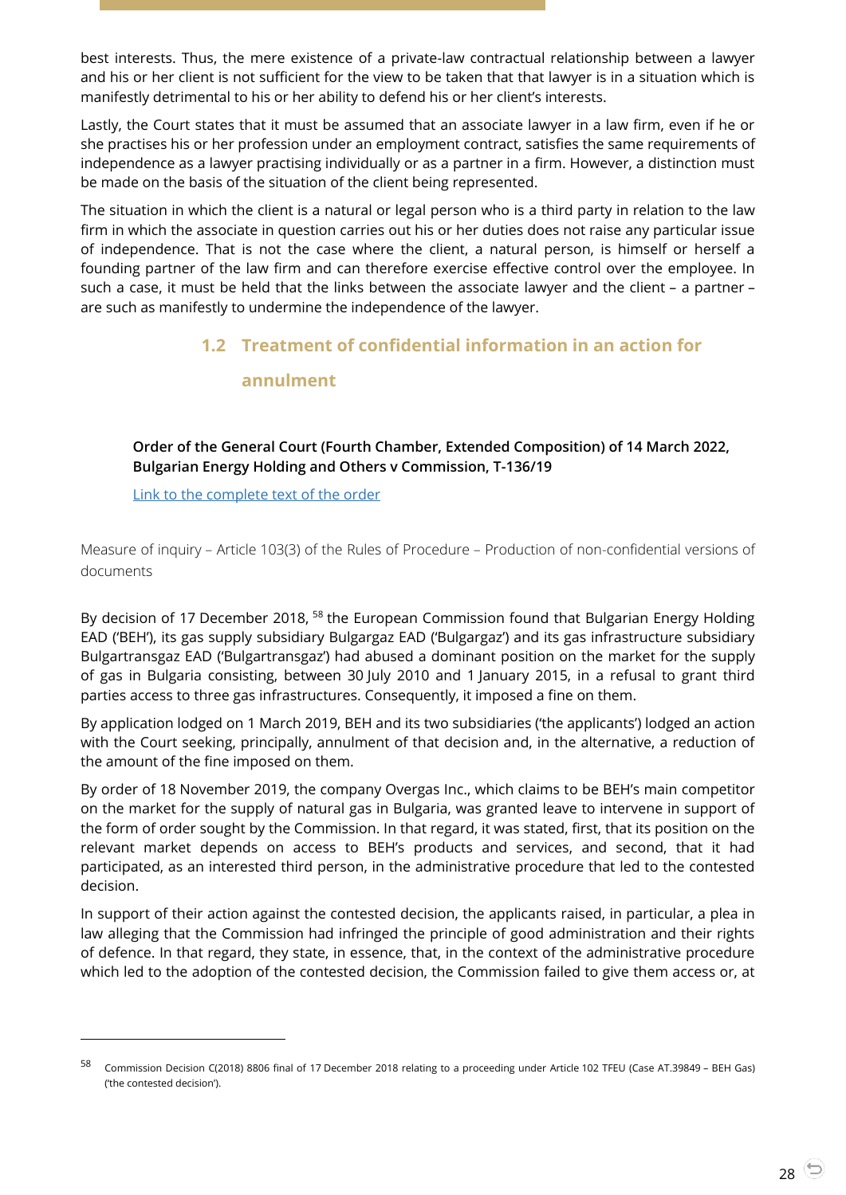best interests. Thus, the mere existence of a private-law contractual relationship between a lawyer and his or her client is not sufficient for the view to be taken that that lawyer is in a situation which is manifestly detrimental to his or her ability to defend his or her client's interests.

Lastly, the Court states that it must be assumed that an associate lawyer in a law firm, even if he or she practises his or her profession under an employment contract, satisfies the same requirements of independence as a lawyer practising individually or as a partner in a firm. However, a distinction must be made on the basis of the situation of the client being represented.

<span id="page-27-0"></span>The situation in which the client is a natural or legal person who is a third party in relation to the law firm in which the associate in question carries out his or her duties does not raise any particular issue of independence. That is not the case where the client, a natural person, is himself or herself a founding partner of the law firm and can therefore exercise effective control over the employee. In such a case, it must be held that the links between the associate lawyer and the client – a partner – are such as manifestly to undermine the independence of the lawyer.

## **1.2 Treatment of confidential information in an action for**

#### **annulment**

<span id="page-27-1"></span>**Order of the General Court (Fourth Chamber, Extended Composition) of 14 March 2022, Bulgarian Energy Holding and Others v Commission, T-136/19**

[Link to the complete text of the order](https://curia.europa.eu/juris/document/document.jsf?text=&docid=256263&pageIndex=0&doclang=EN&mode=lst&dir=&occ=first&part=1&cid=4691992)

l

Measure of inquiry – Article 103(3) of the Rules of Procedure – Production of non-confidential versions of documents

By decision of 17 December 2018, <sup>58</sup> the European Commission found that Bulgarian Energy Holding EAD ('BEH'), its gas supply subsidiary Bulgargaz EAD ('Bulgargaz') and its gas infrastructure subsidiary Bulgartransgaz EAD ('Bulgartransgaz') had abused a dominant position on the market for the supply of gas in Bulgaria consisting, between 30 July 2010 and 1 January 2015, in a refusal to grant third parties access to three gas infrastructures. Consequently, it imposed a fine on them.

By application lodged on 1 March 2019, BEH and its two subsidiaries ('the applicants') lodged an action with the Court seeking, principally, annulment of that decision and, in the alternative, a reduction of the amount of the fine imposed on them.

By order of 18 November 2019, the company Overgas Inc., which claims to be BEH's main competitor on the market for the supply of natural gas in Bulgaria, was granted leave to intervene in support of the form of order sought by the Commission. In that regard, it was stated, first, that its position on the relevant market depends on access to BEH's products and services, and second, that it had participated, as an interested third person, in the administrative procedure that led to the contested decision.

In support of their action against the contested decision, the applicants raised, in particular, a plea in law alleging that the Commission had infringed the principle of good administration and their rights of defence. In that regard, they state, in essence, that, in the context of the administrative procedure which led to the adoption of the contested decision, the Commission failed to give them access or, at

<sup>58</sup> Commission Decision C(2018) 8806 final of 17 December 2018 relating to a proceeding under Article <sup>102</sup> TFEU (Case AT.39849 – BEH Gas) ('the contested decision').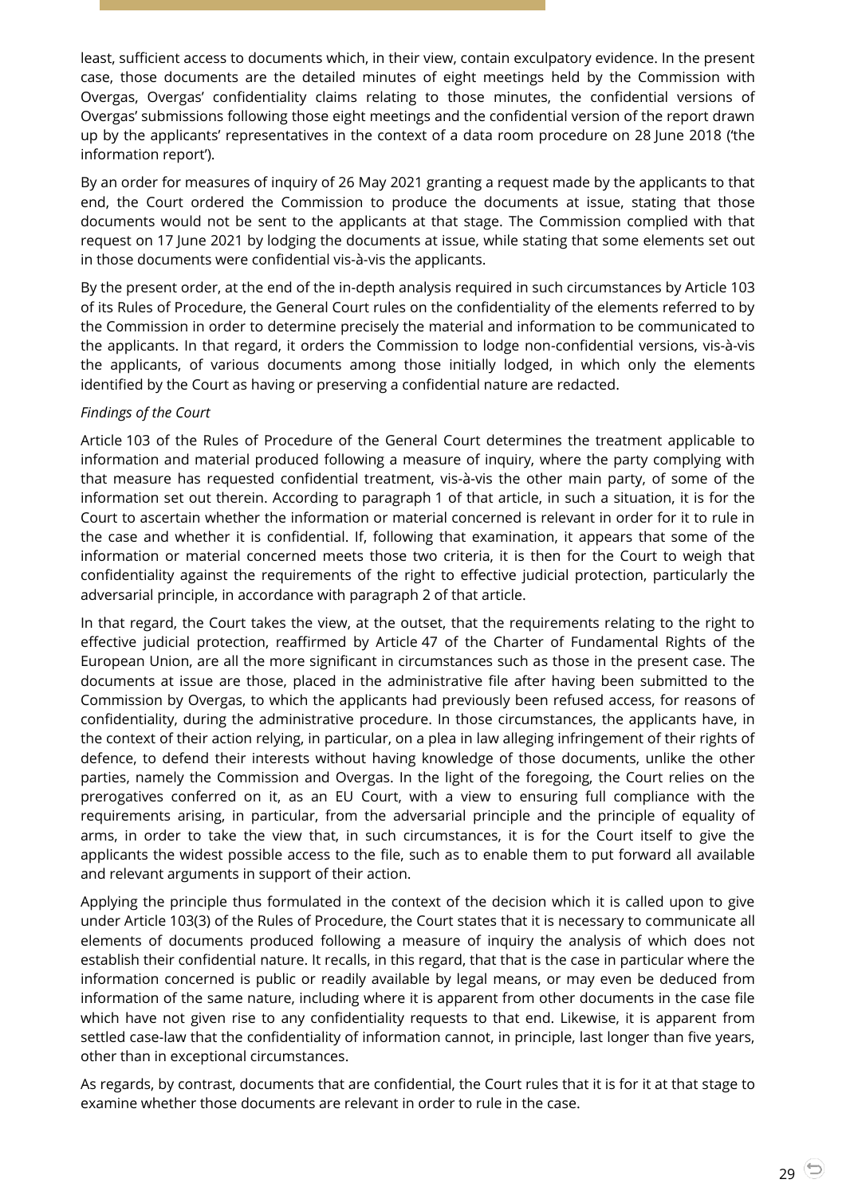least, sufficient access to documents which, in their view, contain exculpatory evidence. In the present case, those documents are the detailed minutes of eight meetings held by the Commission with Overgas, Overgas' confidentiality claims relating to those minutes, the confidential versions of Overgas' submissions following those eight meetings and the confidential version of the report drawn up by the applicants' representatives in the context of a data room procedure on 28 June 2018 ('the information report').

By an order for measures of inquiry of 26 May 2021 granting a request made by the applicants to that end, the Court ordered the Commission to produce the documents at issue, stating that those documents would not be sent to the applicants at that stage. The Commission complied with that request on 17 June 2021 by lodging the documents at issue, while stating that some elements set out in those documents were confidential vis-à-vis the applicants.

By the present order, at the end of the in-depth analysis required in such circumstances by Article 103 of its Rules of Procedure, the General Court rules on the confidentiality of the elements referred to by the Commission in order to determine precisely the material and information to be communicated to the applicants. In that regard, it orders the Commission to lodge non-confidential versions, vis-à-vis the applicants, of various documents among those initially lodged, in which only the elements identified by the Court as having or preserving a confidential nature are redacted.

#### *Findings of the Court*

Article 103 of the Rules of Procedure of the General Court determines the treatment applicable to information and material produced following a measure of inquiry, where the party complying with that measure has requested confidential treatment, vis-à-vis the other main party, of some of the information set out therein. According to paragraph 1 of that article, in such a situation, it is for the Court to ascertain whether the information or material concerned is relevant in order for it to rule in the case and whether it is confidential. If, following that examination, it appears that some of the information or material concerned meets those two criteria, it is then for the Court to weigh that confidentiality against the requirements of the right to effective judicial protection, particularly the adversarial principle, in accordance with paragraph 2 of that article.

In that regard, the Court takes the view, at the outset, that the requirements relating to the right to effective judicial protection, reaffirmed by Article 47 of the Charter of Fundamental Rights of the European Union, are all the more significant in circumstances such as those in the present case. The documents at issue are those, placed in the administrative file after having been submitted to the Commission by Overgas, to which the applicants had previously been refused access, for reasons of confidentiality, during the administrative procedure. In those circumstances, the applicants have, in the context of their action relying, in particular, on a plea in law alleging infringement of their rights of defence, to defend their interests without having knowledge of those documents, unlike the other parties, namely the Commission and Overgas. In the light of the foregoing, the Court relies on the prerogatives conferred on it, as an EU Court, with a view to ensuring full compliance with the requirements arising, in particular, from the adversarial principle and the principle of equality of arms, in order to take the view that, in such circumstances, it is for the Court itself to give the applicants the widest possible access to the file, such as to enable them to put forward all available and relevant arguments in support of their action.

Applying the principle thus formulated in the context of the decision which it is called upon to give under Article 103(3) of the Rules of Procedure, the Court states that it is necessary to communicate all elements of documents produced following a measure of inquiry the analysis of which does not establish their confidential nature. It recalls, in this regard, that that is the case in particular where the information concerned is public or readily available by legal means, or may even be deduced from information of the same nature, including where it is apparent from other documents in the case file which have not given rise to any confidentiality requests to that end. Likewise, it is apparent from settled case-law that the confidentiality of information cannot, in principle, last longer than five years, other than in exceptional circumstances.

As regards, by contrast, documents that are confidential, the Court rules that it is for it at that stage to examine whether those documents are relevant in order to rule in the case.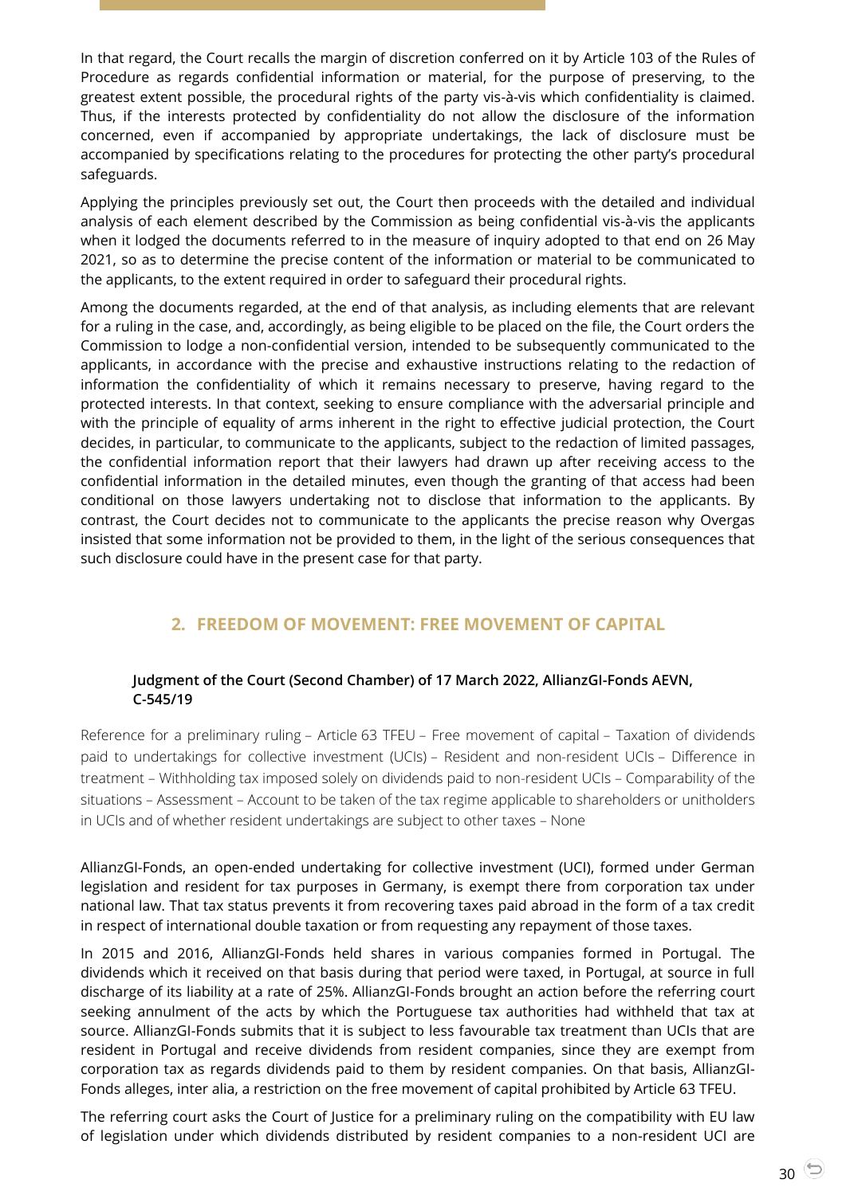In that regard, the Court recalls the margin of discretion conferred on it by Article 103 of the Rules of Procedure as regards confidential information or material, for the purpose of preserving, to the greatest extent possible, the procedural rights of the party vis-à-vis which confidentiality is claimed. Thus, if the interests protected by confidentiality do not allow the disclosure of the information concerned, even if accompanied by appropriate undertakings, the lack of disclosure must be accompanied by specifications relating to the procedures for protecting the other party's procedural safeguards.

Applying the principles previously set out, the Court then proceeds with the detailed and individual analysis of each element described by the Commission as being confidential vis-à-vis the applicants when it lodged the documents referred to in the measure of inquiry adopted to that end on 26 May 2021, so as to determine the precise content of the information or material to be communicated to the applicants, to the extent required in order to safeguard their procedural rights.

Among the documents regarded, at the end of that analysis, as including elements that are relevant for a ruling in the case, and, accordingly, as being eligible to be placed on the file, the Court orders the Commission to lodge a non-confidential version, intended to be subsequently communicated to the applicants, in accordance with the precise and exhaustive instructions relating to the redaction of information the confidentiality of which it remains necessary to preserve, having regard to the protected interests. In that context, seeking to ensure compliance with the adversarial principle and with the principle of equality of arms inherent in the right to effective judicial protection, the Court decides, in particular, to communicate to the applicants, subject to the redaction of limited passages, the confidential information report that their lawyers had drawn up after receiving access to the confidential information in the detailed minutes, even though the granting of that access had been conditional on those lawyers undertaking not to disclose that information to the applicants. By contrast, the Court decides not to communicate to the applicants the precise reason why Overgas insisted that some information not be provided to them, in the light of the serious consequences that such disclosure could have in the present case for that party.

## **2. FREEDOM OF MOVEMENT: FREE MOVEMENT OF CAPITAL**

#### <span id="page-29-1"></span><span id="page-29-0"></span>**Judgment of the Court (Second Chamber) of 17 March 2022, AllianzGI-Fonds AEVN, C-545/19**

Reference for a preliminary ruling – Article 63 TFEU – Free movement of capital – Taxation of dividends paid to undertakings for collective investment (UCIs) – Resident and non-resident UCIs – Difference in treatment – Withholding tax imposed solely on dividends paid to non-resident UCIs – Comparability of the situations – Assessment – Account to be taken of the tax regime applicable to shareholders or unitholders in UCIs and of whether resident undertakings are subject to other taxes – None

AllianzGI-Fonds, an open-ended undertaking for collective investment (UCI), formed under German legislation and resident for tax purposes in Germany, is exempt there from corporation tax under national law. That tax status prevents it from recovering taxes paid abroad in the form of a tax credit in respect of international double taxation or from requesting any repayment of those taxes.

In 2015 and 2016, AllianzGI-Fonds held shares in various companies formed in Portugal. The dividends which it received on that basis during that period were taxed, in Portugal, at source in full discharge of its liability at a rate of 25%. AllianzGI-Fonds brought an action before the referring court seeking annulment of the acts by which the Portuguese tax authorities had withheld that tax at source. AllianzGI-Fonds submits that it is subject to less favourable tax treatment than UCIs that are resident in Portugal and receive dividends from resident companies, since they are exempt from corporation tax as regards dividends paid to them by resident companies. On that basis, AllianzGI-Fonds alleges, inter alia, a restriction on the free movement of capital prohibited by Article 63 TFEU.

The referring court asks the Court of Justice for a preliminary ruling on the compatibility with EU law of legislation under which dividends distributed by resident companies to a non-resident UCI are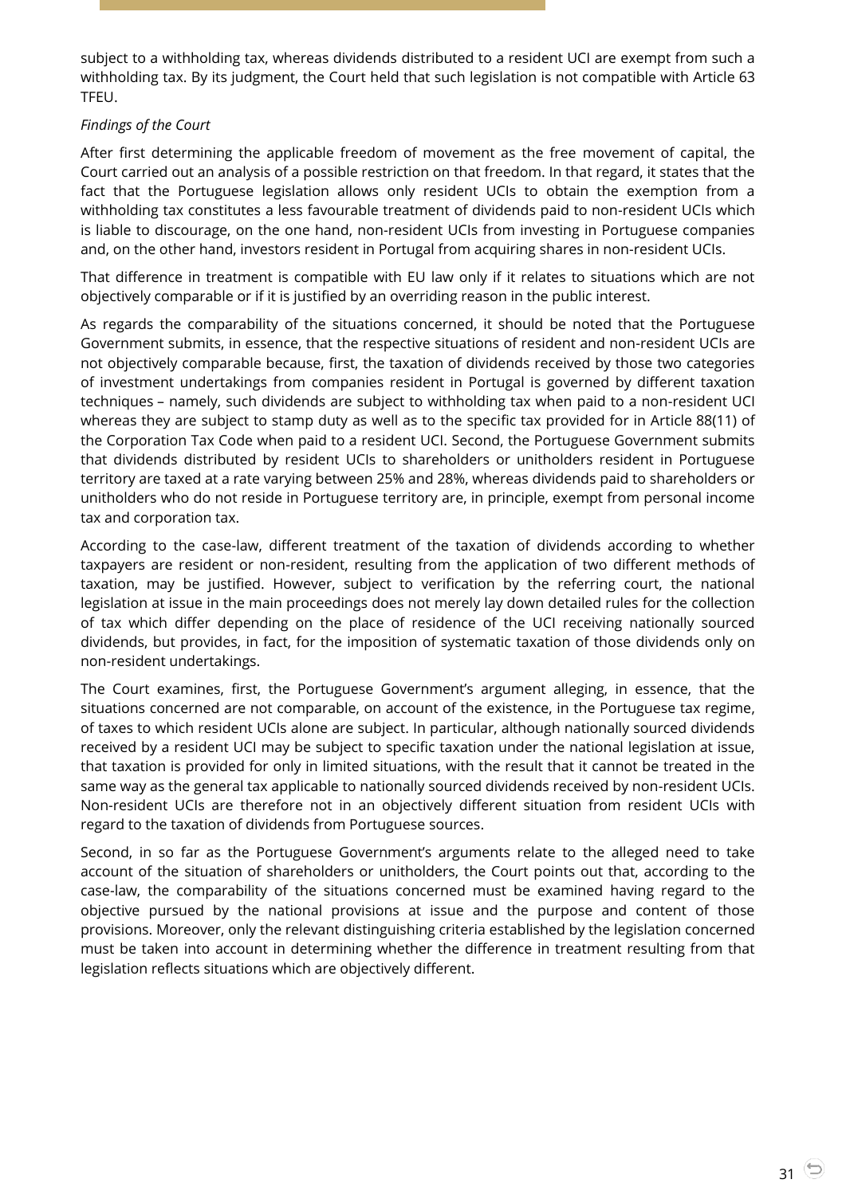subject to a withholding tax, whereas dividends distributed to a resident UCI are exempt from such a withholding tax. By its judgment, the Court held that such legislation is not compatible with Article 63 TFEU.

#### *Findings of the Court*

After first determining the applicable freedom of movement as the free movement of capital, the Court carried out an analysis of a possible restriction on that freedom. In that regard, it states that the fact that the Portuguese legislation allows only resident UCIs to obtain the exemption from a withholding tax constitutes a less favourable treatment of dividends paid to non-resident UCIs which is liable to discourage, on the one hand, non-resident UCIs from investing in Portuguese companies and, on the other hand, investors resident in Portugal from acquiring shares in non-resident UCIs.

That difference in treatment is compatible with EU law only if it relates to situations which are not objectively comparable or if it is justified by an overriding reason in the public interest.

As regards the comparability of the situations concerned, it should be noted that the Portuguese Government submits, in essence, that the respective situations of resident and non-resident UCIs are not objectively comparable because, first, the taxation of dividends received by those two categories of investment undertakings from companies resident in Portugal is governed by different taxation techniques – namely, such dividends are subject to withholding tax when paid to a non-resident UCI whereas they are subject to stamp duty as well as to the specific tax provided for in Article 88(11) of the Corporation Tax Code when paid to a resident UCI. Second, the Portuguese Government submits that dividends distributed by resident UCIs to shareholders or unitholders resident in Portuguese territory are taxed at a rate varying between 25% and 28%, whereas dividends paid to shareholders or unitholders who do not reside in Portuguese territory are, in principle, exempt from personal income tax and corporation tax.

According to the case-law, different treatment of the taxation of dividends according to whether taxpayers are resident or non-resident, resulting from the application of two different methods of taxation, may be justified. However, subject to verification by the referring court, the national legislation at issue in the main proceedings does not merely lay down detailed rules for the collection of tax which differ depending on the place of residence of the UCI receiving nationally sourced dividends, but provides, in fact, for the imposition of systematic taxation of those dividends only on non-resident undertakings.

The Court examines, first, the Portuguese Government's argument alleging, in essence, that the situations concerned are not comparable, on account of the existence, in the Portuguese tax regime, of taxes to which resident UCIs alone are subject. In particular, although nationally sourced dividends received by a resident UCI may be subject to specific taxation under the national legislation at issue, that taxation is provided for only in limited situations, with the result that it cannot be treated in the same way as the general tax applicable to nationally sourced dividends received by non-resident UCIs. Non-resident UCIs are therefore not in an objectively different situation from resident UCIs with regard to the taxation of dividends from Portuguese sources.

Second, in so far as the Portuguese Government's arguments relate to the alleged need to take account of the situation of shareholders or unitholders, the Court points out that, according to the case-law, the comparability of the situations concerned must be examined having regard to the objective pursued by the national provisions at issue and the purpose and content of those provisions. Moreover, only the relevant distinguishing criteria established by the legislation concerned must be taken into account in determining whether the difference in treatment resulting from that legislation reflects situations which are objectively different.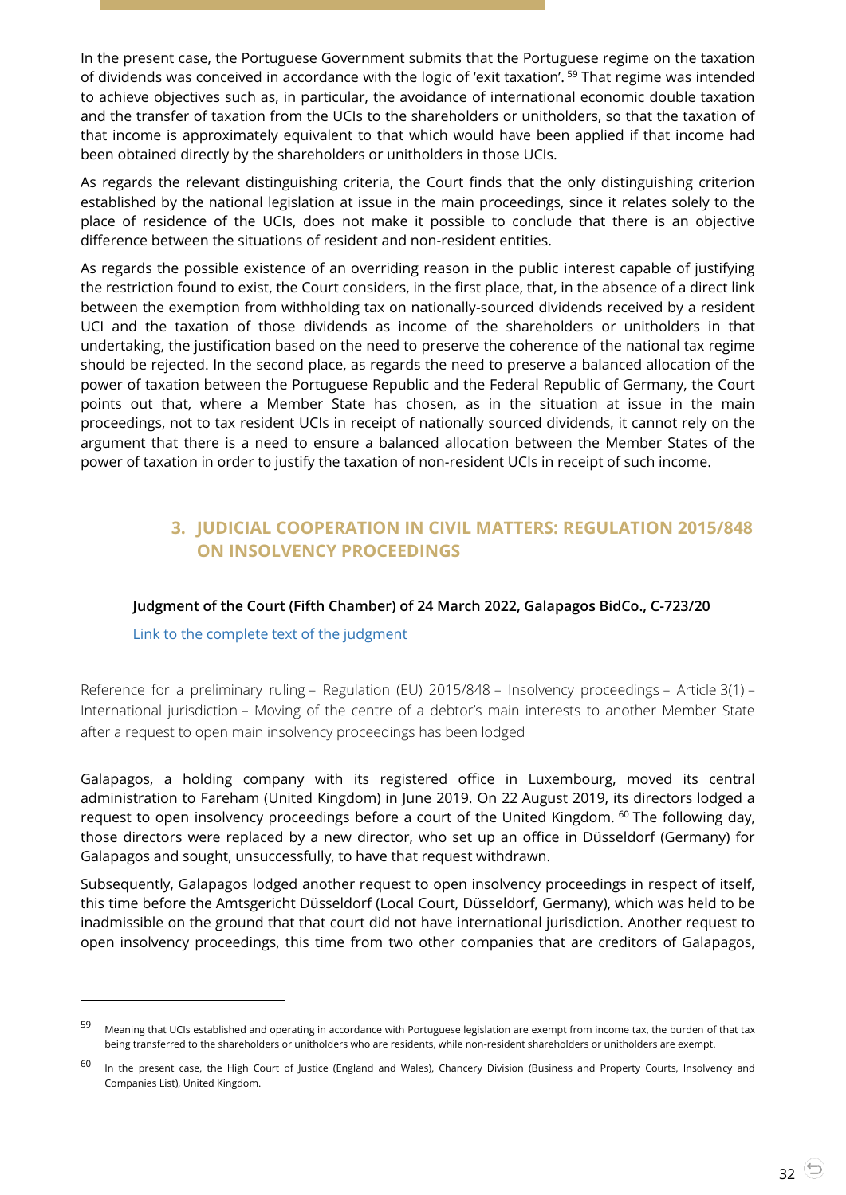In the present case, the Portuguese Government submits that the Portuguese regime on the taxation of dividends was conceived in accordance with the logic of 'exit taxation'. <sup>59</sup> That regime was intended to achieve objectives such as, in particular, the avoidance of international economic double taxation and the transfer of taxation from the UCIs to the shareholders or unitholders, so that the taxation of that income is approximately equivalent to that which would have been applied if that income had been obtained directly by the shareholders or unitholders in those UCIs.

As regards the relevant distinguishing criteria, the Court finds that the only distinguishing criterion established by the national legislation at issue in the main proceedings, since it relates solely to the place of residence of the UCIs, does not make it possible to conclude that there is an objective difference between the situations of resident and non-resident entities.

As regards the possible existence of an overriding reason in the public interest capable of justifying the restriction found to exist, the Court considers, in the first place, that, in the absence of a direct link between the exemption from withholding tax on nationally-sourced dividends received by a resident UCI and the taxation of those dividends as income of the shareholders or unitholders in that undertaking, the justification based on the need to preserve the coherence of the national tax regime should be rejected. In the second place, as regards the need to preserve a balanced allocation of the power of taxation between the Portuguese Republic and the Federal Republic of Germany, the Court points out that, where a Member State has chosen, as in the situation at issue in the main proceedings, not to tax resident UCIs in receipt of nationally sourced dividends, it cannot rely on the argument that there is a need to ensure a balanced allocation between the Member States of the power of taxation in order to justify the taxation of non-resident UCIs in receipt of such income.

## <span id="page-31-0"></span>**3. JUDICIAL COOPERATION IN CIVIL MATTERS: REGULATION 2015/848 ON INSOLVENCY PROCEEDINGS**

#### <span id="page-31-1"></span>**Judgment of the Court (Fifth Chamber) of 24 March 2022, Galapagos BidCo., C-723/20**

[Link to the complete text of the judgment](https://curia.europa.eu/juris/document/document.jsf?text=&docid=256469&pageIndex=0&doclang=en&mode=lst&dir=&occ=first&part=1&cid=4692210)

l

Reference for a preliminary ruling – Regulation (EU) 2015/848 – Insolvency proceedings – Article 3(1) – International jurisdiction – Moving of the centre of a debtor's main interests to another Member State after a request to open main insolvency proceedings has been lodged

Galapagos, a holding company with its registered office in Luxembourg, moved its central administration to Fareham (United Kingdom) in June 2019. On 22 August 2019, its directors lodged a request to open insolvency proceedings before a court of the United Kingdom. <sup>60</sup> The following day, those directors were replaced by a new director, who set up an office in Düsseldorf (Germany) for Galapagos and sought, unsuccessfully, to have that request withdrawn.

Subsequently, Galapagos lodged another request to open insolvency proceedings in respect of itself, this time before the Amtsgericht Düsseldorf (Local Court, Düsseldorf, Germany), which was held to be inadmissible on the ground that that court did not have international jurisdiction. Another request to open insolvency proceedings, this time from two other companies that are creditors of Galapagos,

<sup>59</sup> Meaning that UCIs established and operating in accordance with Portuguese legislation are exempt from income tax, the burden of that tax being transferred to the shareholders or unitholders who are residents, while non-resident shareholders or unitholders are exempt.

<sup>&</sup>lt;sup>60</sup> In the present case, the High Court of Justice (England and Wales), Chancery Division (Business and Property Courts, Insolvency and Companies List), United Kingdom.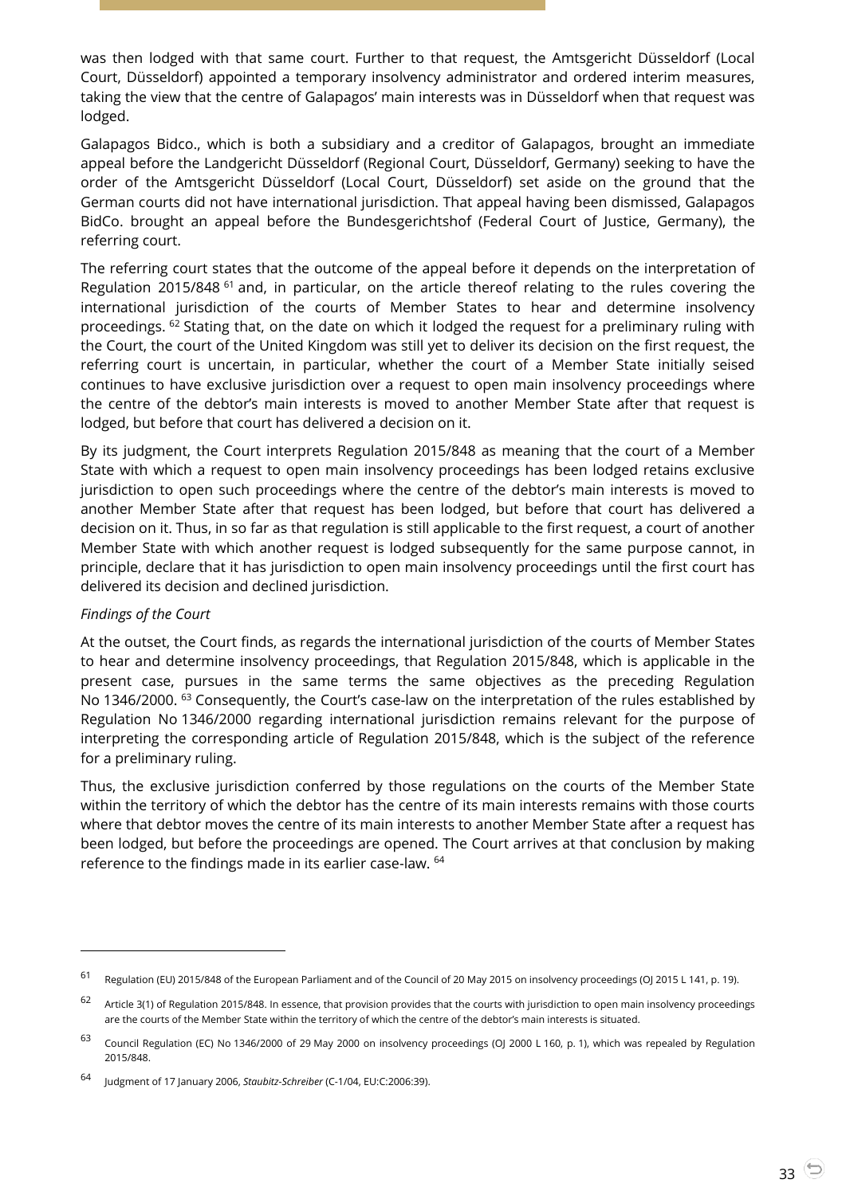was then lodged with that same court. Further to that request, the Amtsgericht Düsseldorf (Local Court, Düsseldorf) appointed a temporary insolvency administrator and ordered interim measures, taking the view that the centre of Galapagos' main interests was in Düsseldorf when that request was lodged.

Galapagos Bidco., which is both a subsidiary and a creditor of Galapagos, brought an immediate appeal before the Landgericht Düsseldorf (Regional Court, Düsseldorf, Germany) seeking to have the order of the Amtsgericht Düsseldorf (Local Court, Düsseldorf) set aside on the ground that the German courts did not have international jurisdiction. That appeal having been dismissed, Galapagos BidCo. brought an appeal before the Bundesgerichtshof (Federal Court of Justice, Germany), the referring court.

The referring court states that the outcome of the appeal before it depends on the interpretation of Regulation 2015/848 <sup>61</sup> and, in particular, on the article thereof relating to the rules covering the international jurisdiction of the courts of Member States to hear and determine insolvency proceedings. <sup>62</sup> Stating that, on the date on which it lodged the request for a preliminary ruling with the Court, the court of the United Kingdom was still yet to deliver its decision on the first request, the referring court is uncertain, in particular, whether the court of a Member State initially seised continues to have exclusive jurisdiction over a request to open main insolvency proceedings where the centre of the debtor's main interests is moved to another Member State after that request is lodged, but before that court has delivered a decision on it.

By its judgment, the Court interprets Regulation 2015/848 as meaning that the court of a Member State with which a request to open main insolvency proceedings has been lodged retains exclusive jurisdiction to open such proceedings where the centre of the debtor's main interests is moved to another Member State after that request has been lodged, but before that court has delivered a decision on it. Thus, in so far as that regulation is still applicable to the first request, a court of another Member State with which another request is lodged subsequently for the same purpose cannot, in principle, declare that it has jurisdiction to open main insolvency proceedings until the first court has delivered its decision and declined jurisdiction.

#### *Findings of the Court*

l

At the outset, the Court finds, as regards the international jurisdiction of the courts of Member States to hear and determine insolvency proceedings, that Regulation 2015/848, which is applicable in the present case, pursues in the same terms the same objectives as the preceding Regulation No 1346/2000. <sup>63</sup> Consequently, the Court's case-law on the interpretation of the rules established by Regulation No 1346/2000 regarding international jurisdiction remains relevant for the purpose of interpreting the corresponding article of Regulation 2015/848, which is the subject of the reference for a preliminary ruling.

Thus, the exclusive jurisdiction conferred by those regulations on the courts of the Member State within the territory of which the debtor has the centre of its main interests remains with those courts where that debtor moves the centre of its main interests to another Member State after a request has been lodged, but before the proceedings are opened. The Court arrives at that conclusion by making reference to the findings made in its earlier case-law. <sup>64</sup>

<sup>61</sup> Regulation (EU) 2015/848 of the European Parliament and of the Council of 20 May 2015 on insolvency proceedings (OJ 2015 L 141, p. 19).

<sup>&</sup>lt;sup>62</sup> Article 3(1) of Regulation 2015/848. In essence, that provision provides that the courts with jurisdiction to open main insolvency proceedings are the courts of the Member State within the territory of which the centre of the debtor's main interests is situated.

<sup>&</sup>lt;sup>63</sup> Council Regulation (EC) No 1346/2000 of 29 May 2000 on insolvency proceedings (OJ 2000 L 160, p. 1), which was repealed by Regulation 2015/848.

<sup>64</sup> Judgment of 17 January 2006, *Staubitz-Schreiber* (C-1/04, EU:C:2006:39).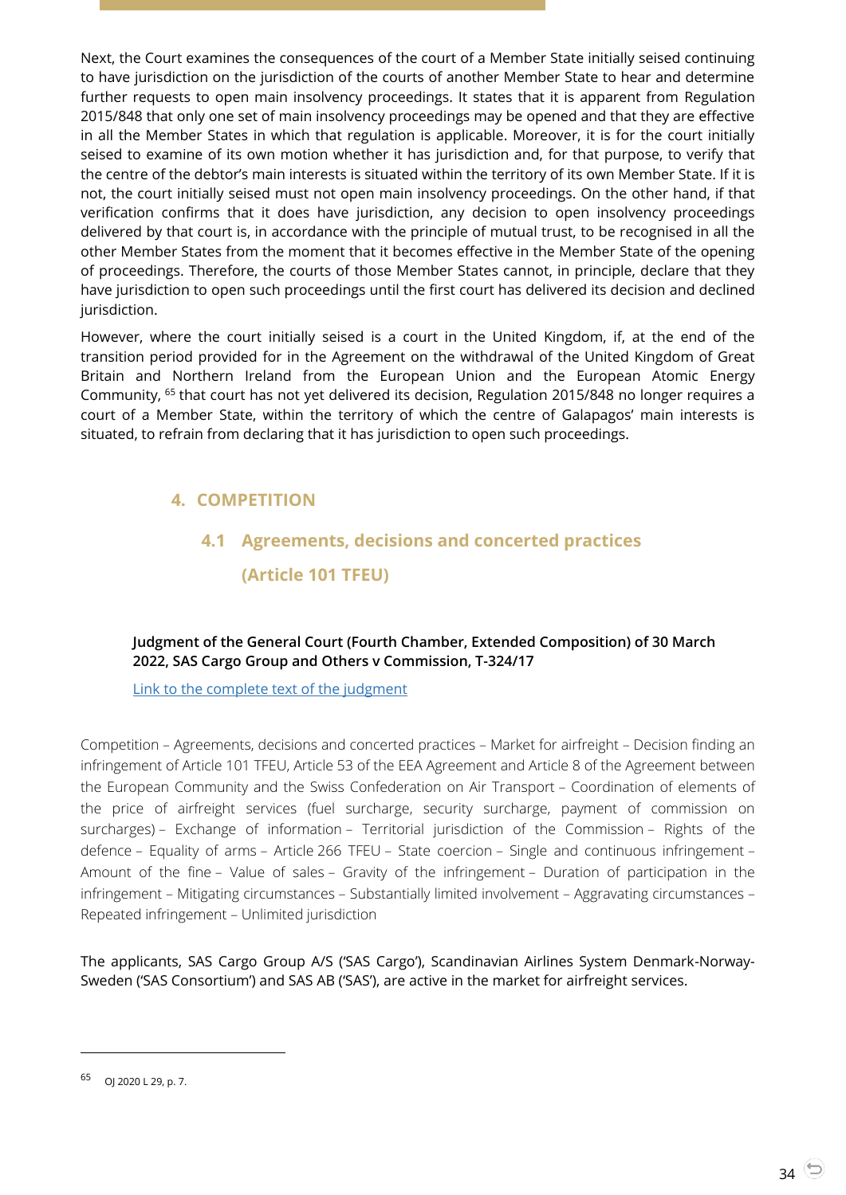Next, the Court examines the consequences of the court of a Member State initially seised continuing to have jurisdiction on the jurisdiction of the courts of another Member State to hear and determine further requests to open main insolvency proceedings. It states that it is apparent from Regulation 2015/848 that only one set of main insolvency proceedings may be opened and that they are effective in all the Member States in which that regulation is applicable. Moreover, it is for the court initially seised to examine of its own motion whether it has jurisdiction and, for that purpose, to verify that the centre of the debtor's main interests is situated within the territory of its own Member State. If it is not, the court initially seised must not open main insolvency proceedings. On the other hand, if that verification confirms that it does have jurisdiction, any decision to open insolvency proceedings delivered by that court is, in accordance with the principle of mutual trust, to be recognised in all the other Member States from the moment that it becomes effective in the Member State of the opening of proceedings. Therefore, the courts of those Member States cannot, in principle, declare that they have jurisdiction to open such proceedings until the first court has delivered its decision and declined jurisdiction.

However, where the court initially seised is a court in the United Kingdom, if, at the end of the transition period provided for in the Agreement on the withdrawal of the United Kingdom of Great Britain and Northern Ireland from the European Union and the European Atomic Energy Community, <sup>65</sup> that court has not yet delivered its decision, Regulation 2015/848 no longer requires a court of a Member State, within the territory of which the centre of Galapagos' main interests is situated, to refrain from declaring that it has jurisdiction to open such proceedings.

## <span id="page-33-1"></span><span id="page-33-0"></span>**4. COMPETITION**

## **4.1 Agreements, decisions and concerted practices (Article 101 TFEU)**

#### <span id="page-33-2"></span>**Judgment of the General Court (Fourth Chamber, Extended Composition) of 30 March 2022, SAS Cargo Group and Others v Commission, T-324/17**

#### [Link to the complete text of the judgment](https://curia.europa.eu/juris/document/document.jsf?text=&docid=256865&pageIndex=0&doclang=en&mode=lst&dir=&occ=first&part=1&cid=4692305)

Competition – Agreements, decisions and concerted practices – Market for airfreight – Decision finding an infringement of Article 101 TFEU, Article 53 of the EEA Agreement and Article 8 of the Agreement between the European Community and the Swiss Confederation on Air Transport – Coordination of elements of the price of airfreight services (fuel surcharge, security surcharge, payment of commission on surcharges) – Exchange of information – Territorial jurisdiction of the Commission – Rights of the defence – Equality of arms – Article 266 TFEU – State coercion – Single and continuous infringement – Amount of the fine – Value of sales – Gravity of the infringement – Duration of participation in the infringement – Mitigating circumstances – Substantially limited involvement – Aggravating circumstances – Repeated infringement – Unlimited jurisdiction

The applicants, SAS Cargo Group A/S ('SAS Cargo'), Scandinavian Airlines System Denmark-Norway-Sweden ('SAS Consortium') and SAS AB ('SAS'), are active in the market for airfreight services.

<sup>65</sup> OJ 2020 L 29, p. 7.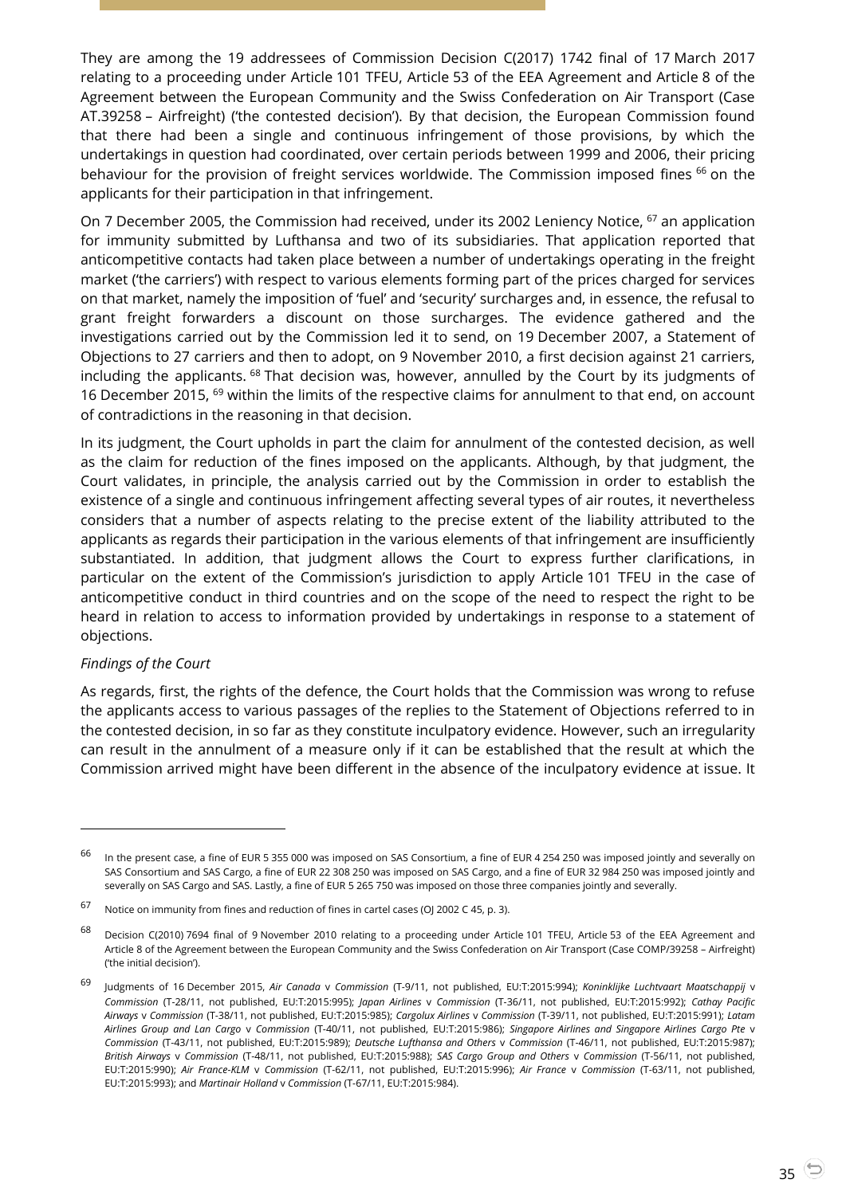They are among the 19 addressees of Commission Decision C(2017) 1742 final of 17 March 2017 relating to a proceeding under Article 101 TFEU, Article 53 of the EEA Agreement and Article 8 of the Agreement between the European Community and the Swiss Confederation on Air Transport (Case AT.39258 – Airfreight) ('the contested decision'). By that decision, the European Commission found that there had been a single and continuous infringement of those provisions, by which the undertakings in question had coordinated, over certain periods between 1999 and 2006, their pricing behaviour for the provision of freight services worldwide. The Commission imposed fines <sup>66</sup> on the applicants for their participation in that infringement.

On 7 December 2005, the Commission had received, under its 2002 Leniency Notice, <sup>67</sup> an application for immunity submitted by Lufthansa and two of its subsidiaries. That application reported that anticompetitive contacts had taken place between a number of undertakings operating in the freight market ('the carriers') with respect to various elements forming part of the prices charged for services on that market, namely the imposition of 'fuel' and 'security' surcharges and, in essence, the refusal to grant freight forwarders a discount on those surcharges. The evidence gathered and the investigations carried out by the Commission led it to send, on 19 December 2007, a Statement of Objections to 27 carriers and then to adopt, on 9 November 2010, a first decision against 21 carriers, including the applicants.  $68$  That decision was, however, annulled by the Court by its judgments of 16 December 2015, <sup>69</sup> within the limits of the respective claims for annulment to that end, on account of contradictions in the reasoning in that decision.

In its judgment, the Court upholds in part the claim for annulment of the contested decision, as well as the claim for reduction of the fines imposed on the applicants. Although, by that judgment, the Court validates, in principle, the analysis carried out by the Commission in order to establish the existence of a single and continuous infringement affecting several types of air routes, it nevertheless considers that a number of aspects relating to the precise extent of the liability attributed to the applicants as regards their participation in the various elements of that infringement are insufficiently substantiated. In addition, that judgment allows the Court to express further clarifications, in particular on the extent of the Commission's jurisdiction to apply Article 101 TFEU in the case of anticompetitive conduct in third countries and on the scope of the need to respect the right to be heard in relation to access to information provided by undertakings in response to a statement of objections.

#### *Findings of the Court*

l

As regards, first, the rights of the defence, the Court holds that the Commission was wrong to refuse the applicants access to various passages of the replies to the Statement of Objections referred to in the contested decision, in so far as they constitute inculpatory evidence. However, such an irregularity can result in the annulment of a measure only if it can be established that the result at which the Commission arrived might have been different in the absence of the inculpatory evidence at issue. It

 $^{66}$  In the present case, a fine of EUR 5 355 000 was imposed on SAS Consortium, a fine of EUR 4 254 250 was imposed jointly and severally on SAS Consortium and SAS Cargo, a fine of EUR 22 308 250 was imposed on SAS Cargo, and a fine of EUR 32 984 250 was imposed jointly and severally on SAS Cargo and SAS. Lastly, a fine of EUR 5 265 750 was imposed on those three companies jointly and severally.

<sup>67</sup> Notice on immunity from fines and reduction of fines in cartel cases (OJ 2002 C 45, p. 3).

<sup>&</sup>lt;sup>68</sup> Decision C(2010) 7694 final of 9 November 2010 relating to a proceeding under Article 101 TFEU, Article 53 of the EEA Agreement and Article 8 of the Agreement between the European Community and the Swiss Confederation on Air Transport (Case COMP/39258 – Airfreight) ('the initial decision').

<sup>69</sup> Judgments of 16 December 2015, *Air Canada* <sup>v</sup>*Commission* (T-9/11, not published, EU:T:2015:994); *Koninklijke Luchtvaart Maatschappij* <sup>v</sup> *Commission* (T-28/11, not published, EU:T:2015:995); *Japan Airlines* v *Commission* (T-36/11, not published, EU:T:2015:992); *Cathay Pacific Airways* v *Commission* (T-38/11, not published, EU:T:2015:985); *Cargolux Airlines* v *Commission* (T-39/11, not published, EU:T:2015:991); *Latam Airlines Group and Lan Cargo* v *Commission* (T-40/11, not published, EU:T:2015:986); *Singapore Airlines and Singapore Airlines Cargo Pte* v *Commission* (T-43/11, not published, EU:T:2015:989); *Deutsche Lufthansa and Others* v *Commission* (T-46/11, not published, EU:T:2015:987); *British Airways* v *Commission* (T-48/11, not published, EU:T:2015:988); *SAS Cargo Group and Others* v *Commission* (T-56/11, not published, EU:T:2015:990); *Air France-KLM* v *Commission* (T-62/11, not published, EU:T:2015:996); *Air France* v *Commission* (T-63/11, not published, EU:T:2015:993); and *Martinair Holland* v *Commission* (T-67/11, EU:T:2015:984).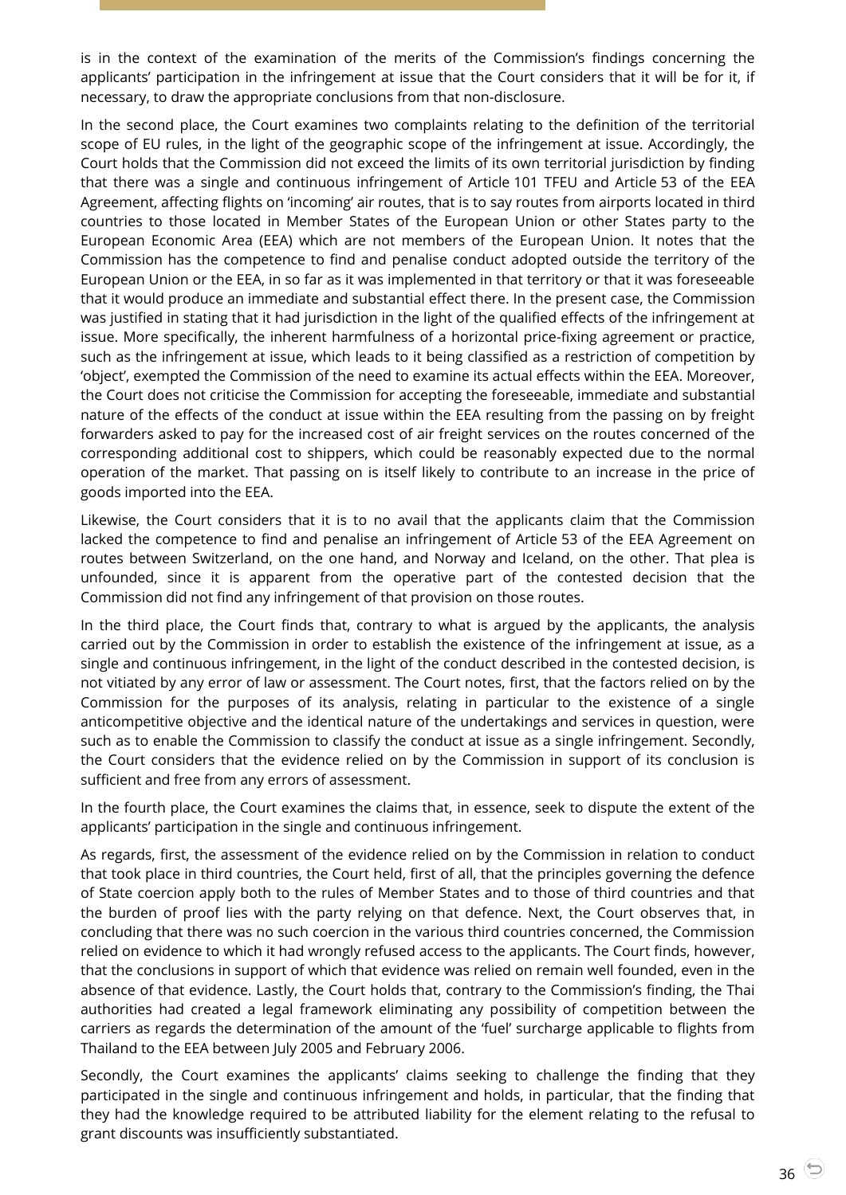is in the context of the examination of the merits of the Commission's findings concerning the applicants' participation in the infringement at issue that the Court considers that it will be for it, if necessary, to draw the appropriate conclusions from that non-disclosure.

In the second place, the Court examines two complaints relating to the definition of the territorial scope of EU rules, in the light of the geographic scope of the infringement at issue. Accordingly, the Court holds that the Commission did not exceed the limits of its own territorial jurisdiction by finding that there was a single and continuous infringement of Article 101 TFEU and Article 53 of the EEA Agreement, affecting flights on 'incoming' air routes, that is to say routes from airports located in third countries to those located in Member States of the European Union or other States party to the European Economic Area (EEA) which are not members of the European Union. It notes that the Commission has the competence to find and penalise conduct adopted outside the territory of the European Union or the EEA, in so far as it was implemented in that territory or that it was foreseeable that it would produce an immediate and substantial effect there. In the present case, the Commission was justified in stating that it had jurisdiction in the light of the qualified effects of the infringement at issue. More specifically, the inherent harmfulness of a horizontal price-fixing agreement or practice, such as the infringement at issue, which leads to it being classified as a restriction of competition by 'object', exempted the Commission of the need to examine its actual effects within the EEA. Moreover, the Court does not criticise the Commission for accepting the foreseeable, immediate and substantial nature of the effects of the conduct at issue within the EEA resulting from the passing on by freight forwarders asked to pay for the increased cost of air freight services on the routes concerned of the corresponding additional cost to shippers, which could be reasonably expected due to the normal operation of the market. That passing on is itself likely to contribute to an increase in the price of goods imported into the EEA.

Likewise, the Court considers that it is to no avail that the applicants claim that the Commission lacked the competence to find and penalise an infringement of Article 53 of the EEA Agreement on routes between Switzerland, on the one hand, and Norway and Iceland, on the other. That plea is unfounded, since it is apparent from the operative part of the contested decision that the Commission did not find any infringement of that provision on those routes.

In the third place, the Court finds that, contrary to what is argued by the applicants, the analysis carried out by the Commission in order to establish the existence of the infringement at issue, as a single and continuous infringement, in the light of the conduct described in the contested decision, is not vitiated by any error of law or assessment. The Court notes, first, that the factors relied on by the Commission for the purposes of its analysis, relating in particular to the existence of a single anticompetitive objective and the identical nature of the undertakings and services in question, were such as to enable the Commission to classify the conduct at issue as a single infringement. Secondly, the Court considers that the evidence relied on by the Commission in support of its conclusion is sufficient and free from any errors of assessment.

In the fourth place, the Court examines the claims that, in essence, seek to dispute the extent of the applicants' participation in the single and continuous infringement.

As regards, first, the assessment of the evidence relied on by the Commission in relation to conduct that took place in third countries, the Court held, first of all, that the principles governing the defence of State coercion apply both to the rules of Member States and to those of third countries and that the burden of proof lies with the party relying on that defence. Next, the Court observes that, in concluding that there was no such coercion in the various third countries concerned, the Commission relied on evidence to which it had wrongly refused access to the applicants. The Court finds, however, that the conclusions in support of which that evidence was relied on remain well founded, even in the absence of that evidence. Lastly, the Court holds that, contrary to the Commission's finding, the Thai authorities had created a legal framework eliminating any possibility of competition between the carriers as regards the determination of the amount of the 'fuel' surcharge applicable to flights from Thailand to the EEA between July 2005 and February 2006.

Secondly, the Court examines the applicants' claims seeking to challenge the finding that they participated in the single and continuous infringement and holds, in particular, that the finding that they had the knowledge required to be attributed liability for the element relating to the refusal to grant discounts was insufficiently substantiated.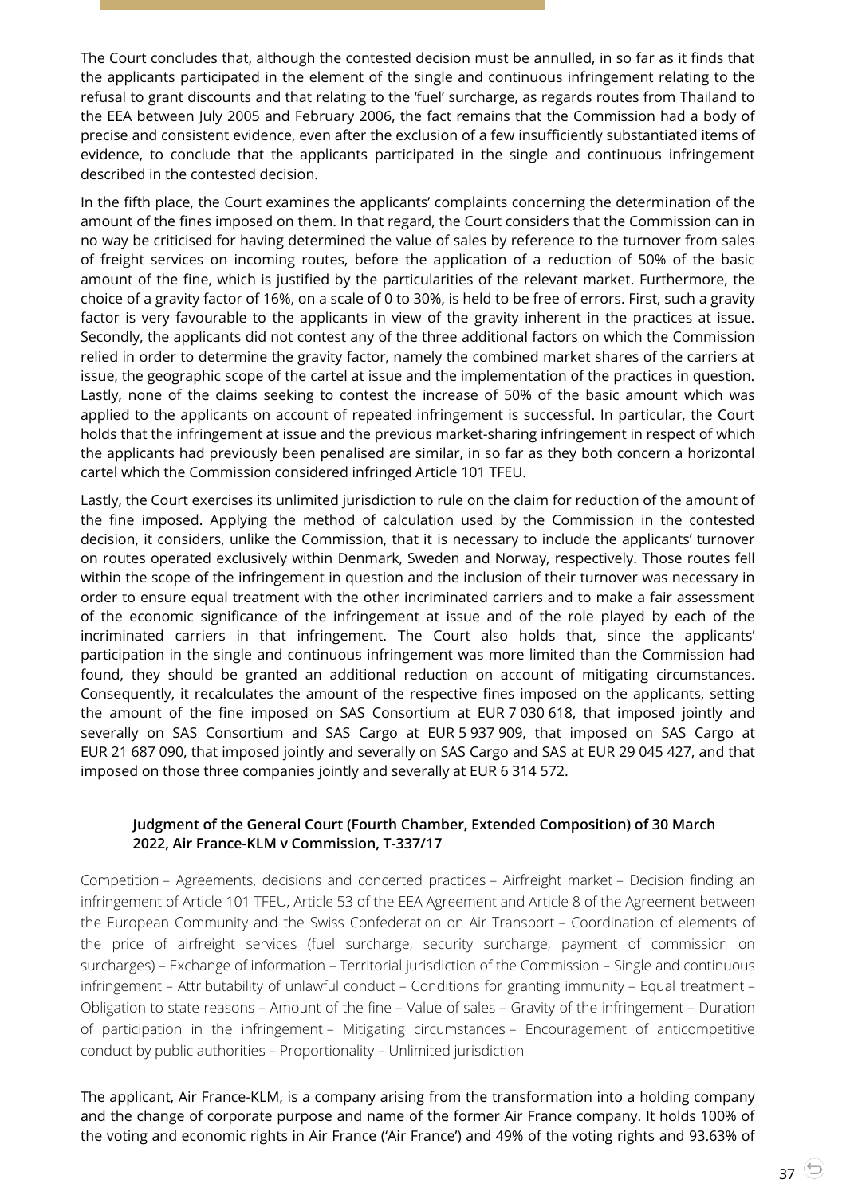The Court concludes that, although the contested decision must be annulled, in so far as it finds that the applicants participated in the element of the single and continuous infringement relating to the refusal to grant discounts and that relating to the 'fuel' surcharge, as regards routes from Thailand to the EEA between July 2005 and February 2006, the fact remains that the Commission had a body of precise and consistent evidence, even after the exclusion of a few insufficiently substantiated items of evidence, to conclude that the applicants participated in the single and continuous infringement described in the contested decision.

In the fifth place, the Court examines the applicants' complaints concerning the determination of the amount of the fines imposed on them. In that regard, the Court considers that the Commission can in no way be criticised for having determined the value of sales by reference to the turnover from sales of freight services on incoming routes, before the application of a reduction of 50% of the basic amount of the fine, which is justified by the particularities of the relevant market. Furthermore, the choice of a gravity factor of 16%, on a scale of 0 to 30%, is held to be free of errors. First, such a gravity factor is very favourable to the applicants in view of the gravity inherent in the practices at issue. Secondly, the applicants did not contest any of the three additional factors on which the Commission relied in order to determine the gravity factor, namely the combined market shares of the carriers at issue, the geographic scope of the cartel at issue and the implementation of the practices in question. Lastly, none of the claims seeking to contest the increase of 50% of the basic amount which was applied to the applicants on account of repeated infringement is successful. In particular, the Court holds that the infringement at issue and the previous market-sharing infringement in respect of which the applicants had previously been penalised are similar, in so far as they both concern a horizontal cartel which the Commission considered infringed Article 101 TFEU.

Lastly, the Court exercises its unlimited jurisdiction to rule on the claim for reduction of the amount of the fine imposed. Applying the method of calculation used by the Commission in the contested decision, it considers, unlike the Commission, that it is necessary to include the applicants' turnover on routes operated exclusively within Denmark, Sweden and Norway, respectively. Those routes fell within the scope of the infringement in question and the inclusion of their turnover was necessary in order to ensure equal treatment with the other incriminated carriers and to make a fair assessment of the economic significance of the infringement at issue and of the role played by each of the incriminated carriers in that infringement. The Court also holds that, since the applicants' participation in the single and continuous infringement was more limited than the Commission had found, they should be granted an additional reduction on account of mitigating circumstances. Consequently, it recalculates the amount of the respective fines imposed on the applicants, setting the amount of the fine imposed on SAS Consortium at EUR 7 030 618, that imposed jointly and severally on SAS Consortium and SAS Cargo at EUR 5 937 909, that imposed on SAS Cargo at EUR 21 687 090, that imposed jointly and severally on SAS Cargo and SAS at EUR 29 045 427, and that imposed on those three companies jointly and severally at EUR 6 314 572.

#### <span id="page-36-0"></span>**Judgment of the General Court (Fourth Chamber, Extended Composition) of 30 March 2022, Air France-KLM v Commission, T-337/17**

Competition – Agreements, decisions and concerted practices – Airfreight market – Decision finding an infringement of Article 101 TFEU, Article 53 of the EEA Agreement and Article 8 of the Agreement between the European Community and the Swiss Confederation on Air Transport – Coordination of elements of the price of airfreight services (fuel surcharge, security surcharge, payment of commission on surcharges) – Exchange of information – Territorial jurisdiction of the Commission – Single and continuous infringement – Attributability of unlawful conduct – Conditions for granting immunity – Equal treatment – Obligation to state reasons – Amount of the fine – Value of sales – Gravity of the infringement – Duration of participation in the infringement – Mitigating circumstances – Encouragement of anticompetitive conduct by public authorities – Proportionality – Unlimited jurisdiction

The applicant, Air France-KLM, is a company arising from the transformation into a holding company and the change of corporate purpose and name of the former Air France company. It holds 100% of the voting and economic rights in Air France ('Air France') and 49% of the voting rights and 93.63% of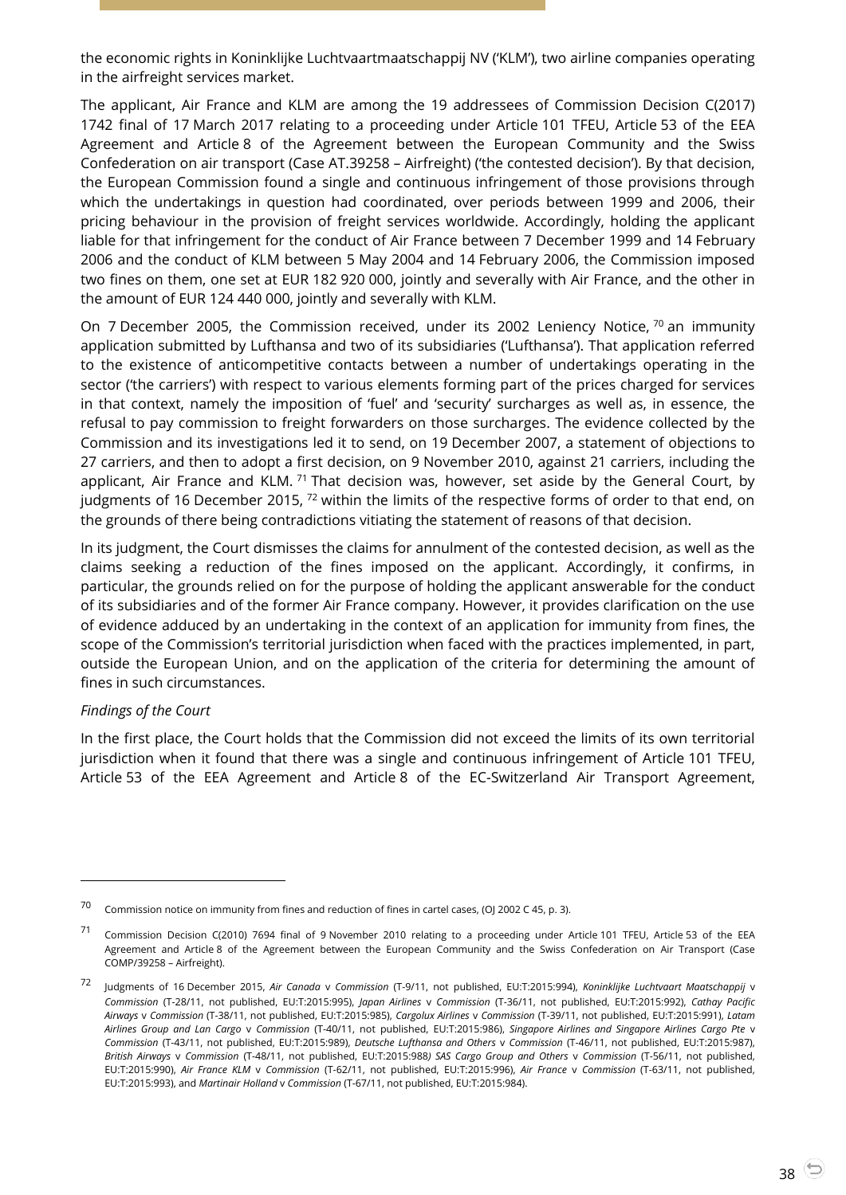the economic rights in Koninklijke Luchtvaartmaatschappij NV ('KLM'), two airline companies operating in the airfreight services market.

The applicant, Air France and KLM are among the 19 addressees of Commission Decision C(2017) 1742 final of 17 March 2017 relating to a proceeding under Article 101 TFEU, Article 53 of the EEA Agreement and Article 8 of the Agreement between the European Community and the Swiss Confederation on air transport (Case AT.39258 – Airfreight) ('the contested decision'). By that decision, the European Commission found a single and continuous infringement of those provisions through which the undertakings in question had coordinated, over periods between 1999 and 2006, their pricing behaviour in the provision of freight services worldwide. Accordingly, holding the applicant liable for that infringement for the conduct of Air France between 7 December 1999 and 14 February 2006 and the conduct of KLM between 5 May 2004 and 14 February 2006, the Commission imposed two fines on them, one set at EUR 182 920 000, jointly and severally with Air France, and the other in the amount of EUR 124 440 000, jointly and severally with KLM.

On 7 December 2005, the Commission received, under its 2002 Leniency Notice,  $70$  an immunity application submitted by Lufthansa and two of its subsidiaries ('Lufthansa'). That application referred to the existence of anticompetitive contacts between a number of undertakings operating in the sector ('the carriers') with respect to various elements forming part of the prices charged for services in that context, namely the imposition of 'fuel' and 'security' surcharges as well as, in essence, the refusal to pay commission to freight forwarders on those surcharges. The evidence collected by the Commission and its investigations led it to send, on 19 December 2007, a statement of objections to 27 carriers, and then to adopt a first decision, on 9 November 2010, against 21 carriers, including the applicant, Air France and KLM.<sup>71</sup> That decision was, however, set aside by the General Court, by judgments of 16 December 2015, <sup>72</sup> within the limits of the respective forms of order to that end, on the grounds of there being contradictions vitiating the statement of reasons of that decision.

In its judgment, the Court dismisses the claims for annulment of the contested decision, as well as the claims seeking a reduction of the fines imposed on the applicant. Accordingly, it confirms, in particular, the grounds relied on for the purpose of holding the applicant answerable for the conduct of its subsidiaries and of the former Air France company. However, it provides clarification on the use of evidence adduced by an undertaking in the context of an application for immunity from fines, the scope of the Commission's territorial jurisdiction when faced with the practices implemented, in part, outside the European Union, and on the application of the criteria for determining the amount of fines in such circumstances.

#### *Findings of the Court*

l

In the first place, the Court holds that the Commission did not exceed the limits of its own territorial jurisdiction when it found that there was a single and continuous infringement of Article 101 TFEU, Article 53 of the EEA Agreement and Article 8 of the EC-Switzerland Air Transport Agreement,

<sup>&</sup>lt;sup>70</sup> Commission notice on immunity from fines and reduction of fines in cartel cases, (OJ 2002 C 45, p. 3).

<sup>71</sup> Commission Decision C(2010) 7694 final of 9 November 2010 relating to a proceeding under Article 101 TFEU, Article 53 of the EEA Agreement and Article 8 of the Agreement between the European Community and the Swiss Confederation on Air Transport (Case COMP/39258 – Airfreight).

<sup>72</sup> Judgments of 16 December 2015, *Air Canada* <sup>v</sup>*Commission* (T-9/11, not published, EU:T:2015:994), *Koninklijke Luchtvaart Maatschappij* <sup>v</sup> *Commission* (T-28/11, not published, EU:T:2015:995), *Japan Airlines* v *Commission* (T-36/11, not published, EU:T:2015:992), *Cathay Pacific Airways* v *Commission* (T-38/11, not published, EU:T:2015:985), *Cargolux Airlines* v *Commission* (T-39/11, not published, EU:T:2015:991), *Latam Airlines Group and Lan Cargo* v *Commission* (T-40/11, not published, EU:T:2015:986), *Singapore Airlines and Singapore Airlines Cargo Pte* v *Commission* (T-43/11, not published, EU:T:2015:989), *Deutsche Lufthansa and Others* v *Commission* (T-46/11, not published, EU:T:2015:987), *British Airways* v *Commission* (T-48/11, not published, EU:T:2015:988*) SAS Cargo Group and Others* v *Commission* (T-56/11, not published, EU:T:2015:990), *Air France KLM* v *Commission* (T-62/11, not published, EU:T:2015:996), *Air France* v *Commission* (T-63/11, not published, EU:T:2015:993), and *Martinair Holland* v *Commission* (T-67/11, not published, EU:T:2015:984).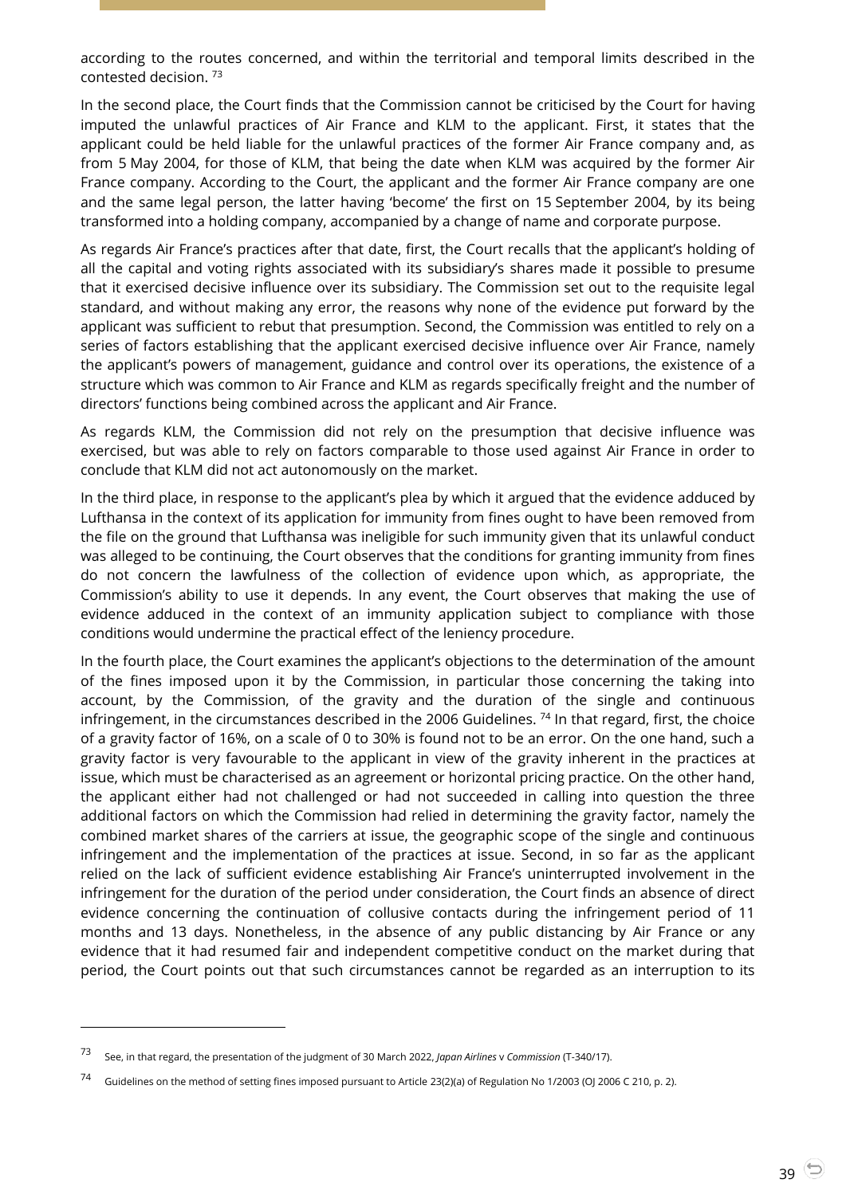according to the routes concerned, and within the territorial and temporal limits described in the contested decision. <sup>73</sup>

In the second place, the Court finds that the Commission cannot be criticised by the Court for having imputed the unlawful practices of Air France and KLM to the applicant. First, it states that the applicant could be held liable for the unlawful practices of the former Air France company and, as from 5 May 2004, for those of KLM, that being the date when KLM was acquired by the former Air France company. According to the Court, the applicant and the former Air France company are one and the same legal person, the latter having 'become' the first on 15 September 2004, by its being transformed into a holding company, accompanied by a change of name and corporate purpose.

As regards Air France's practices after that date, first, the Court recalls that the applicant's holding of all the capital and voting rights associated with its subsidiary's shares made it possible to presume that it exercised decisive influence over its subsidiary. The Commission set out to the requisite legal standard, and without making any error, the reasons why none of the evidence put forward by the applicant was sufficient to rebut that presumption. Second, the Commission was entitled to rely on a series of factors establishing that the applicant exercised decisive influence over Air France, namely the applicant's powers of management, guidance and control over its operations, the existence of a structure which was common to Air France and KLM as regards specifically freight and the number of directors' functions being combined across the applicant and Air France.

As regards KLM, the Commission did not rely on the presumption that decisive influence was exercised, but was able to rely on factors comparable to those used against Air France in order to conclude that KLM did not act autonomously on the market.

In the third place, in response to the applicant's plea by which it argued that the evidence adduced by Lufthansa in the context of its application for immunity from fines ought to have been removed from the file on the ground that Lufthansa was ineligible for such immunity given that its unlawful conduct was alleged to be continuing, the Court observes that the conditions for granting immunity from fines do not concern the lawfulness of the collection of evidence upon which, as appropriate, the Commission's ability to use it depends. In any event, the Court observes that making the use of evidence adduced in the context of an immunity application subject to compliance with those conditions would undermine the practical effect of the leniency procedure.

In the fourth place, the Court examines the applicant's objections to the determination of the amount of the fines imposed upon it by the Commission, in particular those concerning the taking into account, by the Commission, of the gravity and the duration of the single and continuous infringement, in the circumstances described in the 2006 Guidelines.<sup>74</sup> In that regard, first, the choice of a gravity factor of 16%, on a scale of 0 to 30% is found not to be an error. On the one hand, such a gravity factor is very favourable to the applicant in view of the gravity inherent in the practices at issue, which must be characterised as an agreement or horizontal pricing practice. On the other hand, the applicant either had not challenged or had not succeeded in calling into question the three additional factors on which the Commission had relied in determining the gravity factor, namely the combined market shares of the carriers at issue, the geographic scope of the single and continuous infringement and the implementation of the practices at issue. Second, in so far as the applicant relied on the lack of sufficient evidence establishing Air France's uninterrupted involvement in the infringement for the duration of the period under consideration, the Court finds an absence of direct evidence concerning the continuation of collusive contacts during the infringement period of 11 months and 13 days. Nonetheless, in the absence of any public distancing by Air France or any evidence that it had resumed fair and independent competitive conduct on the market during that period, the Court points out that such circumstances cannot be regarded as an interruption to its

<sup>73</sup> See, in that regard, the presentation of the judgment of 30 March 2022, *Japan Airlines* <sup>v</sup>*Commission* (T-340/17).

<sup>74</sup> Guidelines on the method of setting fines imposed pursuant to Article 23(2)(a) of Regulation No 1/2003 (OJ 2006 C 210, p. 2).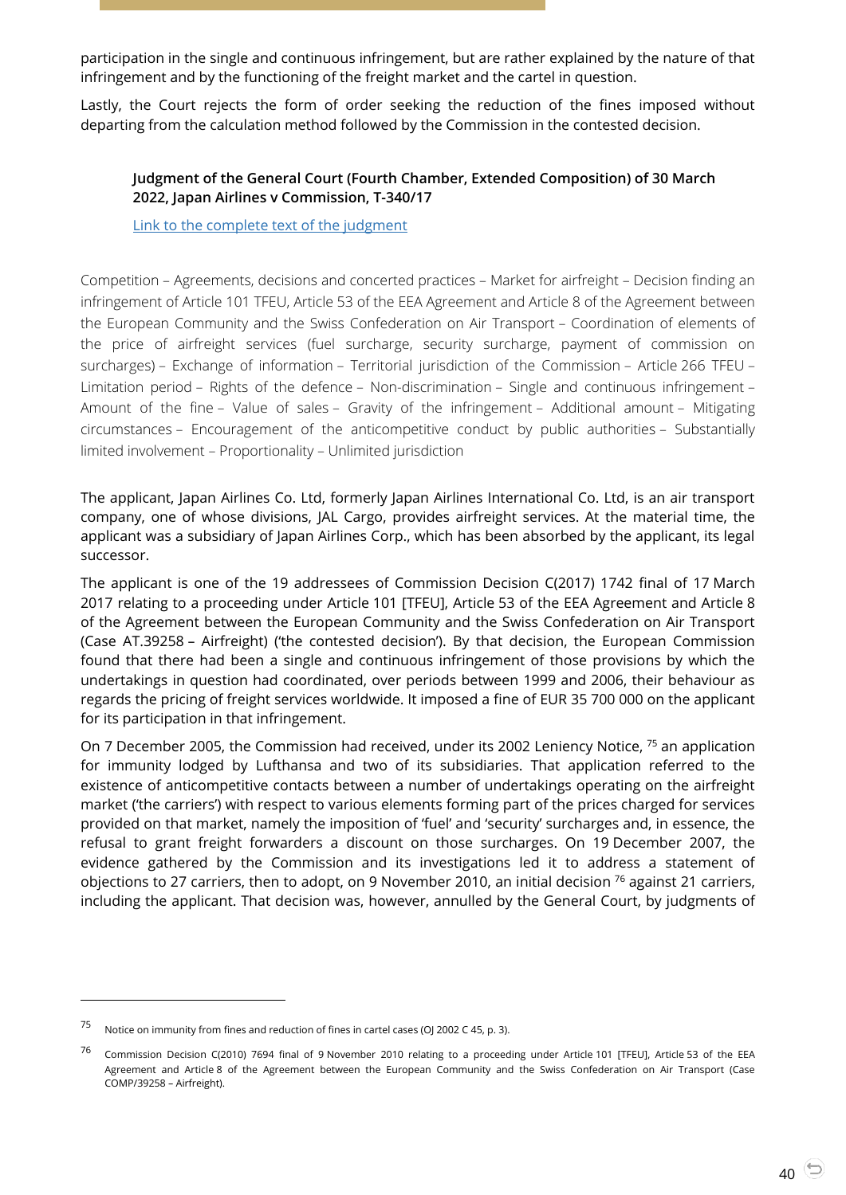participation in the single and continuous infringement, but are rather explained by the nature of that infringement and by the functioning of the freight market and the cartel in question.

<span id="page-39-0"></span>Lastly, the Court rejects the form of order seeking the reduction of the fines imposed without departing from the calculation method followed by the Commission in the contested decision.

#### **Judgment of the General Court (Fourth Chamber, Extended Composition) of 30 March 2022, Japan Airlines v Commission, T-340/17**

[Link to the complete text of the judgment](https://curia.europa.eu/juris/document/document.jsf?text=&docid=256866&pageIndex=0&doclang=en&mode=lst&dir=&occ=first&part=1&cid=4692453)

Competition – Agreements, decisions and concerted practices – Market for airfreight – Decision finding an infringement of Article 101 TFEU, Article 53 of the EEA Agreement and Article 8 of the Agreement between the European Community and the Swiss Confederation on Air Transport – Coordination of elements of the price of airfreight services (fuel surcharge, security surcharge, payment of commission on surcharges) – Exchange of information – Territorial jurisdiction of the Commission – Article 266 TFEU – Limitation period – Rights of the defence – Non-discrimination – Single and continuous infringement – Amount of the fine – Value of sales – Gravity of the infringement – Additional amount – Mitigating circumstances – Encouragement of the anticompetitive conduct by public authorities – Substantially limited involvement – Proportionality – Unlimited jurisdiction

The applicant, Japan Airlines Co. Ltd, formerly Japan Airlines International Co. Ltd, is an air transport company, one of whose divisions, JAL Cargo, provides airfreight services. At the material time, the applicant was a subsidiary of Japan Airlines Corp., which has been absorbed by the applicant, its legal successor.

The applicant is one of the 19 addressees of Commission Decision C(2017) 1742 final of 17 March 2017 relating to a proceeding under Article 101 [TFEU], Article 53 of the EEA Agreement and Article 8 of the Agreement between the European Community and the Swiss Confederation on Air Transport (Case AT.39258 – Airfreight) ('the contested decision'). By that decision, the European Commission found that there had been a single and continuous infringement of those provisions by which the undertakings in question had coordinated, over periods between 1999 and 2006, their behaviour as regards the pricing of freight services worldwide. It imposed a fine of EUR 35 700 000 on the applicant for its participation in that infringement.

On 7 December 2005, the Commission had received, under its 2002 Leniency Notice, <sup>75</sup> an application for immunity lodged by Lufthansa and two of its subsidiaries. That application referred to the existence of anticompetitive contacts between a number of undertakings operating on the airfreight market ('the carriers') with respect to various elements forming part of the prices charged for services provided on that market, namely the imposition of 'fuel' and 'security' surcharges and, in essence, the refusal to grant freight forwarders a discount on those surcharges. On 19 December 2007, the evidence gathered by the Commission and its investigations led it to address a statement of objections to 27 carriers, then to adopt, on 9 November 2010, an initial decision  $^{76}$  against 21 carriers, including the applicant. That decision was, however, annulled by the General Court, by judgments of

<sup>75</sup> Notice on immunity from fines and reduction of fines in cartel cases (OJ 2002 C 45, p. 3).

<sup>76</sup> Commission Decision C(2010) 7694 final of 9 November 2010 relating to a proceeding under Article 101 [TFEU], Article 53 of the EEA Agreement and Article 8 of the Agreement between the European Community and the Swiss Confederation on Air Transport (Case COMP/39258 – Airfreight).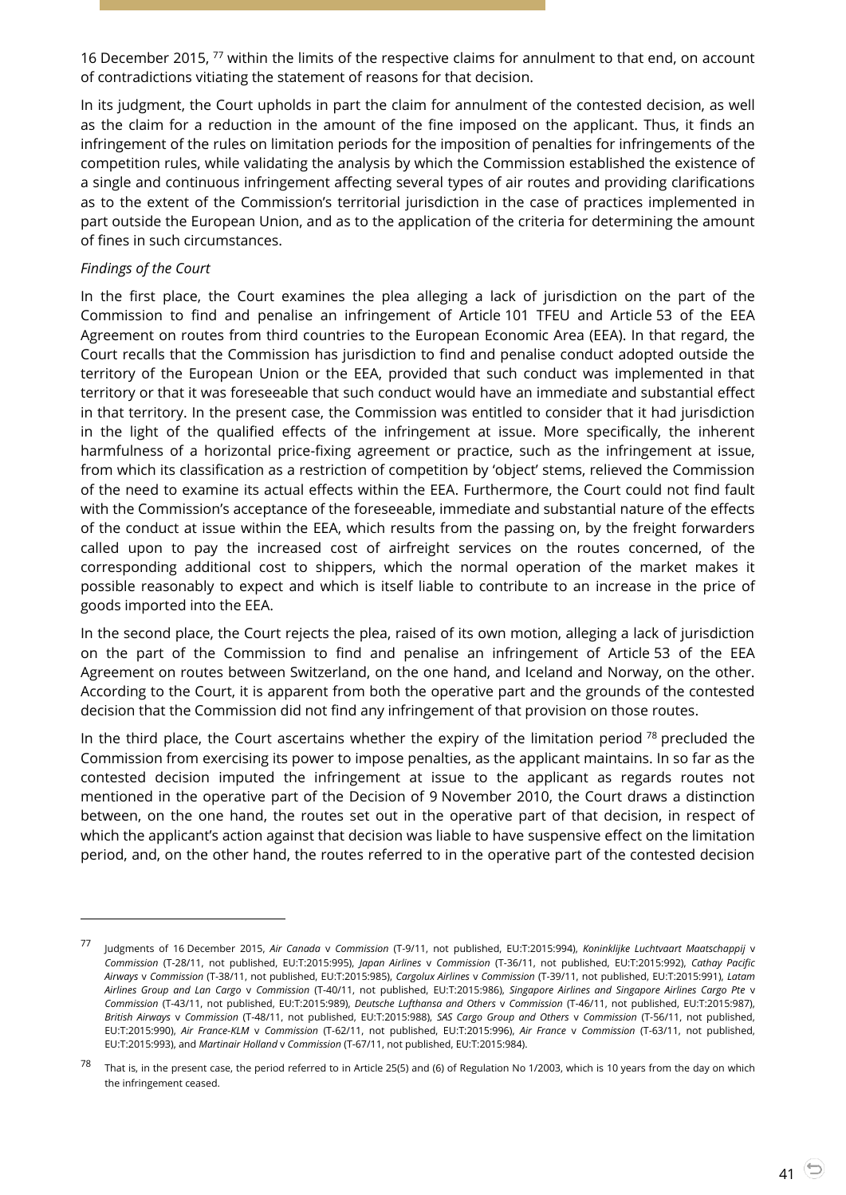16 December 2015, <sup>77</sup> within the limits of the respective claims for annulment to that end, on account of contradictions vitiating the statement of reasons for that decision.

In its judgment, the Court upholds in part the claim for annulment of the contested decision, as well as the claim for a reduction in the amount of the fine imposed on the applicant. Thus, it finds an infringement of the rules on limitation periods for the imposition of penalties for infringements of the competition rules, while validating the analysis by which the Commission established the existence of a single and continuous infringement affecting several types of air routes and providing clarifications as to the extent of the Commission's territorial jurisdiction in the case of practices implemented in part outside the European Union, and as to the application of the criteria for determining the amount of fines in such circumstances.

#### *Findings of the Court*

l

In the first place, the Court examines the plea alleging a lack of jurisdiction on the part of the Commission to find and penalise an infringement of Article 101 TFEU and Article 53 of the EEA Agreement on routes from third countries to the European Economic Area (EEA). In that regard, the Court recalls that the Commission has jurisdiction to find and penalise conduct adopted outside the territory of the European Union or the EEA, provided that such conduct was implemented in that territory or that it was foreseeable that such conduct would have an immediate and substantial effect in that territory. In the present case, the Commission was entitled to consider that it had jurisdiction in the light of the qualified effects of the infringement at issue. More specifically, the inherent harmfulness of a horizontal price-fixing agreement or practice, such as the infringement at issue, from which its classification as a restriction of competition by 'object' stems, relieved the Commission of the need to examine its actual effects within the EEA. Furthermore, the Court could not find fault with the Commission's acceptance of the foreseeable, immediate and substantial nature of the effects of the conduct at issue within the EEA, which results from the passing on, by the freight forwarders called upon to pay the increased cost of airfreight services on the routes concerned, of the corresponding additional cost to shippers, which the normal operation of the market makes it possible reasonably to expect and which is itself liable to contribute to an increase in the price of goods imported into the EEA.

In the second place, the Court rejects the plea, raised of its own motion, alleging a lack of jurisdiction on the part of the Commission to find and penalise an infringement of Article 53 of the EEA Agreement on routes between Switzerland, on the one hand, and Iceland and Norway, on the other. According to the Court, it is apparent from both the operative part and the grounds of the contested decision that the Commission did not find any infringement of that provision on those routes.

In the third place, the Court ascertains whether the expiry of the limitation period  $^{78}$  precluded the Commission from exercising its power to impose penalties, as the applicant maintains. In so far as the contested decision imputed the infringement at issue to the applicant as regards routes not mentioned in the operative part of the Decision of 9 November 2010, the Court draws a distinction between, on the one hand, the routes set out in the operative part of that decision, in respect of which the applicant's action against that decision was liable to have suspensive effect on the limitation period, and, on the other hand, the routes referred to in the operative part of the contested decision

<sup>77</sup> Judgments of 16 December 2015, *Air Canada* <sup>v</sup>*Commission* (T-9/11, not published, EU:T:2015:994), *Koninklijke Luchtvaart Maatschappij* <sup>v</sup> *Commission* (T-28/11, not published, EU:T:2015:995), *Japan Airlines* v *Commission* (T-36/11, not published, EU:T:2015:992), *Cathay Pacific Airways* v *Commission* (T-38/11, not published, EU:T:2015:985), *Cargolux Airlines* v *Commission* (T-39/11, not published, EU:T:2015:991), *Latam Airlines Group and Lan Cargo* v *Commission* (T-40/11, not published, EU:T:2015:986), *Singapore Airlines and Singapore Airlines Cargo Pte* v *Commission* (T-43/11, not published, EU:T:2015:989), *Deutsche Lufthansa and Others* v *Commission* (T-46/11, not published, EU:T:2015:987), *British Airways* v *Commission* (T-48/11, not published, EU:T:2015:988), *SAS Cargo Group and Others* v *Commission* (T-56/11, not published, EU:T:2015:990), *Air France-KLM* v *Commission* (T-62/11, not published, EU:T:2015:996), *Air France* v *Commission* (T-63/11, not published, EU:T:2015:993), and *Martinair Holland* v *Commission* (T-67/11, not published, EU:T:2015:984).

<sup>&</sup>lt;sup>78</sup> That is, in the present case, the period referred to in Article 25(5) and (6) of Regulation No 1/2003, which is 10 years from the day on which the infringement ceased.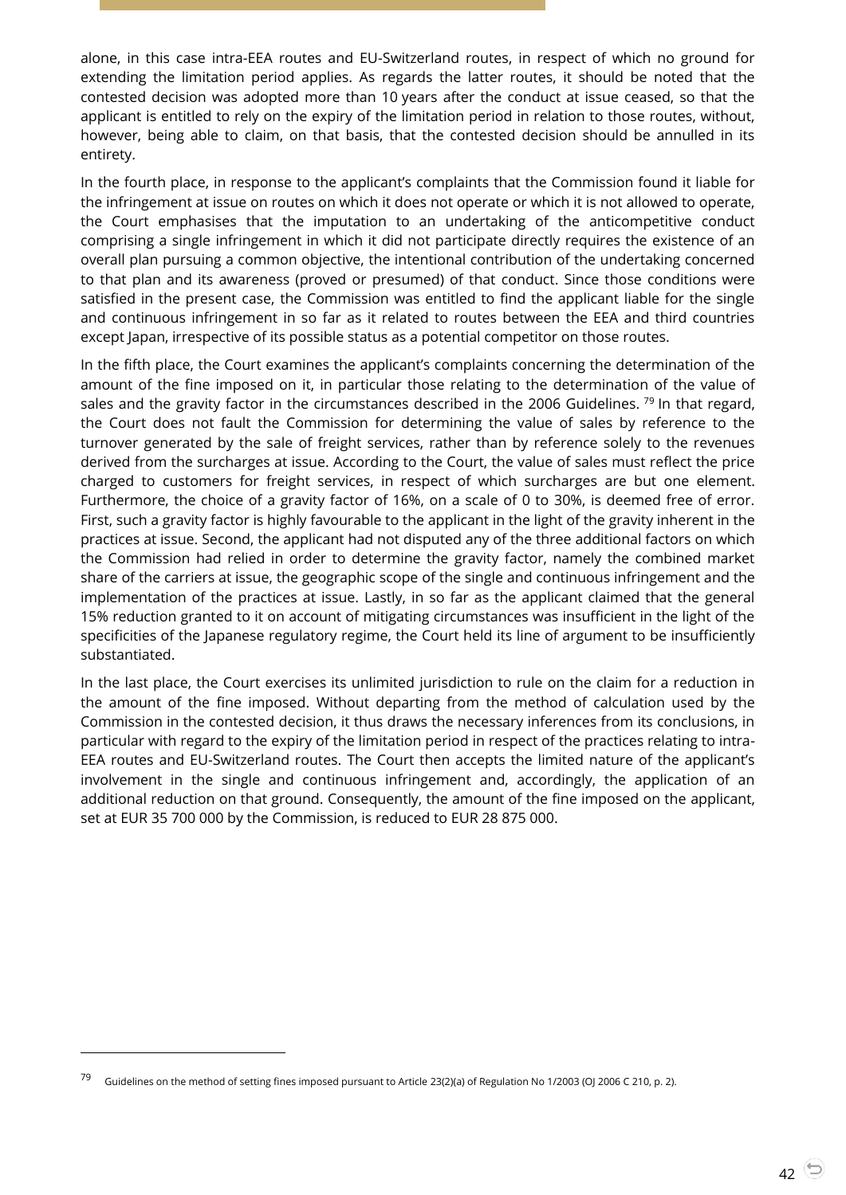alone, in this case intra-EEA routes and EU-Switzerland routes, in respect of which no ground for extending the limitation period applies. As regards the latter routes, it should be noted that the contested decision was adopted more than 10 years after the conduct at issue ceased, so that the applicant is entitled to rely on the expiry of the limitation period in relation to those routes, without, however, being able to claim, on that basis, that the contested decision should be annulled in its entirety.

In the fourth place, in response to the applicant's complaints that the Commission found it liable for the infringement at issue on routes on which it does not operate or which it is not allowed to operate, the Court emphasises that the imputation to an undertaking of the anticompetitive conduct comprising a single infringement in which it did not participate directly requires the existence of an overall plan pursuing a common objective, the intentional contribution of the undertaking concerned to that plan and its awareness (proved or presumed) of that conduct. Since those conditions were satisfied in the present case, the Commission was entitled to find the applicant liable for the single and continuous infringement in so far as it related to routes between the EEA and third countries except Japan, irrespective of its possible status as a potential competitor on those routes.

In the fifth place, the Court examines the applicant's complaints concerning the determination of the amount of the fine imposed on it, in particular those relating to the determination of the value of sales and the gravity factor in the circumstances described in the 2006 Guidelines.<sup>79</sup> In that regard, the Court does not fault the Commission for determining the value of sales by reference to the turnover generated by the sale of freight services, rather than by reference solely to the revenues derived from the surcharges at issue. According to the Court, the value of sales must reflect the price charged to customers for freight services, in respect of which surcharges are but one element. Furthermore, the choice of a gravity factor of 16%, on a scale of 0 to 30%, is deemed free of error. First, such a gravity factor is highly favourable to the applicant in the light of the gravity inherent in the practices at issue. Second, the applicant had not disputed any of the three additional factors on which the Commission had relied in order to determine the gravity factor, namely the combined market share of the carriers at issue, the geographic scope of the single and continuous infringement and the implementation of the practices at issue. Lastly, in so far as the applicant claimed that the general 15% reduction granted to it on account of mitigating circumstances was insufficient in the light of the specificities of the Japanese regulatory regime, the Court held its line of argument to be insufficiently substantiated.

In the last place, the Court exercises its unlimited jurisdiction to rule on the claim for a reduction in the amount of the fine imposed. Without departing from the method of calculation used by the Commission in the contested decision, it thus draws the necessary inferences from its conclusions, in particular with regard to the expiry of the limitation period in respect of the practices relating to intra-EEA routes and EU-Switzerland routes. The Court then accepts the limited nature of the applicant's involvement in the single and continuous infringement and, accordingly, the application of an additional reduction on that ground. Consequently, the amount of the fine imposed on the applicant, set at EUR 35 700 000 by the Commission, is reduced to EUR 28 875 000.

<sup>79</sup> Guidelines on the method of setting fines imposed pursuant to Article 23(2)(a) of Regulation No 1/2003 (OJ 2006 C 210, p. 2).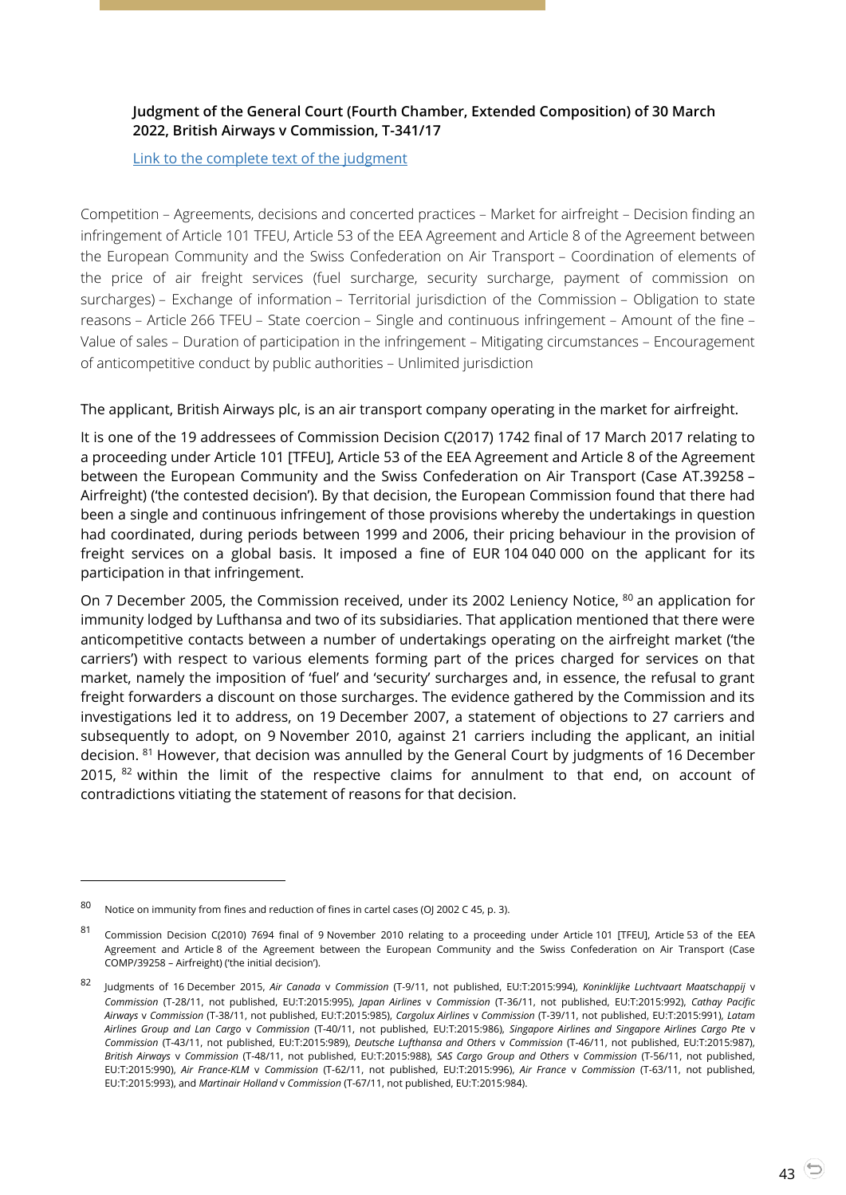#### <span id="page-42-0"></span>**Judgment of the General Court (Fourth Chamber, Extended Composition) of 30 March 2022, British Airways v Commission, T-341/17**

[Link to the complete text of the judgment](https://curia.europa.eu/juris/document/document.jsf?text=&docid=256873&pageIndex=0&doclang=en&mode=lst&dir=&occ=first&part=1&cid=4692532)

Competition – Agreements, decisions and concerted practices – Market for airfreight – Decision finding an infringement of Article 101 TFEU, Article 53 of the EEA Agreement and Article 8 of the Agreement between the European Community and the Swiss Confederation on Air Transport – Coordination of elements of the price of air freight services (fuel surcharge, security surcharge, payment of commission on surcharges) – Exchange of information – Territorial jurisdiction of the Commission – Obligation to state reasons – Article 266 TFEU – State coercion – Single and continuous infringement – Amount of the fine – Value of sales – Duration of participation in the infringement – Mitigating circumstances – Encouragement of anticompetitive conduct by public authorities – Unlimited jurisdiction

#### The applicant, British Airways plc, is an air transport company operating in the market for airfreight.

It is one of the 19 addressees of Commission Decision C(2017) 1742 final of 17 March 2017 relating to a proceeding under Article 101 [TFEU], Article 53 of the EEA Agreement and Article 8 of the Agreement between the European Community and the Swiss Confederation on Air Transport (Case AT.39258 – Airfreight) ('the contested decision'). By that decision, the European Commission found that there had been a single and continuous infringement of those provisions whereby the undertakings in question had coordinated, during periods between 1999 and 2006, their pricing behaviour in the provision of freight services on a global basis. It imposed a fine of EUR 104 040 000 on the applicant for its participation in that infringement.

On 7 December 2005, the Commission received, under its 2002 Leniency Notice, <sup>80</sup> an application for immunity lodged by Lufthansa and two of its subsidiaries. That application mentioned that there were anticompetitive contacts between a number of undertakings operating on the airfreight market ('the carriers') with respect to various elements forming part of the prices charged for services on that market, namely the imposition of 'fuel' and 'security' surcharges and, in essence, the refusal to grant freight forwarders a discount on those surcharges. The evidence gathered by the Commission and its investigations led it to address, on 19 December 2007, a statement of objections to 27 carriers and subsequently to adopt, on 9 November 2010, against 21 carriers including the applicant, an initial decision. <sup>81</sup> However, that decision was annulled by the General Court by judgments of 16 December 2015, <sup>82</sup> within the limit of the respective claims for annulment to that end, on account of contradictions vitiating the statement of reasons for that decision.

<sup>80</sup> Notice on immunity from fines and reduction of fines in cartel cases (OJ 2002 C 45, p. 3).

<sup>81</sup> Commission Decision C(2010) 7694 final of 9 November 2010 relating to a proceeding under Article 101 [TFEU], Article 53 of the EEA Agreement and Article 8 of the Agreement between the European Community and the Swiss Confederation on Air Transport (Case COMP/39258 – Airfreight) ('the initial decision').

<sup>82</sup> Judgments of 16 December 2015, *Air Canada* <sup>v</sup>*Commission* (T-9/11, not published, EU:T:2015:994), *Koninklijke Luchtvaart Maatschappij* <sup>v</sup> *Commission* (T-28/11, not published, EU:T:2015:995), *Japan Airlines* v *Commission* (T-36/11, not published, EU:T:2015:992), *Cathay Pacific Airways* v *Commission* (T-38/11, not published, EU:T:2015:985), *Cargolux Airlines* v *Commission* (T-39/11, not published, EU:T:2015:991), *Latam Airlines Group and Lan Cargo* v *Commission* (T-40/11, not published, EU:T:2015:986), *Singapore Airlines and Singapore Airlines Cargo Pte* v *Commission* (T-43/11, not published, EU:T:2015:989), *Deutsche Lufthansa and Others* v *Commission* (T-46/11, not published, EU:T:2015:987), *British Airways* v *Commission* (T-48/11, not published, EU:T:2015:988), *SAS Cargo Group and Others* v *Commission* (T-56/11, not published, EU:T:2015:990), *Air France-KLM* v *Commission* (T-62/11, not published, EU:T:2015:996), *Air France* v *Commission* (T-63/11, not published, EU:T:2015:993), and *Martinair Holland* v *Commission* (T-67/11, not published, EU:T:2015:984).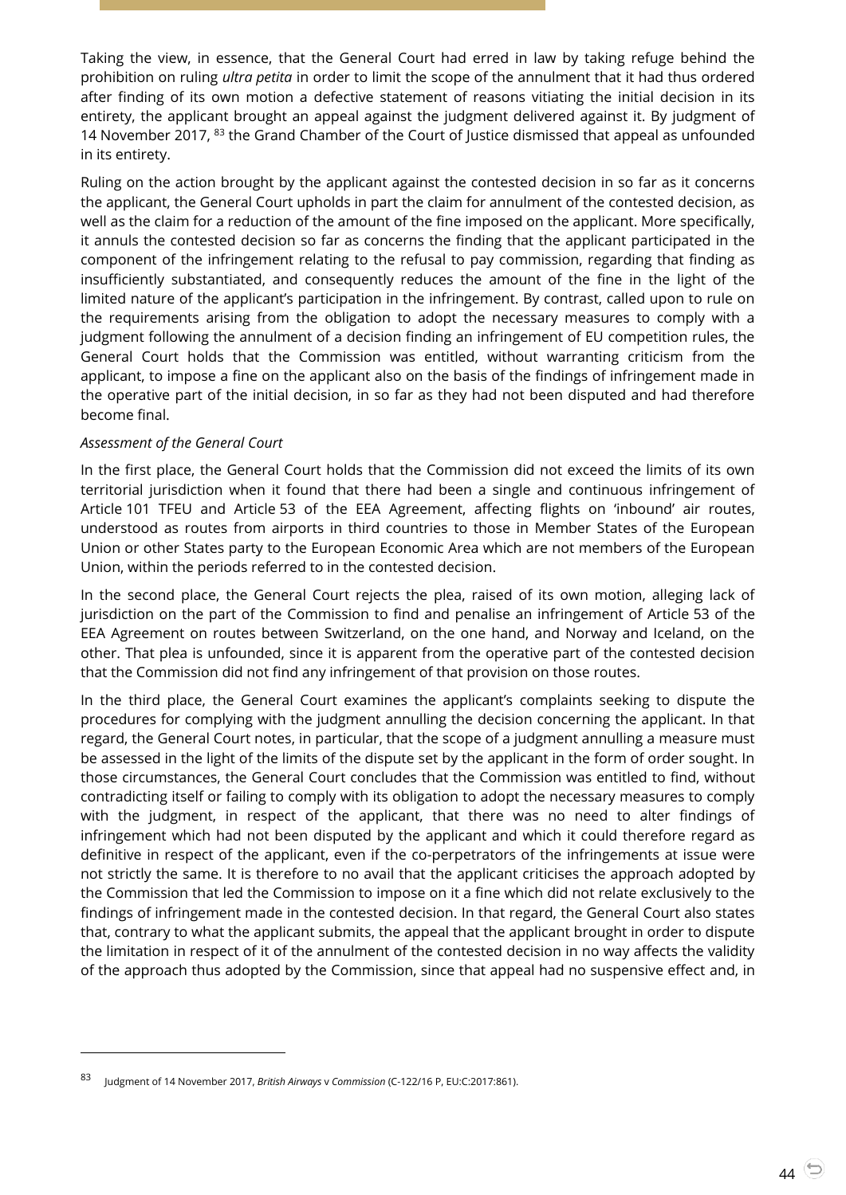Taking the view, in essence, that the General Court had erred in law by taking refuge behind the prohibition on ruling *ultra petita* in order to limit the scope of the annulment that it had thus ordered after finding of its own motion a defective statement of reasons vitiating the initial decision in its entirety, the applicant brought an appeal against the judgment delivered against it. By judgment of 14 November 2017, <sup>83</sup> the Grand Chamber of the Court of Justice dismissed that appeal as unfounded in its entirety.

Ruling on the action brought by the applicant against the contested decision in so far as it concerns the applicant, the General Court upholds in part the claim for annulment of the contested decision, as well as the claim for a reduction of the amount of the fine imposed on the applicant. More specifically, it annuls the contested decision so far as concerns the finding that the applicant participated in the component of the infringement relating to the refusal to pay commission, regarding that finding as insufficiently substantiated, and consequently reduces the amount of the fine in the light of the limited nature of the applicant's participation in the infringement. By contrast, called upon to rule on the requirements arising from the obligation to adopt the necessary measures to comply with a judgment following the annulment of a decision finding an infringement of EU competition rules, the General Court holds that the Commission was entitled, without warranting criticism from the applicant, to impose a fine on the applicant also on the basis of the findings of infringement made in the operative part of the initial decision, in so far as they had not been disputed and had therefore become final.

#### *Assessment of the General Court*

l

In the first place, the General Court holds that the Commission did not exceed the limits of its own territorial jurisdiction when it found that there had been a single and continuous infringement of Article 101 TFEU and Article 53 of the EEA Agreement, affecting flights on 'inbound' air routes, understood as routes from airports in third countries to those in Member States of the European Union or other States party to the European Economic Area which are not members of the European Union, within the periods referred to in the contested decision.

In the second place, the General Court rejects the plea, raised of its own motion, alleging lack of jurisdiction on the part of the Commission to find and penalise an infringement of Article 53 of the EEA Agreement on routes between Switzerland, on the one hand, and Norway and Iceland, on the other. That plea is unfounded, since it is apparent from the operative part of the contested decision that the Commission did not find any infringement of that provision on those routes.

In the third place, the General Court examines the applicant's complaints seeking to dispute the procedures for complying with the judgment annulling the decision concerning the applicant. In that regard, the General Court notes, in particular, that the scope of a judgment annulling a measure must be assessed in the light of the limits of the dispute set by the applicant in the form of order sought. In those circumstances, the General Court concludes that the Commission was entitled to find, without contradicting itself or failing to comply with its obligation to adopt the necessary measures to comply with the judgment, in respect of the applicant, that there was no need to alter findings of infringement which had not been disputed by the applicant and which it could therefore regard as definitive in respect of the applicant, even if the co-perpetrators of the infringements at issue were not strictly the same. It is therefore to no avail that the applicant criticises the approach adopted by the Commission that led the Commission to impose on it a fine which did not relate exclusively to the findings of infringement made in the contested decision. In that regard, the General Court also states that, contrary to what the applicant submits, the appeal that the applicant brought in order to dispute the limitation in respect of it of the annulment of the contested decision in no way affects the validity of the approach thus adopted by the Commission, since that appeal had no suspensive effect and, in

<sup>83</sup> Judgment of 14 November 2017, *British Airways* <sup>v</sup>*Commission* (C-122/16 P, EU:C:2017:861).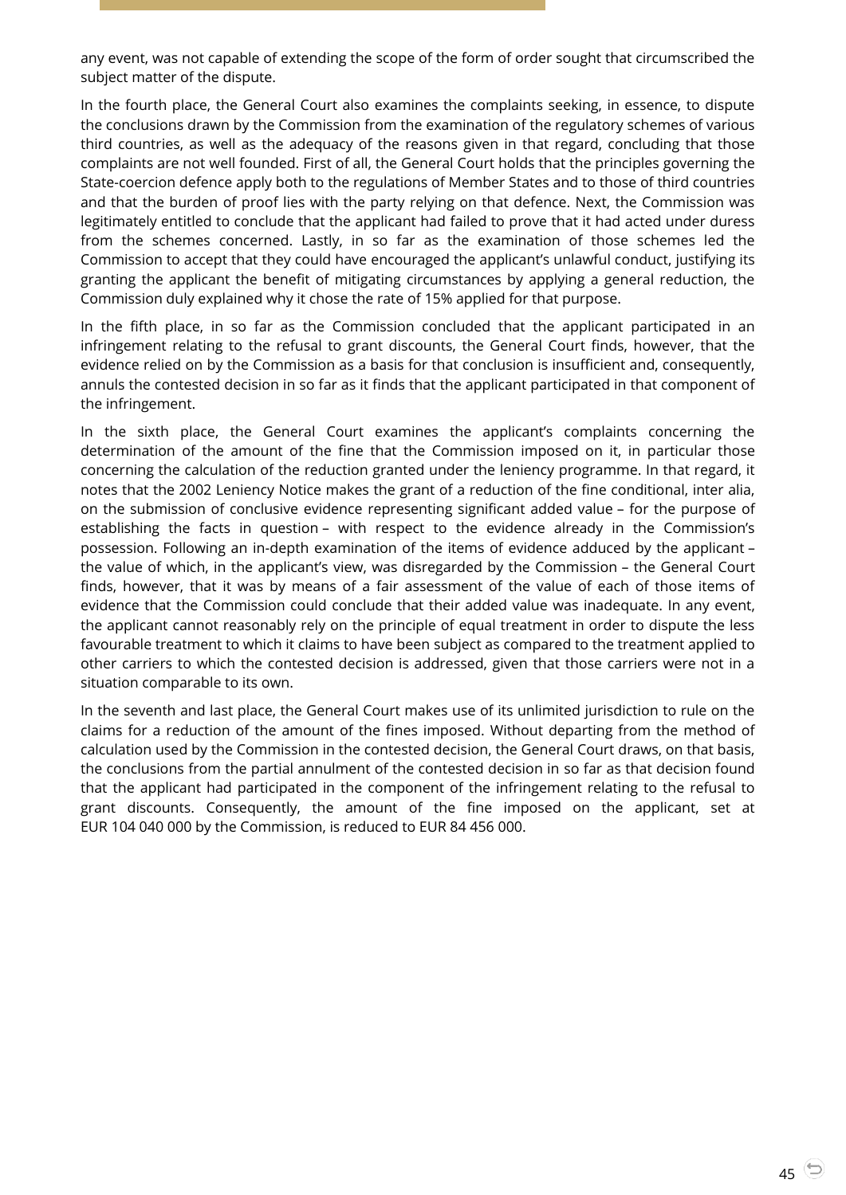any event, was not capable of extending the scope of the form of order sought that circumscribed the subject matter of the dispute.

In the fourth place, the General Court also examines the complaints seeking, in essence, to dispute the conclusions drawn by the Commission from the examination of the regulatory schemes of various third countries, as well as the adequacy of the reasons given in that regard, concluding that those complaints are not well founded. First of all, the General Court holds that the principles governing the State-coercion defence apply both to the regulations of Member States and to those of third countries and that the burden of proof lies with the party relying on that defence. Next, the Commission was legitimately entitled to conclude that the applicant had failed to prove that it had acted under duress from the schemes concerned. Lastly, in so far as the examination of those schemes led the Commission to accept that they could have encouraged the applicant's unlawful conduct, justifying its granting the applicant the benefit of mitigating circumstances by applying a general reduction, the Commission duly explained why it chose the rate of 15% applied for that purpose.

In the fifth place, in so far as the Commission concluded that the applicant participated in an infringement relating to the refusal to grant discounts, the General Court finds, however, that the evidence relied on by the Commission as a basis for that conclusion is insufficient and, consequently, annuls the contested decision in so far as it finds that the applicant participated in that component of the infringement.

In the sixth place, the General Court examines the applicant's complaints concerning the determination of the amount of the fine that the Commission imposed on it, in particular those concerning the calculation of the reduction granted under the leniency programme. In that regard, it notes that the 2002 Leniency Notice makes the grant of a reduction of the fine conditional, inter alia, on the submission of conclusive evidence representing significant added value – for the purpose of establishing the facts in question – with respect to the evidence already in the Commission's possession. Following an in-depth examination of the items of evidence adduced by the applicant – the value of which, in the applicant's view, was disregarded by the Commission – the General Court finds, however, that it was by means of a fair assessment of the value of each of those items of evidence that the Commission could conclude that their added value was inadequate. In any event, the applicant cannot reasonably rely on the principle of equal treatment in order to dispute the less favourable treatment to which it claims to have been subject as compared to the treatment applied to other carriers to which the contested decision is addressed, given that those carriers were not in a situation comparable to its own.

In the seventh and last place, the General Court makes use of its unlimited jurisdiction to rule on the claims for a reduction of the amount of the fines imposed. Without departing from the method of calculation used by the Commission in the contested decision, the General Court draws, on that basis, the conclusions from the partial annulment of the contested decision in so far as that decision found that the applicant had participated in the component of the infringement relating to the refusal to grant discounts. Consequently, the amount of the fine imposed on the applicant, set at EUR 104 040 000 by the Commission, is reduced to EUR 84 456 000.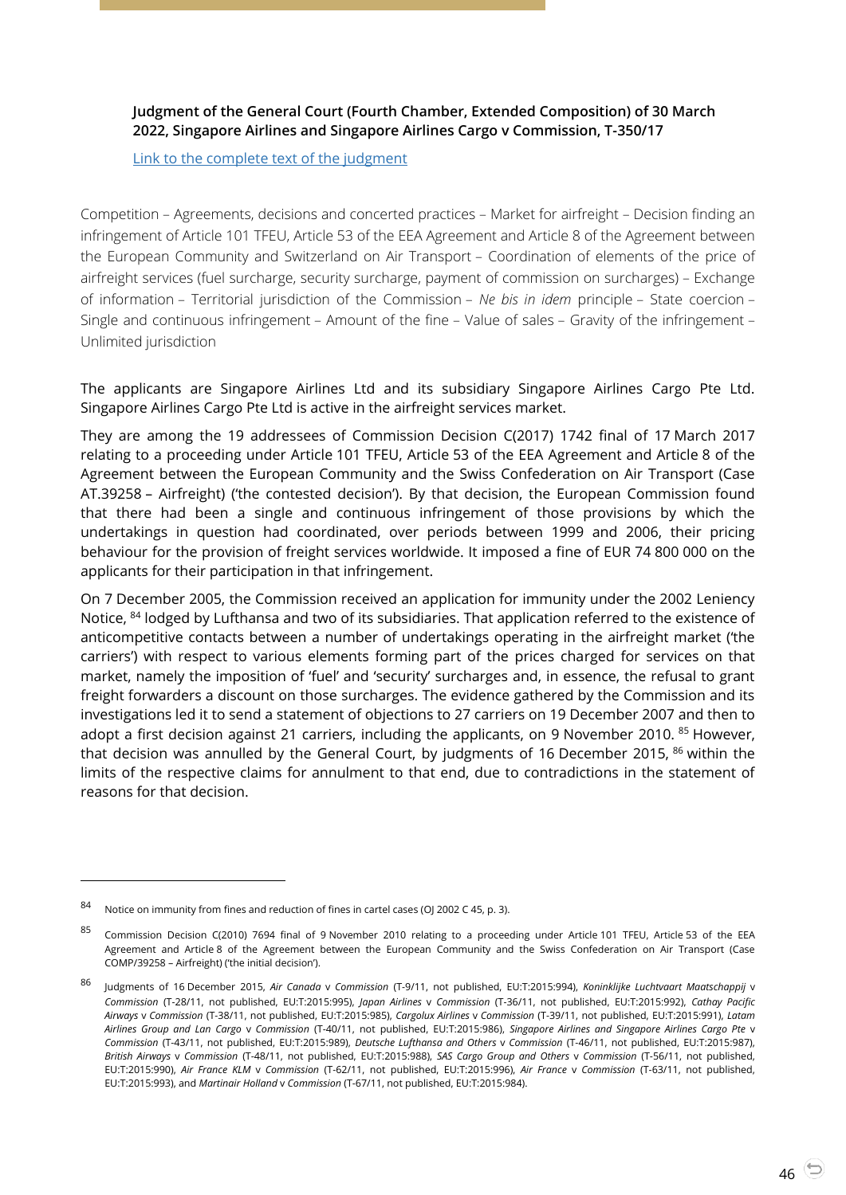#### <span id="page-45-0"></span>**Judgment of the General Court (Fourth Chamber, Extended Composition) of 30 March 2022, Singapore Airlines and Singapore Airlines Cargo v Commission, T-350/17**

[Link to the complete text of the judgment](https://curia.europa.eu/juris/document/document.jsf?text=&docid=256877&pageIndex=0&doclang=en&mode=lst&dir=&occ=first&part=1&cid=4692605)

Competition – Agreements, decisions and concerted practices – Market for airfreight – Decision finding an infringement of Article 101 TFEU, Article 53 of the EEA Agreement and Article 8 of the Agreement between the European Community and Switzerland on Air Transport – Coordination of elements of the price of airfreight services (fuel surcharge, security surcharge, payment of commission on surcharges) – Exchange of information – Territorial jurisdiction of the Commission – *Ne bis in idem* principle – State coercion – Single and continuous infringement – Amount of the fine – Value of sales – Gravity of the infringement – Unlimited jurisdiction

The applicants are Singapore Airlines Ltd and its subsidiary Singapore Airlines Cargo Pte Ltd. Singapore Airlines Cargo Pte Ltd is active in the airfreight services market.

They are among the 19 addressees of Commission Decision C(2017) 1742 final of 17 March 2017 relating to a proceeding under Article 101 TFEU, Article 53 of the EEA Agreement and Article 8 of the Agreement between the European Community and the Swiss Confederation on Air Transport (Case AT.39258 – Airfreight) ('the contested decision'). By that decision, the European Commission found that there had been a single and continuous infringement of those provisions by which the undertakings in question had coordinated, over periods between 1999 and 2006, their pricing behaviour for the provision of freight services worldwide. It imposed a fine of EUR 74 800 000 on the applicants for their participation in that infringement.

On 7 December 2005, the Commission received an application for immunity under the 2002 Leniency Notice, <sup>84</sup> lodged by Lufthansa and two of its subsidiaries. That application referred to the existence of anticompetitive contacts between a number of undertakings operating in the airfreight market ('the carriers') with respect to various elements forming part of the prices charged for services on that market, namely the imposition of 'fuel' and 'security' surcharges and, in essence, the refusal to grant freight forwarders a discount on those surcharges. The evidence gathered by the Commission and its investigations led it to send a statement of objections to 27 carriers on 19 December 2007 and then to adopt a first decision against 21 carriers, including the applicants, on 9 November 2010. <sup>85</sup> However, that decision was annulled by the General Court, by judgments of 16 December 2015, <sup>86</sup> within the limits of the respective claims for annulment to that end, due to contradictions in the statement of reasons for that decision.

<sup>84</sup> Notice on immunity from fines and reduction of fines in cartel cases (OJ 2002 C 45, p. 3).

<sup>85</sup> Commission Decision C(2010) 7694 final of 9 November 2010 relating to a proceeding under Article 101 TFEU, Article 53 of the EEA Agreement and Article 8 of the Agreement between the European Community and the Swiss Confederation on Air Transport (Case COMP/39258 – Airfreight) ('the initial decision').

<sup>86</sup> Judgments of 16 December 2015, *Air Canada* <sup>v</sup> *Commission* (T-9/11, not published, EU:T:2015:994), *Koninklijke Luchtvaart Maatschappij* <sup>v</sup> *Commission* (T-28/11, not published, EU:T:2015:995), *Japan Airlines* v *Commission* (T-36/11, not published, EU:T:2015:992), *Cathay Pacific Airways* v *Commission* (T-38/11, not published, EU:T:2015:985), *Cargolux Airlines* v *Commission* (T-39/11, not published, EU:T:2015:991), *Latam Airlines Group and Lan Cargo* v *Commission* (T-40/11, not published, EU:T:2015:986), *Singapore Airlines and Singapore Airlines Cargo Pte* v *Commission* (T-43/11, not published, EU:T:2015:989), *Deutsche Lufthansa and Others* v *Commission* (T-46/11, not published, EU:T:2015:987), *British Airways* v *Commission* (T-48/11, not published, EU:T:2015:988), *SAS Cargo Group and Others* v *Commission* (T-56/11, not published, EU:T:2015:990), *Air France KLM* v *Commission* (T-62/11, not published, EU:T:2015:996), *Air France* v *Commission* (T-63/11, not published, EU:T:2015:993), and *Martinair Holland* v *Commission* (T-67/11, not published, EU:T:2015:984).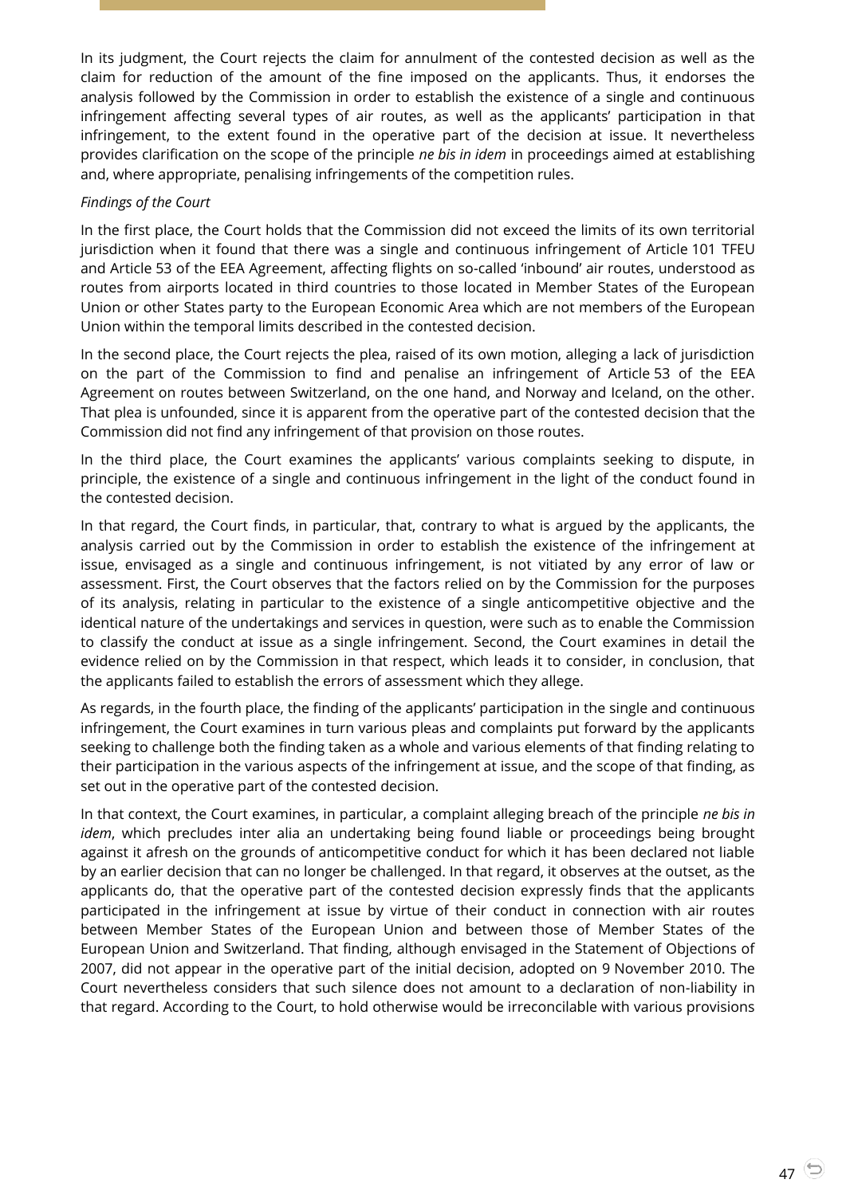In its judgment, the Court rejects the claim for annulment of the contested decision as well as the claim for reduction of the amount of the fine imposed on the applicants. Thus, it endorses the analysis followed by the Commission in order to establish the existence of a single and continuous infringement affecting several types of air routes, as well as the applicants' participation in that infringement, to the extent found in the operative part of the decision at issue. It nevertheless provides clarification on the scope of the principle *ne bis in idem* in proceedings aimed at establishing and, where appropriate, penalising infringements of the competition rules.

#### *Findings of the Court*

In the first place, the Court holds that the Commission did not exceed the limits of its own territorial jurisdiction when it found that there was a single and continuous infringement of Article 101 TFEU and Article 53 of the EEA Agreement, affecting flights on so-called 'inbound' air routes, understood as routes from airports located in third countries to those located in Member States of the European Union or other States party to the European Economic Area which are not members of the European Union within the temporal limits described in the contested decision.

In the second place, the Court rejects the plea, raised of its own motion, alleging a lack of jurisdiction on the part of the Commission to find and penalise an infringement of Article 53 of the EEA Agreement on routes between Switzerland, on the one hand, and Norway and Iceland, on the other. That plea is unfounded, since it is apparent from the operative part of the contested decision that the Commission did not find any infringement of that provision on those routes.

In the third place, the Court examines the applicants' various complaints seeking to dispute, in principle, the existence of a single and continuous infringement in the light of the conduct found in the contested decision.

In that regard, the Court finds, in particular, that, contrary to what is argued by the applicants, the analysis carried out by the Commission in order to establish the existence of the infringement at issue, envisaged as a single and continuous infringement, is not vitiated by any error of law or assessment. First, the Court observes that the factors relied on by the Commission for the purposes of its analysis, relating in particular to the existence of a single anticompetitive objective and the identical nature of the undertakings and services in question, were such as to enable the Commission to classify the conduct at issue as a single infringement. Second, the Court examines in detail the evidence relied on by the Commission in that respect, which leads it to consider, in conclusion, that the applicants failed to establish the errors of assessment which they allege.

As regards, in the fourth place, the finding of the applicants' participation in the single and continuous infringement, the Court examines in turn various pleas and complaints put forward by the applicants seeking to challenge both the finding taken as a whole and various elements of that finding relating to their participation in the various aspects of the infringement at issue, and the scope of that finding, as set out in the operative part of the contested decision.

In that context, the Court examines, in particular, a complaint alleging breach of the principle *ne bis in idem*, which precludes inter alia an undertaking being found liable or proceedings being brought against it afresh on the grounds of anticompetitive conduct for which it has been declared not liable by an earlier decision that can no longer be challenged. In that regard, it observes at the outset, as the applicants do, that the operative part of the contested decision expressly finds that the applicants participated in the infringement at issue by virtue of their conduct in connection with air routes between Member States of the European Union and between those of Member States of the European Union and Switzerland. That finding, although envisaged in the Statement of Objections of 2007, did not appear in the operative part of the initial decision, adopted on 9 November 2010. The Court nevertheless considers that such silence does not amount to a declaration of non-liability in that regard. According to the Court, to hold otherwise would be irreconcilable with various provisions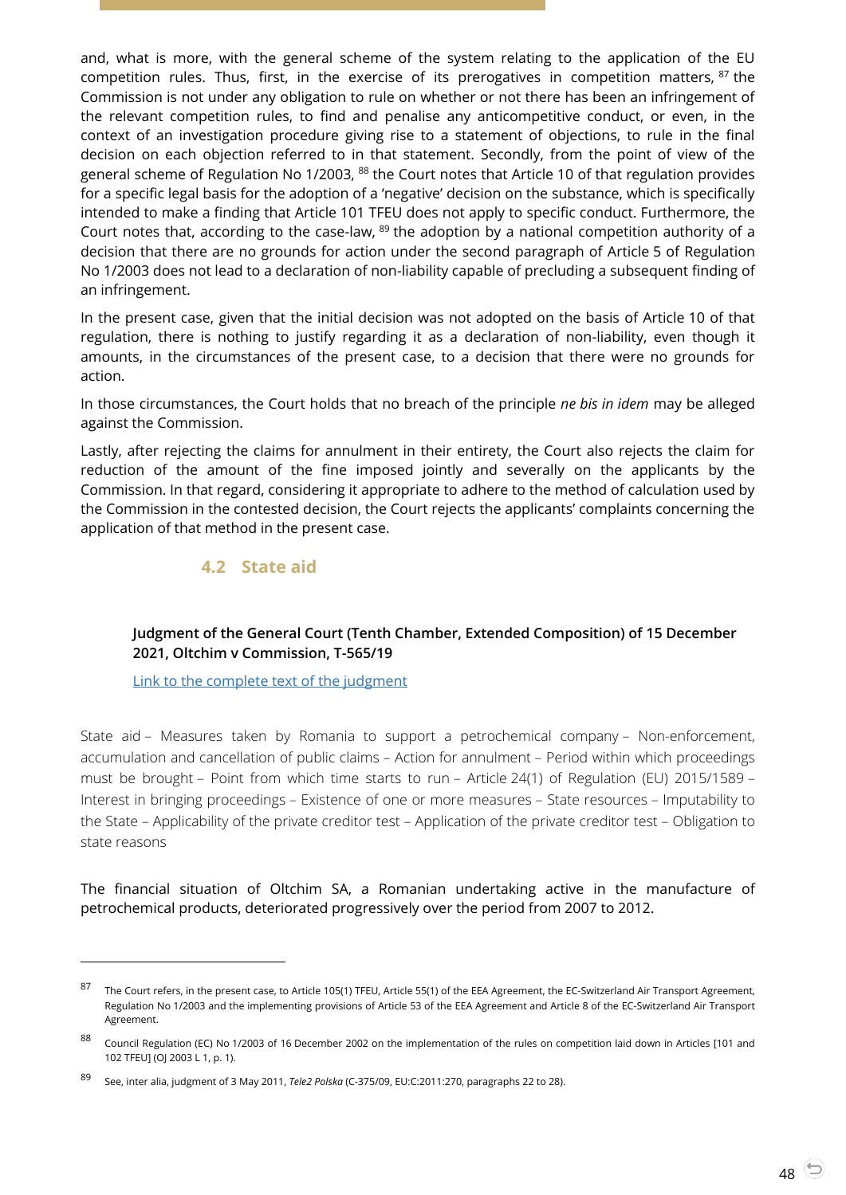and, what is more, with the general scheme of the system relating to the application of the EU competition rules. Thus, first, in the exercise of its prerogatives in competition matters,  $87$  the Commission is not under any obligation to rule on whether or not there has been an infringement of the relevant competition rules, to find and penalise any anticompetitive conduct, or even, in the context of an investigation procedure giving rise to a statement of objections, to rule in the final decision on each objection referred to in that statement. Secondly, from the point of view of the general scheme of Regulation No 1/2003, 88 the Court notes that Article 10 of that regulation provides for a specific legal basis for the adoption of a 'negative' decision on the substance, which is specifically intended to make a finding that Article 101 TFEU does not apply to specific conduct. Furthermore, the Court notes that, according to the case-law, <sup>89</sup> the adoption by a national competition authority of a decision that there are no grounds for action under the second paragraph of Article 5 of Regulation No 1/2003 does not lead to a declaration of non-liability capable of precluding a subsequent finding of an infringement.

In the present case, given that the initial decision was not adopted on the basis of Article 10 of that regulation, there is nothing to justify regarding it as a declaration of non-liability, even though it amounts, in the circumstances of the present case, to a decision that there were no grounds for action.

In those circumstances, the Court holds that no breach of the principle *ne bis in idem* may be alleged against the Commission.

Lastly, after rejecting the claims for annulment in their entirety, the Court also rejects the claim for reduction of the amount of the fine imposed jointly and severally on the applicants by the Commission. In that regard, considering it appropriate to adhere to the method of calculation used by the Commission in the contested decision, the Court rejects the applicants' complaints concerning the application of that method in the present case.

#### **4.2 State aid**

#### <span id="page-47-1"></span><span id="page-47-0"></span>**Judgment of the General Court (Tenth Chamber, Extended Composition) of 15 December 2021, Oltchim v Commission, T-565/19**

[Link to the complete text of the judgment](https://curia.europa.eu/juris/document/document.jsf?text=&docid=251283&pageIndex=0&doclang=en&mode=lst&dir=&occ=first&part=1&cid=4693771)

l

State aid – Measures taken by Romania to support a petrochemical company – Non-enforcement, accumulation and cancellation of public claims – Action for annulment – Period within which proceedings must be brought – Point from which time starts to run – Article 24(1) of Regulation (EU) 2015/1589 – Interest in bringing proceedings – Existence of one or more measures – State resources – Imputability to the State – Applicability of the private creditor test – Application of the private creditor test – Obligation to state reasons

The financial situation of Oltchim SA, a Romanian undertaking active in the manufacture of petrochemical products, deteriorated progressively over the period from 2007 to 2012.

<sup>87</sup> The Court refers, in the present case, to Article 105(1) TFEU, Article 55(1) of the EEA Agreement, the EC-Switzerland Air Transport Agreement, Regulation No 1/2003 and the implementing provisions of Article 53 of the EEA Agreement and Article 8 of the EC-Switzerland Air Transport Agreement.

<sup>88</sup> Council Regulation (EC) No 1/2003 of 16 December 2002 on the implementation of the rules on competition laid down in Articles [101 and 102 TFEU] (OJ 2003 L 1, p. 1).

<sup>89</sup> See, inter alia, judgment of 3 May 2011, *Tele2 Polska* (C-375/09, EU:C:2011:270, paragraphs 22 to 28).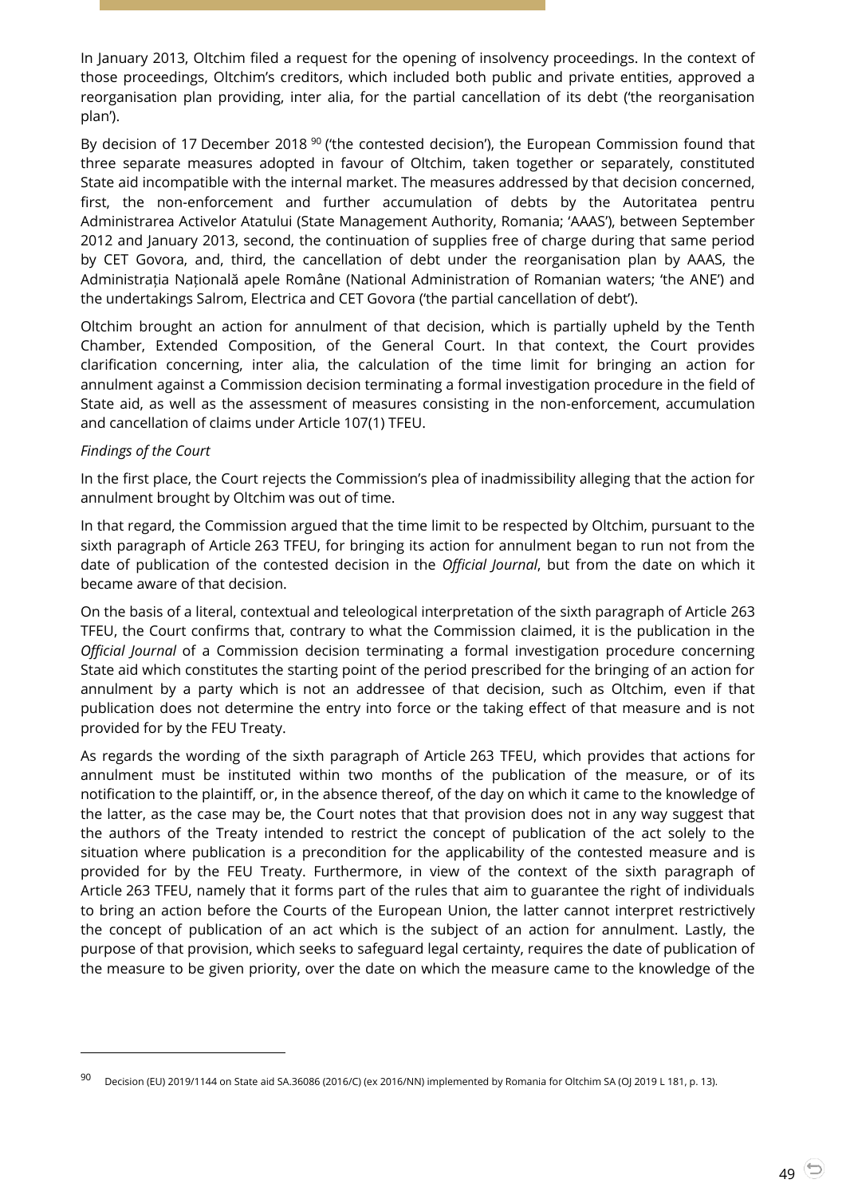In January 2013, Oltchim filed a request for the opening of insolvency proceedings. In the context of those proceedings, Oltchim's creditors, which included both public and private entities, approved a reorganisation plan providing, inter alia, for the partial cancellation of its debt ('the reorganisation plan').

By decision of 17 December 2018<sup>90</sup> ('the contested decision'), the European Commission found that three separate measures adopted in favour of Oltchim, taken together or separately, constituted State aid incompatible with the internal market. The measures addressed by that decision concerned, first, the non-enforcement and further accumulation of debts by the Autoritatea pentru Administrarea Activelor Atatului (State Management Authority, Romania; 'AAAS'), between September 2012 and January 2013, second, the continuation of supplies free of charge during that same period by CET Govora, and, third, the cancellation of debt under the reorganisation plan by AAAS, the Administrația Națională apele Române (National Administration of Romanian waters; 'the ANE') and the undertakings Salrom, Electrica and CET Govora ('the partial cancellation of debt').

Oltchim brought an action for annulment of that decision, which is partially upheld by the Tenth Chamber, Extended Composition, of the General Court. In that context, the Court provides clarification concerning, inter alia, the calculation of the time limit for bringing an action for annulment against a Commission decision terminating a formal investigation procedure in the field of State aid, as well as the assessment of measures consisting in the non-enforcement, accumulation and cancellation of claims under Article 107(1) TFEU.

#### *Findings of the Court*

l

In the first place, the Court rejects the Commission's plea of inadmissibility alleging that the action for annulment brought by Oltchim was out of time.

In that regard, the Commission argued that the time limit to be respected by Oltchim, pursuant to the sixth paragraph of Article 263 TFEU, for bringing its action for annulment began to run not from the date of publication of the contested decision in the *Official Journal*, but from the date on which it became aware of that decision.

On the basis of a literal, contextual and teleological interpretation of the sixth paragraph of Article 263 TFEU, the Court confirms that, contrary to what the Commission claimed, it is the publication in the *Official Journal* of a Commission decision terminating a formal investigation procedure concerning State aid which constitutes the starting point of the period prescribed for the bringing of an action for annulment by a party which is not an addressee of that decision, such as Oltchim, even if that publication does not determine the entry into force or the taking effect of that measure and is not provided for by the FEU Treaty.

As regards the wording of the sixth paragraph of Article 263 TFEU, which provides that actions for annulment must be instituted within two months of the publication of the measure, or of its notification to the plaintiff, or, in the absence thereof, of the day on which it came to the knowledge of the latter, as the case may be, the Court notes that that provision does not in any way suggest that the authors of the Treaty intended to restrict the concept of publication of the act solely to the situation where publication is a precondition for the applicability of the contested measure and is provided for by the FEU Treaty. Furthermore, in view of the context of the sixth paragraph of Article 263 TFEU, namely that it forms part of the rules that aim to guarantee the right of individuals to bring an action before the Courts of the European Union, the latter cannot interpret restrictively the concept of publication of an act which is the subject of an action for annulment. Lastly, the purpose of that provision, which seeks to safeguard legal certainty, requires the date of publication of the measure to be given priority, over the date on which the measure came to the knowledge of the

<sup>90</sup> Decision (EU) 2019/1144 on State aid SA.36086 (2016/C) (ex 2016/NN) implemented by Romania for Oltchim SA (OJ 2019 L 181, p. 13).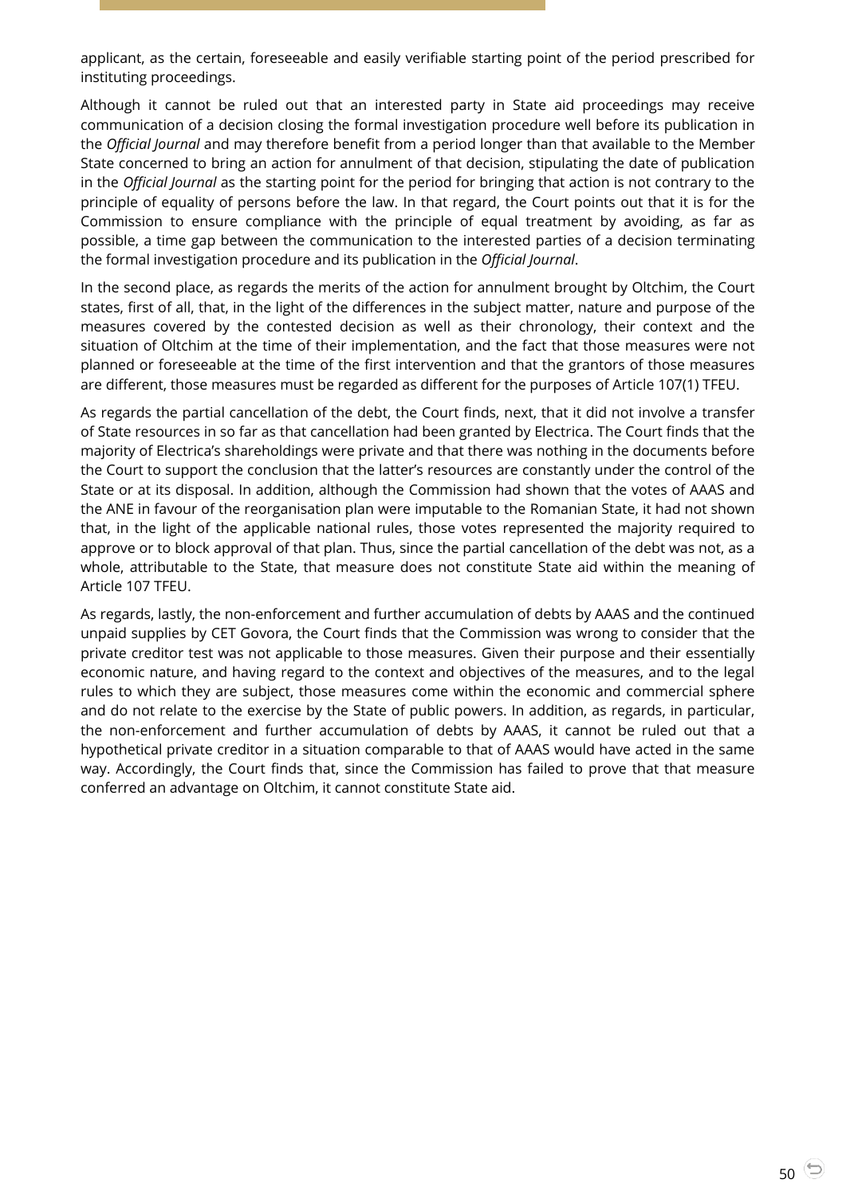applicant, as the certain, foreseeable and easily verifiable starting point of the period prescribed for instituting proceedings.

Although it cannot be ruled out that an interested party in State aid proceedings may receive communication of a decision closing the formal investigation procedure well before its publication in the *Official Journal* and may therefore benefit from a period longer than that available to the Member State concerned to bring an action for annulment of that decision, stipulating the date of publication in the *Official Journal* as the starting point for the period for bringing that action is not contrary to the principle of equality of persons before the law. In that regard, the Court points out that it is for the Commission to ensure compliance with the principle of equal treatment by avoiding, as far as possible, a time gap between the communication to the interested parties of a decision terminating the formal investigation procedure and its publication in the *Official Journal*.

In the second place, as regards the merits of the action for annulment brought by Oltchim, the Court states, first of all, that, in the light of the differences in the subject matter, nature and purpose of the measures covered by the contested decision as well as their chronology, their context and the situation of Oltchim at the time of their implementation, and the fact that those measures were not planned or foreseeable at the time of the first intervention and that the grantors of those measures are different, those measures must be regarded as different for the purposes of Article 107(1) TFEU.

As regards the partial cancellation of the debt, the Court finds, next, that it did not involve a transfer of State resources in so far as that cancellation had been granted by Electrica. The Court finds that the majority of Electrica's shareholdings were private and that there was nothing in the documents before the Court to support the conclusion that the latter's resources are constantly under the control of the State or at its disposal. In addition, although the Commission had shown that the votes of AAAS and the ANE in favour of the reorganisation plan were imputable to the Romanian State, it had not shown that, in the light of the applicable national rules, those votes represented the majority required to approve or to block approval of that plan. Thus, since the partial cancellation of the debt was not, as a whole, attributable to the State, that measure does not constitute State aid within the meaning of Article 107 TFEU.

As regards, lastly, the non-enforcement and further accumulation of debts by AAAS and the continued unpaid supplies by CET Govora, the Court finds that the Commission was wrong to consider that the private creditor test was not applicable to those measures. Given their purpose and their essentially economic nature, and having regard to the context and objectives of the measures, and to the legal rules to which they are subject, those measures come within the economic and commercial sphere and do not relate to the exercise by the State of public powers. In addition, as regards, in particular, the non-enforcement and further accumulation of debts by AAAS, it cannot be ruled out that a hypothetical private creditor in a situation comparable to that of AAAS would have acted in the same way. Accordingly, the Court finds that, since the Commission has failed to prove that that measure conferred an advantage on Oltchim, it cannot constitute State aid.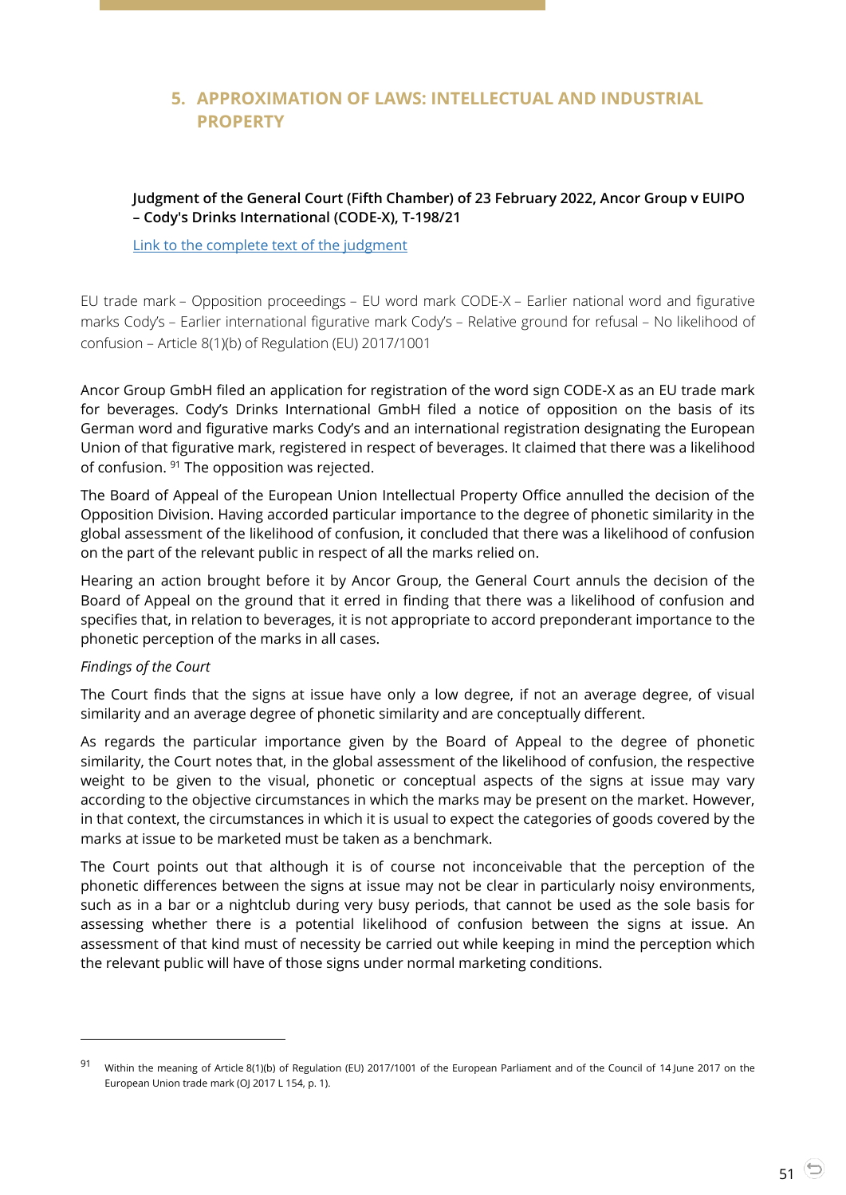## <span id="page-50-0"></span>**5. APPROXIMATION OF LAWS: INTELLECTUAL AND INDUSTRIAL PROPERTY**

#### <span id="page-50-1"></span>**Judgment of the General Court (Fifth Chamber) of 23 February 2022, Ancor Group v EUIPO – Cody's Drinks International (CODE-X), T-198/21**

[Link to the complete text of the judgment](https://curia.europa.eu/juris/document/document.jsf?text=&docid=254483&pageIndex=0&doclang=en&mode=lst&dir=&occ=first&part=1&cid=4693973)

EU trade mark – Opposition proceedings – EU word mark CODE-X – Earlier national word and figurative marks Cody's – Earlier international figurative mark Cody's – Relative ground for refusal – No likelihood of confusion – Article 8(1)(b) of Regulation (EU) 2017/1001

Ancor Group GmbH filed an application for registration of the word sign CODE-X as an EU trade mark for beverages. Cody's Drinks International GmbH filed a notice of opposition on the basis of its German word and figurative marks Cody's and an international registration designating the European Union of that figurative mark, registered in respect of beverages. It claimed that there was a likelihood of confusion. <sup>91</sup> The opposition was rejected.

The Board of Appeal of the European Union Intellectual Property Office annulled the decision of the Opposition Division. Having accorded particular importance to the degree of phonetic similarity in the global assessment of the likelihood of confusion, it concluded that there was a likelihood of confusion on the part of the relevant public in respect of all the marks relied on.

Hearing an action brought before it by Ancor Group, the General Court annuls the decision of the Board of Appeal on the ground that it erred in finding that there was a likelihood of confusion and specifies that, in relation to beverages, it is not appropriate to accord preponderant importance to the phonetic perception of the marks in all cases.

#### *Findings of the Court*

l

The Court finds that the signs at issue have only a low degree, if not an average degree, of visual similarity and an average degree of phonetic similarity and are conceptually different.

As regards the particular importance given by the Board of Appeal to the degree of phonetic similarity, the Court notes that, in the global assessment of the likelihood of confusion, the respective weight to be given to the visual, phonetic or conceptual aspects of the signs at issue may vary according to the objective circumstances in which the marks may be present on the market. However, in that context, the circumstances in which it is usual to expect the categories of goods covered by the marks at issue to be marketed must be taken as a benchmark.

The Court points out that although it is of course not inconceivable that the perception of the phonetic differences between the signs at issue may not be clear in particularly noisy environments, such as in a bar or a nightclub during very busy periods, that cannot be used as the sole basis for assessing whether there is a potential likelihood of confusion between the signs at issue. An assessment of that kind must of necessity be carried out while keeping in mind the perception which the relevant public will have of those signs under normal marketing conditions.

<sup>91</sup> Within the meaning of Article 8(1)(b) of Regulation (EU) 2017/1001 of the European Parliament and of the Council of 14 June 2017 on the European Union trade mark (OJ 2017 L 154, p. 1).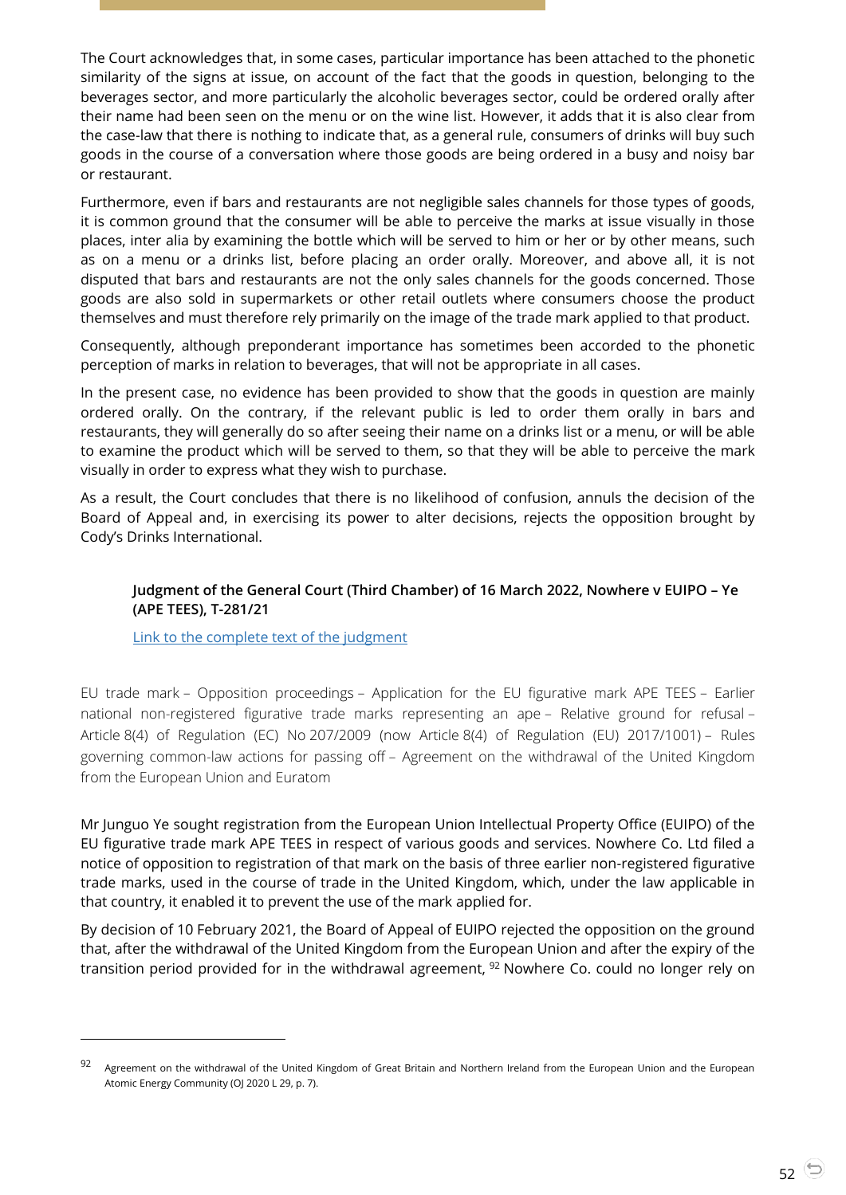The Court acknowledges that, in some cases, particular importance has been attached to the phonetic similarity of the signs at issue, on account of the fact that the goods in question, belonging to the beverages sector, and more particularly the alcoholic beverages sector, could be ordered orally after their name had been seen on the menu or on the wine list. However, it adds that it is also clear from the case-law that there is nothing to indicate that, as a general rule, consumers of drinks will buy such goods in the course of a conversation where those goods are being ordered in a busy and noisy bar or restaurant.

Furthermore, even if bars and restaurants are not negligible sales channels for those types of goods, it is common ground that the consumer will be able to perceive the marks at issue visually in those places, inter alia by examining the bottle which will be served to him or her or by other means, such as on a menu or a drinks list, before placing an order orally. Moreover, and above all, it is not disputed that bars and restaurants are not the only sales channels for the goods concerned. Those goods are also sold in supermarkets or other retail outlets where consumers choose the product themselves and must therefore rely primarily on the image of the trade mark applied to that product.

Consequently, although preponderant importance has sometimes been accorded to the phonetic perception of marks in relation to beverages, that will not be appropriate in all cases.

In the present case, no evidence has been provided to show that the goods in question are mainly ordered orally. On the contrary, if the relevant public is led to order them orally in bars and restaurants, they will generally do so after seeing their name on a drinks list or a menu, or will be able to examine the product which will be served to them, so that they will be able to perceive the mark visually in order to express what they wish to purchase.

As a result, the Court concludes that there is no likelihood of confusion, annuls the decision of the Board of Appeal and, in exercising its power to alter decisions, rejects the opposition brought by Cody's Drinks International.

#### <span id="page-51-0"></span>**Judgment of the General Court (Third Chamber) of 16 March 2022, Nowhere v EUIPO – Ye (APE TEES), T-281/21**

[Link to the complete text of the judgment](https://curia.europa.eu/juris/document/document.jsf?text=&docid=256003&pageIndex=0&doclang=en&mode=lst&dir=&occ=first&part=1&cid=4692906)

l

EU trade mark – Opposition proceedings – Application for the EU figurative mark APE TEES – Earlier national non-registered figurative trade marks representing an ape – Relative ground for refusal – Article 8(4) of Regulation (EC) No 207/2009 (now Article 8(4) of Regulation (EU) 2017/1001) – Rules governing common-law actions for passing off – Agreement on the withdrawal of the United Kingdom from the European Union and Euratom

Mr Junguo Ye sought registration from the European Union Intellectual Property Office (EUIPO) of the EU figurative trade mark APE TEES in respect of various goods and services. Nowhere Co. Ltd filed a notice of opposition to registration of that mark on the basis of three earlier non-registered figurative trade marks, used in the course of trade in the United Kingdom, which, under the law applicable in that country, it enabled it to prevent the use of the mark applied for.

By decision of 10 February 2021, the Board of Appeal of EUIPO rejected the opposition on the ground that, after the withdrawal of the United Kingdom from the European Union and after the expiry of the transition period provided for in the withdrawal agreement, <sup>92</sup> Nowhere Co. could no longer rely on

<sup>92</sup> Agreement on the withdrawal of the United Kingdom of Great Britain and Northern Ireland from the European Union and the European Atomic Energy Community (OJ 2020 L 29, p. 7).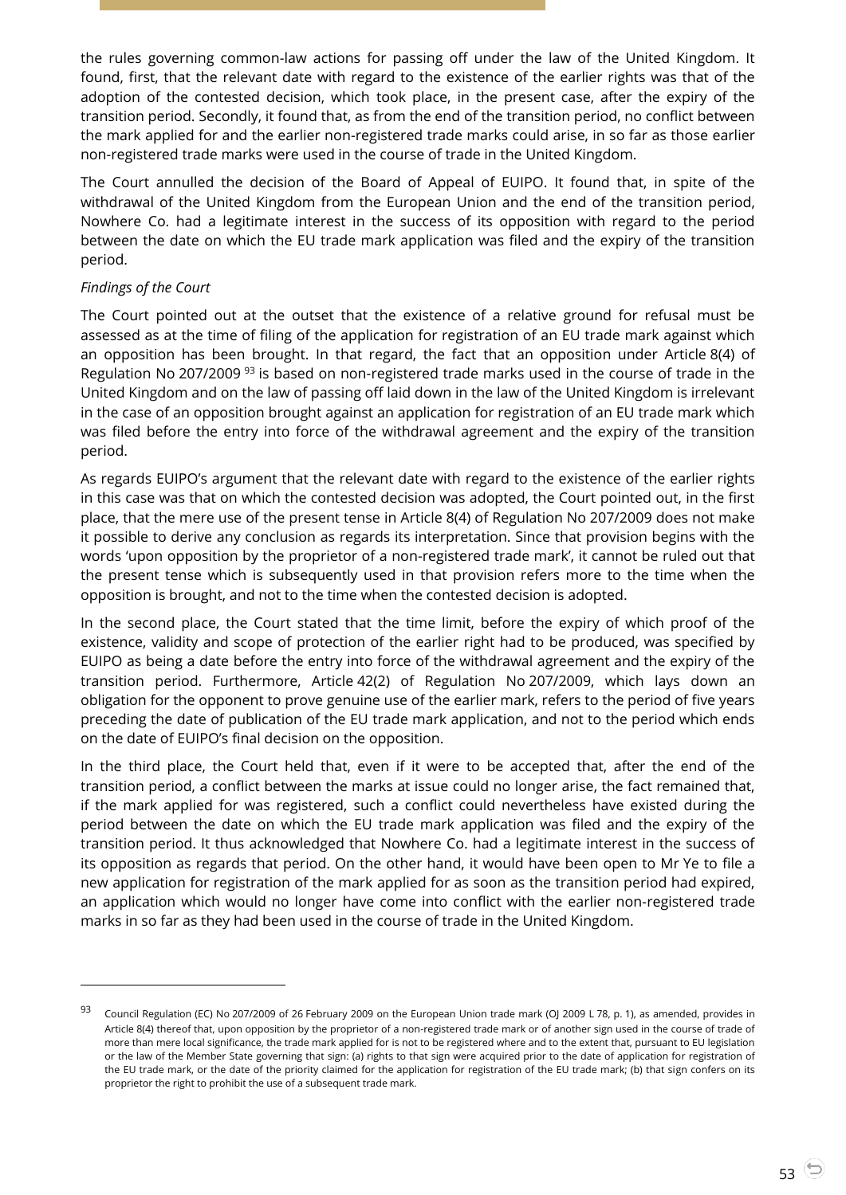the rules governing common-law actions for passing off under the law of the United Kingdom. It found, first, that the relevant date with regard to the existence of the earlier rights was that of the adoption of the contested decision, which took place, in the present case, after the expiry of the transition period. Secondly, it found that, as from the end of the transition period, no conflict between the mark applied for and the earlier non-registered trade marks could arise, in so far as those earlier non-registered trade marks were used in the course of trade in the United Kingdom.

The Court annulled the decision of the Board of Appeal of EUIPO. It found that, in spite of the withdrawal of the United Kingdom from the European Union and the end of the transition period, Nowhere Co. had a legitimate interest in the success of its opposition with regard to the period between the date on which the EU trade mark application was filed and the expiry of the transition period.

#### *Findings of the Court*

l

The Court pointed out at the outset that the existence of a relative ground for refusal must be assessed as at the time of filing of the application for registration of an EU trade mark against which an opposition has been brought. In that regard, the fact that an opposition under Article 8(4) of Regulation No 207/2009<sup>93</sup> is based on non-registered trade marks used in the course of trade in the United Kingdom and on the law of passing off laid down in the law of the United Kingdom is irrelevant in the case of an opposition brought against an application for registration of an EU trade mark which was filed before the entry into force of the withdrawal agreement and the expiry of the transition period.

As regards EUIPO's argument that the relevant date with regard to the existence of the earlier rights in this case was that on which the contested decision was adopted, the Court pointed out, in the first place, that the mere use of the present tense in Article 8(4) of Regulation No 207/2009 does not make it possible to derive any conclusion as regards its interpretation. Since that provision begins with the words 'upon opposition by the proprietor of a non-registered trade mark', it cannot be ruled out that the present tense which is subsequently used in that provision refers more to the time when the opposition is brought, and not to the time when the contested decision is adopted.

In the second place, the Court stated that the time limit, before the expiry of which proof of the existence, validity and scope of protection of the earlier right had to be produced, was specified by EUIPO as being a date before the entry into force of the withdrawal agreement and the expiry of the transition period. Furthermore, Article 42(2) of Regulation No 207/2009, which lays down an obligation for the opponent to prove genuine use of the earlier mark, refers to the period of five years preceding the date of publication of the EU trade mark application, and not to the period which ends on the date of EUIPO's final decision on the opposition.

In the third place, the Court held that, even if it were to be accepted that, after the end of the transition period, a conflict between the marks at issue could no longer arise, the fact remained that, if the mark applied for was registered, such a conflict could nevertheless have existed during the period between the date on which the EU trade mark application was filed and the expiry of the transition period. It thus acknowledged that Nowhere Co. had a legitimate interest in the success of its opposition as regards that period. On the other hand, it would have been open to Mr Ye to file a new application for registration of the mark applied for as soon as the transition period had expired, an application which would no longer have come into conflict with the earlier non-registered trade marks in so far as they had been used in the course of trade in the United Kingdom.

<sup>93</sup> Council Regulation (EC) No 207/2009 of 26 February 2009 on the European Union trade mark (OJ 2009 L 78, p. 1), as amended, provides in Article 8(4) thereof that, upon opposition by the proprietor of a non-registered trade mark or of another sign used in the course of trade of more than mere local significance, the trade mark applied for is not to be registered where and to the extent that, pursuant to EU legislation or the law of the Member State governing that sign: (a) rights to that sign were acquired prior to the date of application for registration of the EU trade mark, or the date of the priority claimed for the application for registration of the EU trade mark; (b) that sign confers on its proprietor the right to prohibit the use of a subsequent trade mark.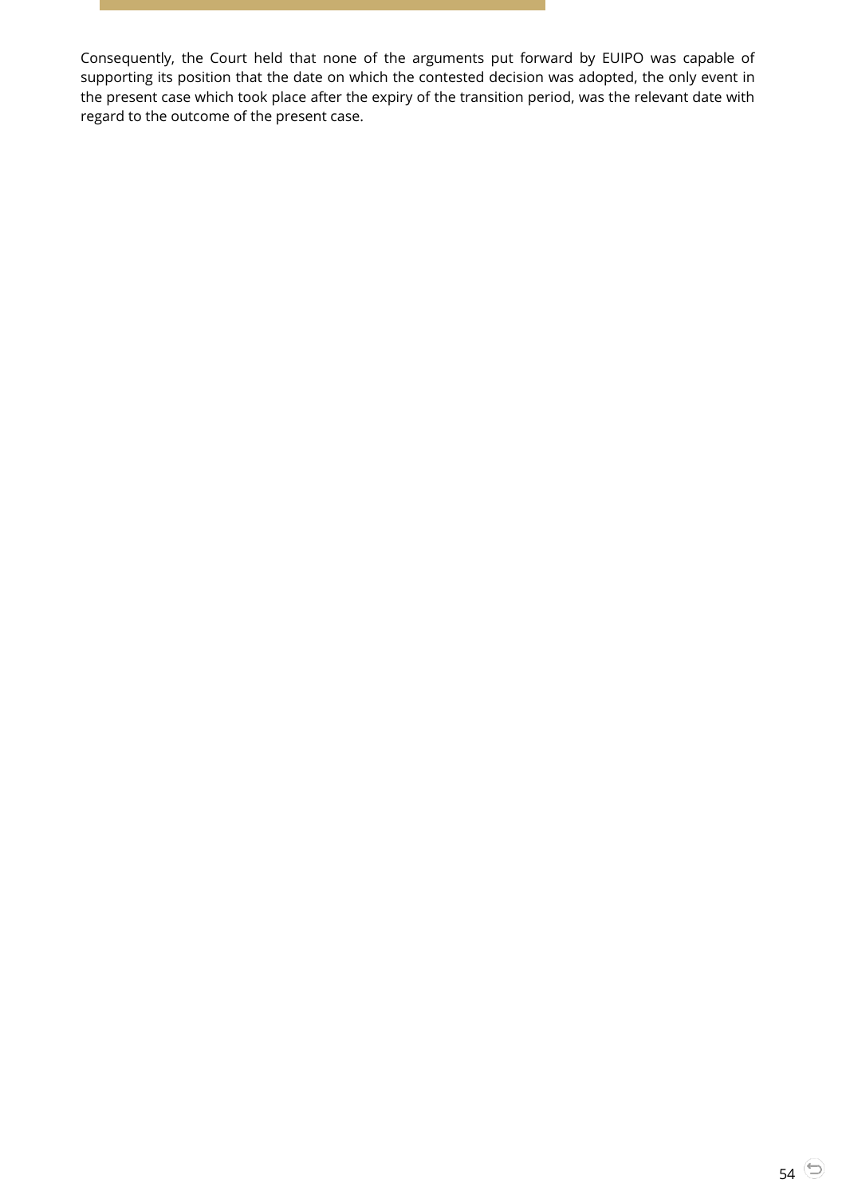Consequently, the Court held that none of the arguments put forward by EUIPO was capable of supporting its position that the date on which the contested decision was adopted, the only event in the present case which took place after the expiry of the transition period, was the relevant date with regard to the outcome of the present case.